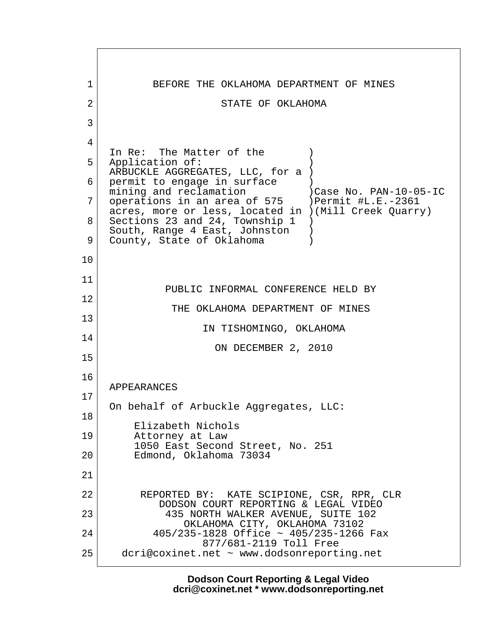1 BEFORE THE OKLAHOMA DEPARTMENT OF MINES 2 STATE OF OKLAHOMA  $3 \mid$  4 In Re: The Matter of the  $($ 5 Application of: ARBUCKLE AGGREGATES, LLC, for a ) 6 permit to engage in surface mining and reclamation )Case No. PAN-10-05-IC 7 | operations in an area of 575 | ) Permit #L.E.-2361 acres, more or less, located in )(Mill Creek Quarry) 8 Sections 23 and 24, Township 1 ) South, Range 4 East, Johnston ) 9 County, State of Oklahoma 10 11 PUBLIC INFORMAL CONFERENCE HELD BY 12 THE OKLAHOMA DEPARTMENT OF MINES 13 IN TISHOMINGO, OKLAHOMA 14 ON DECEMBER 2, 2010 15 16 APPEARANCES 17 On behalf of Arbuckle Aggregates, LLC: 18 Elizabeth Nichols 19 Attorney at Law 1050 East Second Street, No. 251 20 Edmond, Oklahoma 73034 21 22 REPORTED BY: KATE SCIPIONE, CSR, RPR, CLR DODSON COURT REPORTING & LEGAL VIDEO 23 435 NORTH WALKER AVENUE, SUITE 102 OKLAHOMA CITY, OKLAHOMA 73102 24 405/235-1828 Office ~ 405/235-1266 Fax 877/681-2119 Toll Free 25 dcri@coxinet.net ~ www.dodsonreporting.net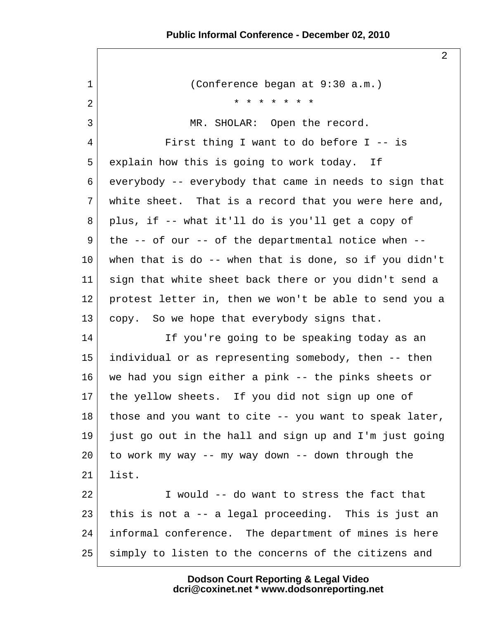2

 1 (Conference began at 9:30 a.m.) 2 \* \* \* \* \* \* \* 3 MR. SHOLAR: Open the record. 4 First thing I want to do before I -- is 5 explain how this is going to work today. If 6 everybody -- everybody that came in needs to sign that 7 white sheet. That is a record that you were here and,  $8 \mid$  plus, if -- what it'll do is you'll get a copy of  $9$  the -- of our -- of the departmental notice when --10 when that is do -- when that is done, so if you didn't 11 sign that white sheet back there or you didn't send a 12 protest letter in, then we won't be able to send you a 13 copy. So we hope that everybody signs that. 14 If you're going to be speaking today as an 15 individual or as representing somebody, then -- then 16 we had you sign either a pink -- the pinks sheets or 17 the yellow sheets. If you did not sign up one of 18 those and you want to cite -- you want to speak later,  $19$  just go out in the hall and sign up and I'm just going  $20$  to work my way -- my way down -- down through the  $21$  list. 22 I would -- do want to stress the fact that 23 this is not a  $-$  a legal proceeding. This is just an 24 informal conference. The department of mines is here 25 simply to listen to the concerns of the citizens and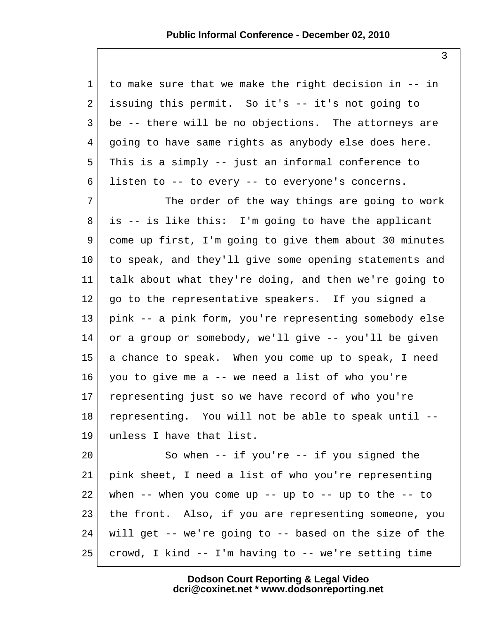| $\mathbf{1}$   | to make sure that we make the right decision in -- in        |
|----------------|--------------------------------------------------------------|
| $\overline{a}$ | issuing this permit. So it's -- it's not going to            |
| 3              | be -- there will be no objections. The attorneys are         |
| 4              | going to have same rights as anybody else does here.         |
| 5              | This is a simply -- just an informal conference to           |
| 6              | listen to -- to every -- to everyone's concerns.             |
| 7              | The order of the way things are going to work                |
| 8              | is -- is like this: I'm going to have the applicant          |
| 9              | come up first, I'm going to give them about 30 minutes       |
| 10             | to speak, and they'll give some opening statements and       |
| 11             | talk about what they're doing, and then we're going to       |
| 12             | go to the representative speakers. If you signed a           |
| 13             | pink -- a pink form, you're representing somebody else       |
| 14             | or a group or somebody, we'll give -- you'll be given        |
| 15             | a chance to speak. When you come up to speak, I need         |
| 16             | you to give me a -- we need a list of who you're             |
| 17             | representing just so we have record of who you're            |
| 18             | representing. You will not be able to speak until --         |
| 19             | unless I have that list.                                     |
| 20             | So when $--$ if you're $--$ if you signed the                |
| 21             | pink sheet, I need a list of who you're representing         |
| 22             | when $--$ when you come up $--$ up to $--$ up to the $--$ to |
| 23             | the front. Also, if you are representing someone, you        |
| 24             | will get -- we're going to -- based on the size of the       |

 $25$  crowd, I kind -- I'm having to -- we're setting time

**Dodson Court Reporting & Legal Video dcri@coxinet.net \* www.dodsonreporting.net**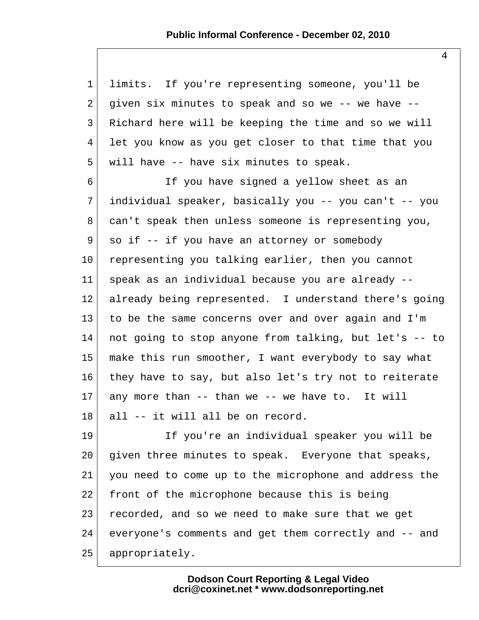1 limits. If you're representing someone, you'll be 2 given six minutes to speak and so we  $-$ - we have  $-$ - 3 Richard here will be keeping the time and so we will 4 let you know as you get closer to that time that you 5 will have -- have six minutes to speak.

 6 If you have signed a yellow sheet as an 7 individual speaker, basically you -- you can't -- you 8 can't speak then unless someone is representing you, 9 so if -- if you have an attorney or somebody 10 representing you talking earlier, then you cannot 11 speak as an individual because you are already -- 12 already being represented. I understand there's going 13 to be the same concerns over and over again and I'm 14 not going to stop anyone from talking, but let's -- to 15 make this run smoother, I want everybody to say what 16 they have to say, but also let's try not to reiterate  $17$  any more than -- than we -- we have to. It will 18 all -- it will all be on record.

19 If you're an individual speaker you will be 20 given three minutes to speak. Everyone that speaks, 21 you need to come up to the microphone and address the 22 front of the microphone because this is being 23 recorded, and so we need to make sure that we get 24 everyone's comments and get them correctly and -- and 25 appropriately.

> **Dodson Court Reporting & Legal Video dcri@coxinet.net \* www.dodsonreporting.net**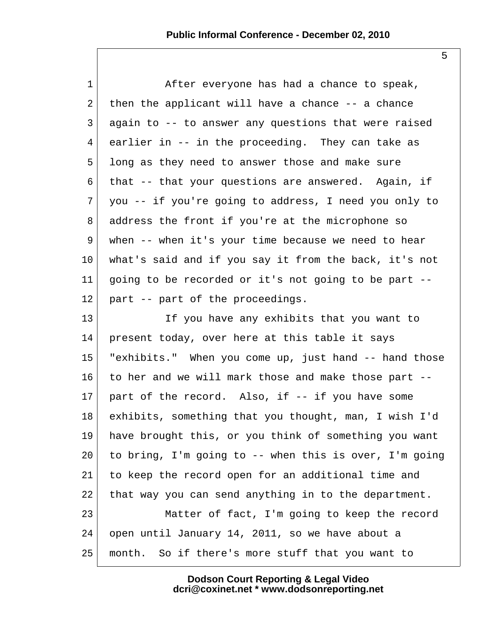| $\mathbf{1}$ | After everyone has had a chance to speak,              |
|--------------|--------------------------------------------------------|
| 2            | then the applicant will have a chance -- a chance      |
| 3            | again to -- to answer any questions that were raised   |
| 4            | earlier in -- in the proceeding. They can take as      |
| 5            | long as they need to answer those and make sure        |
| 6            | that -- that your questions are answered. Again, if    |
| 7            | you -- if you're going to address, I need you only to  |
| 8            | address the front if you're at the microphone so       |
| 9            | when -- when it's your time because we need to hear    |
| $10 \,$      | what's said and if you say it from the back, it's not  |
| 11           | going to be recorded or it's not going to be part --   |
| $12 \,$      | part -- part of the proceedings.                       |
| 13           | If you have any exhibits that you want to              |
| 14           | present today, over here at this table it says         |
| 15           | "exhibits." When you come up, just hand -- hand those  |
| 16           | to her and we will mark those and make those part --   |
| 17           | part of the record. Also, if -- if you have some       |
| 18           | exhibits, something that you thought, man, I wish I'd  |
| 19           | have brought this, or you think of something you want  |
| 20           | to bring, I'm going to -- when this is over, I'm going |
| 21           | to keep the record open for an additional time and     |
| 22           | that way you can send anything in to the department.   |
| 23           | Matter of fact, I'm going to keep the record           |
| 24           | open until January 14, 2011, so we have about a        |
| 25           | month. So if there's more stuff that you want to       |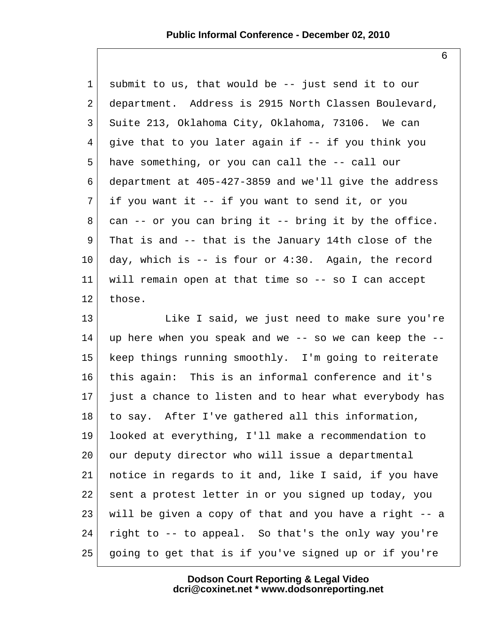1 submit to us, that would be -- just send it to our 2 department. Address is 2915 North Classen Boulevard, 3 Suite 213, Oklahoma City, Oklahoma, 73106. We can  $4 \mid$  give that to you later again if -- if you think you 5 have something, or you can call the -- call our 6 department at 405-427-3859 and we'll give the address  $7$  if you want it -- if you want to send it, or you  $8$  can  $-$  or you can bring it  $-$  bring it by the office. 9 That is and -- that is the January 14th close of the  $10$  day, which is  $-$  is four or 4:30. Again, the record 11 will remain open at that time so -- so I can accept 12 those.

13 Like I said, we just need to make sure you're  $14$  up here when you speak and we -- so we can keep the --15 keep things running smoothly. I'm going to reiterate 16 this again: This is an informal conference and it's  $17$  just a chance to listen and to hear what everybody has 18 to say. After I've gathered all this information, 19 looked at everything, I'll make a recommendation to 20 our deputy director who will issue a departmental 21 notice in regards to it and, like I said, if you have 22 sent a protest letter in or you signed up today, you 23 will be given a copy of that and you have a right -- a 24 right to  $-$  to appeal. So that's the only way you're 25 going to get that is if you've signed up or if you're

> **Dodson Court Reporting & Legal Video dcri@coxinet.net \* www.dodsonreporting.net**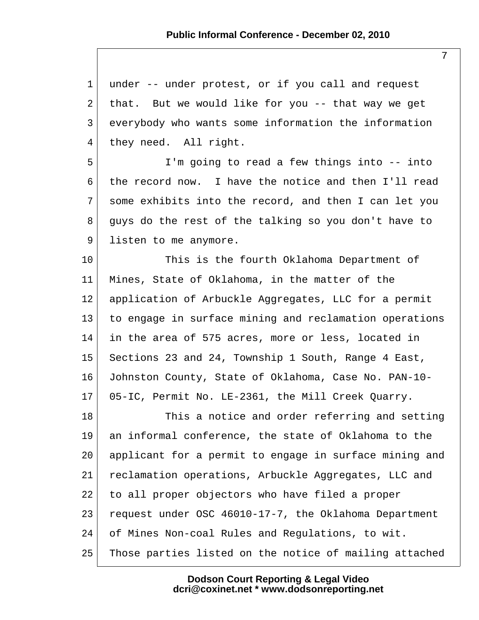1 under -- under protest, or if you call and request 2 that. But we would like for you  $-$ - that way we get 3 everybody who wants some information the information 4 they need. All right.

 5 I'm going to read a few things into -- into 6 the record now. I have the notice and then I'll read 7 some exhibits into the record, and then I can let you 8 quys do the rest of the talking so you don't have to 9 listen to me anymore.

10 This is the fourth Oklahoma Department of 11 Mines, State of Oklahoma, in the matter of the 12 application of Arbuckle Aggregates, LLC for a permit 13 to engage in surface mining and reclamation operations 14 in the area of 575 acres, more or less, located in 15 Sections 23 and 24, Township 1 South, Range 4 East, 16 Johnston County, State of Oklahoma, Case No. PAN-10- 17 05-IC, Permit No. LE-2361, the Mill Creek Quarry.

18 This a notice and order referring and setting 19 an informal conference, the state of Oklahoma to the 20 applicant for a permit to engage in surface mining and 21 reclamation operations, Arbuckle Aggregates, LLC and 22 to all proper objectors who have filed a proper 23 request under OSC 46010-17-7, the Oklahoma Department 24 of Mines Non-coal Rules and Regulations, to wit. 25 Those parties listed on the notice of mailing attached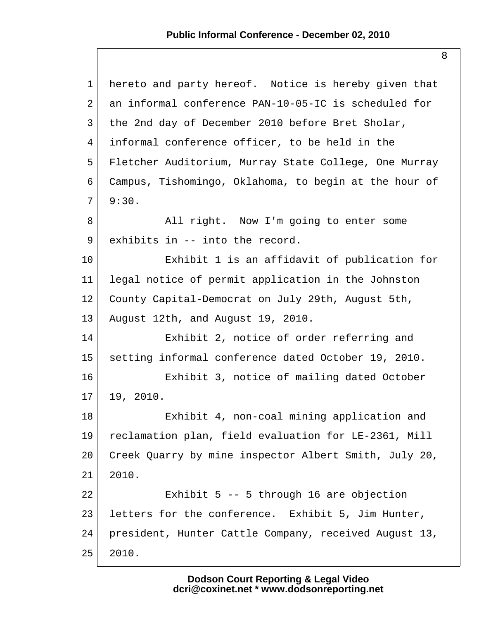| $\mathbf{1}$    | hereto and party hereof. Notice is hereby given that  |
|-----------------|-------------------------------------------------------|
| 2               | an informal conference PAN-10-05-IC is scheduled for  |
| 3               | the 2nd day of December 2010 before Bret Sholar,      |
| 4               | informal conference officer, to be held in the        |
| 5               | Fletcher Auditorium, Murray State College, One Murray |
| 6               | Campus, Tishomingo, Oklahoma, to begin at the hour of |
| $\overline{7}$  | 9:30.                                                 |
| 8               | All right. Now I'm going to enter some                |
| 9               | exhibits in -- into the record.                       |
| 10              | Exhibit 1 is an affidavit of publication for          |
| 11              | legal notice of permit application in the Johnston    |
| 12              | County Capital-Democrat on July 29th, August 5th,     |
| 13              | August 12th, and August 19, 2010.                     |
| 14              | Exhibit 2, notice of order referring and              |
| 15              | setting informal conference dated October 19, 2010.   |
| 16              | Exhibit 3, notice of mailing dated October            |
| 17 <sub>2</sub> | 19, 2010.                                             |
| 18              | Exhibit 4, non-coal mining application and            |
| 19              | reclamation plan, field evaluation for LE-2361, Mill  |
| 20              | Creek Quarry by mine inspector Albert Smith, July 20, |
| 21              | 2010.                                                 |
| 22              | Exhibit $5$ -- $5$ through 16 are objection           |
| 23              | letters for the conference. Exhibit 5, Jim Hunter,    |
| 24              | president, Hunter Cattle Company, received August 13, |
| 25              | 2010.                                                 |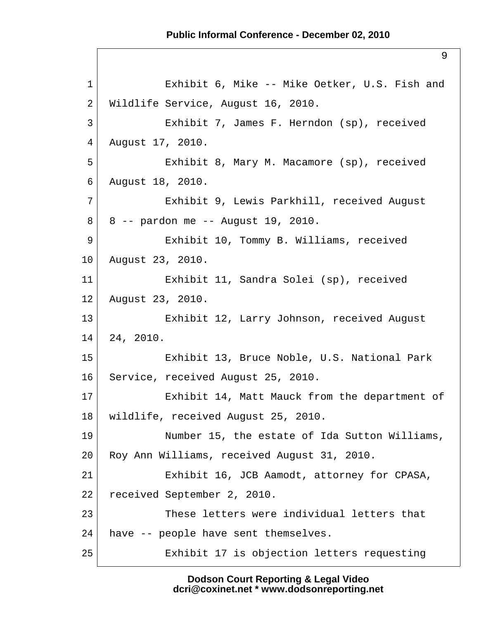9

```
 1 Exhibit 6, Mike -- Mike Oetker, U.S. Fish and
2 Wildlife Service, August 16, 2010.
 3 Exhibit 7, James F. Herndon (sp), received
 4 August 17, 2010.
 5 Exhibit 8, Mary M. Macamore (sp), received
 6 August 18, 2010.
 7 Exhibit 9, Lewis Parkhill, received August
 8 8 -- pardon me -- August 19, 2010.
 9 Exhibit 10, Tommy B. Williams, received
10 August 23, 2010.
11 Exhibit 11, Sandra Solei (sp), received
12 August 23, 2010.
13 Exhibit 12, Larry Johnson, received August
14 24, 2010.
15 Exhibit 13, Bruce Noble, U.S. National Park
16 Service, received August 25, 2010.
17 Exhibit 14, Matt Mauck from the department of
18 wildlife, received August 25, 2010.
19 Number 15, the estate of Ida Sutton Williams,
20 Roy Ann Williams, received August 31, 2010.
21 Exhibit 16, JCB Aamodt, attorney for CPASA,
22 received September 2, 2010.
23 These letters were individual letters that
24 have - people have sent themselves.
25 Exhibit 17 is objection letters requesting
```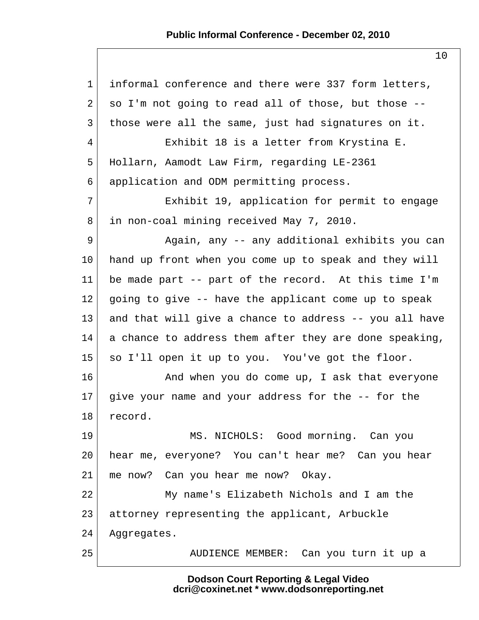## **Public Informal Conference - December 02, 2010**

| $\mathbf 1$    | informal conference and there were 337 form letters,   |
|----------------|--------------------------------------------------------|
| 2              | so I'm not going to read all of those, but those --    |
| $\mathfrak{Z}$ | those were all the same, just had signatures on it.    |
| 4              | Exhibit 18 is a letter from Krystina E.                |
| 5              | Hollarn, Aamodt Law Firm, regarding LE-2361            |
| 6              | application and ODM permitting process.                |
| 7              | Exhibit 19, application for permit to engage           |
| 8              | in non-coal mining received May 7, 2010.               |
| 9              | Again, any -- any additional exhibits you can          |
| 10             | hand up front when you come up to speak and they will  |
| 11             | be made part -- part of the record. At this time I'm   |
| 12             | going to give -- have the applicant come up to speak   |
| 13             | and that will give a chance to address -- you all have |
| 14             | a chance to address them after they are done speaking, |
| 15             | so I'll open it up to you. You've got the floor.       |
| 16             | And when you do come up, I ask that everyone           |
| 17             | give your name and your address for the -- for the     |
| 18             | record.                                                |
| 19             | MS. NICHOLS: Good morning. Can you                     |
| 20             | hear me, everyone? You can't hear me? Can you hear     |
| 21             | me now? Can you hear me now? Okay.                     |
| 22             | My name's Elizabeth Nichols and I am the               |
| 23             | attorney representing the applicant, Arbuckle          |
| 24             | Aggregates.                                            |
| 25             | AUDIENCE MEMBER: Can you turn it up a                  |

**Dodson Court Reporting & Legal Video dcri@coxinet.net \* www.dodsonreporting.net**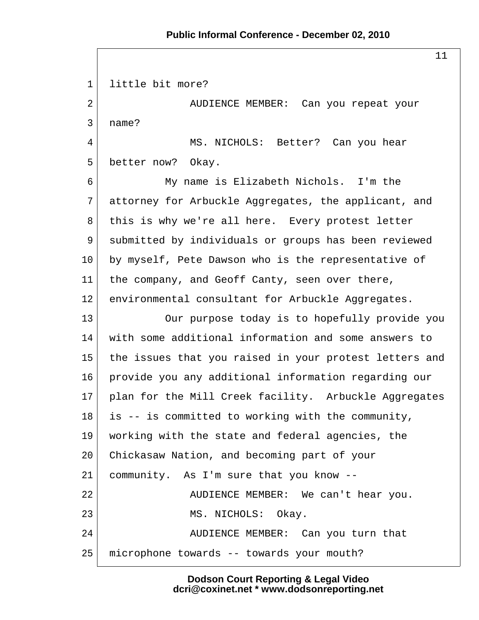11

 1 little bit more? 2 AUDIENCE MEMBER: Can you repeat your 3 name? 4 MS. NICHOLS: Better? Can you hear 5 better now? Okay. 6 My name is Elizabeth Nichols. I'm the 7 attorney for Arbuckle Aggregates, the applicant, and 8 this is why we're all here. Every protest letter 9 submitted by individuals or groups has been reviewed 10 by myself, Pete Dawson who is the representative of 11 the company, and Geoff Canty, seen over there, 12 environmental consultant for Arbuckle Aggregates. 13 Our purpose today is to hopefully provide you 14 with some additional information and some answers to 15 the issues that you raised in your protest letters and 16 provide you any additional information regarding our 17 | plan for the Mill Creek facility. Arbuckle Aggregates 18 is -- is committed to working with the community, 19 working with the state and federal agencies, the 20 Chickasaw Nation, and becoming part of your 21 community. As I'm sure that you know -- 22 | AUDIENCE MEMBER: We can't hear you. 23 MS. NICHOLS: Okay. 24 AUDIENCE MEMBER: Can you turn that 25 microphone towards -- towards your mouth?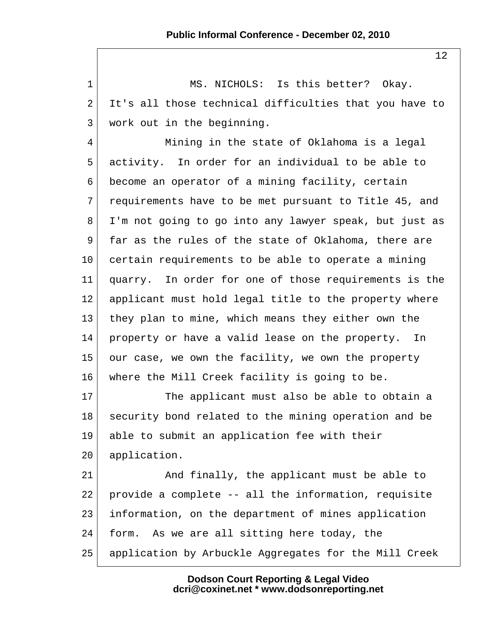1 MS. NICHOLS: Is this better? Okay. 2 It's all those technical difficulties that you have to 3 work out in the beginning. 4 Mining in the state of Oklahoma is a legal 5 activity. In order for an individual to be able to 6 become an operator of a mining facility, certain 7 requirements have to be met pursuant to Title 45, and 8 I'm not going to go into any lawyer speak, but just as 9 far as the rules of the state of Oklahoma, there are 10 certain requirements to be able to operate a mining 11 quarry. In order for one of those requirements is the 12 applicant must hold legal title to the property where 13 they plan to mine, which means they either own the 14 property or have a valid lease on the property. In 15 our case, we own the facility, we own the property 16 where the Mill Creek facility is going to be.  $17$  The applicant must also be able to obtain a 18 | security bond related to the mining operation and be 19 able to submit an application fee with their 20 application. 21 And finally, the applicant must be able to  $22$  provide a complete  $-$  all the information, requisite 23 information, on the department of mines application 24 form. As we are all sitting here today, the 25 application by Arbuckle Aggregates for the Mill Creek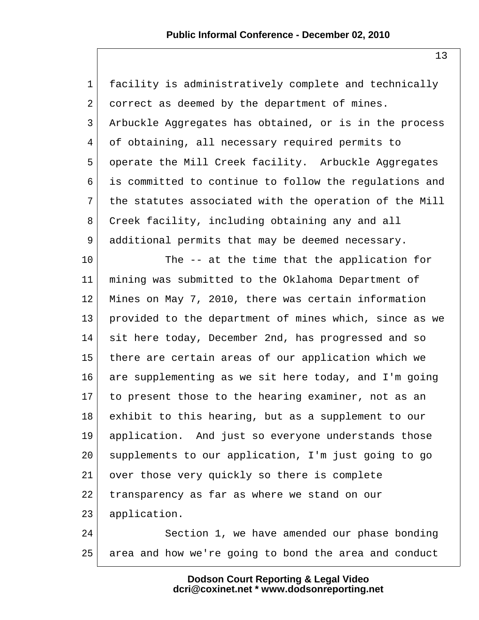| $\mathbf 1$    | facility is administratively complete and technically  |
|----------------|--------------------------------------------------------|
| $\overline{a}$ | correct as deemed by the department of mines.          |
| 3              | Arbuckle Aggregates has obtained, or is in the process |
| 4              | of obtaining, all necessary required permits to        |
| 5              | operate the Mill Creek facility. Arbuckle Aggregates   |
| 6              | is committed to continue to follow the regulations and |
| 7              | the statutes associated with the operation of the Mill |
| 8              | Creek facility, including obtaining any and all        |
| 9              | additional permits that may be deemed necessary.       |
| 10             | The -- at the time that the application for            |
| 11             | mining was submitted to the Oklahoma Department of     |
| 12             | Mines on May 7, 2010, there was certain information    |
| 13             | provided to the department of mines which, since as we |
| 14             | sit here today, December 2nd, has progressed and so    |
| 15             | there are certain areas of our application which we    |
| 16             | are supplementing as we sit here today, and I'm going  |
| 17             | to present those to the hearing examiner, not as an    |
| 18             | exhibit to this hearing, but as a supplement to our    |
| 19             | application. And just so everyone understands those    |
| 20             | supplements to our application, I'm just going to go   |
| 21             | over those very quickly so there is complete           |
| 22             | transparency as far as where we stand on our           |
| 23             | application.                                           |
| 24             | Section 1, we have amended our phase bonding           |
| 25             | area and how we're going to bond the area and conduct  |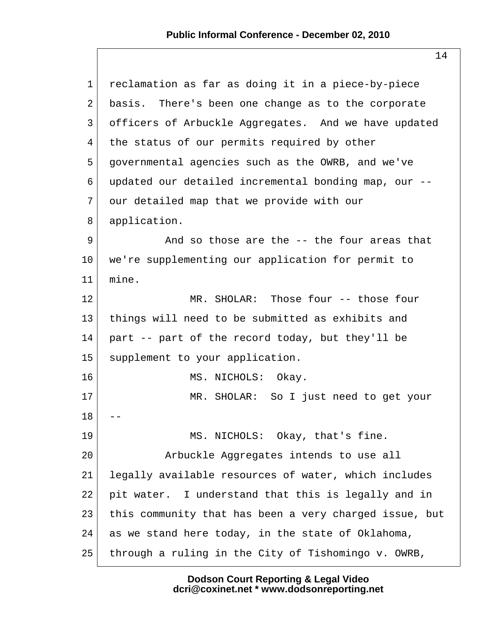| $\mathbf 1$ | reclamation as far as doing it in a piece-by-piece     |
|-------------|--------------------------------------------------------|
| 2           | basis. There's been one change as to the corporate     |
| 3           | officers of Arbuckle Aggregates. And we have updated   |
| 4           | the status of our permits required by other            |
| 5           | governmental agencies such as the OWRB, and we've      |
| 6           | updated our detailed incremental bonding map, our --   |
| 7           | our detailed map that we provide with our              |
| 8           | application.                                           |
| 9           | And so those are the -- the four areas that            |
| 10          | we're supplementing our application for permit to      |
| 11          | mine.                                                  |
| 12          | MR. SHOLAR: Those four -- those four                   |
| 13          | things will need to be submitted as exhibits and       |
| 14          | part -- part of the record today, but they'll be       |
| 15          | supplement to your application.                        |
| 16          | MS. NICHOLS: Okay.                                     |
| 17          | MR. SHOLAR: So I just need to get your                 |
| 18          |                                                        |
| 19          | MS. NICHOLS: Okay, that's fine.                        |
| 20          | Arbuckle Aggregates intends to use all                 |
| 21          | legally available resources of water, which includes   |
| 22          | pit water. I understand that this is legally and in    |
| 23          | this community that has been a very charged issue, but |
| 24          | as we stand here today, in the state of Oklahoma,      |
| 25          | through a ruling in the City of Tishomingo v. OWRB,    |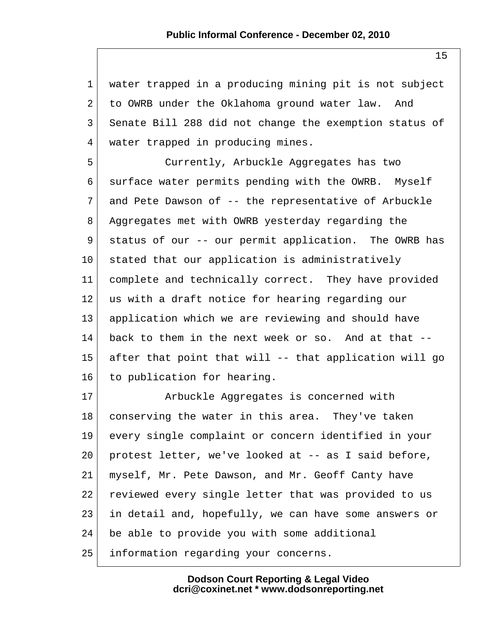1 water trapped in a producing mining pit is not subject 2 to OWRB under the Oklahoma ground water law. And 3 Senate Bill 288 did not change the exemption status of 4 water trapped in producing mines.

 5 Currently, Arbuckle Aggregates has two 6 surface water permits pending with the OWRB. Myself 7 and Pete Dawson of -- the representative of Arbuckle 8 Aggregates met with OWRB yesterday regarding the 9 status of our -- our permit application. The OWRB has 10 stated that our application is administratively 11 complete and technically correct. They have provided 12 us with a draft notice for hearing regarding our 13 application which we are reviewing and should have 14 back to them in the next week or so. And at that -- 15 after that point that will -- that application will go 16 to publication for hearing.

17 Arbuckle Aggregates is concerned with 18 conserving the water in this area. They've taken 19 every single complaint or concern identified in your 20 protest letter, we've looked at -- as I said before, 21 myself, Mr. Pete Dawson, and Mr. Geoff Canty have 22 reviewed every single letter that was provided to us 23 in detail and, hopefully, we can have some answers or 24 be able to provide you with some additional 25 information regarding your concerns.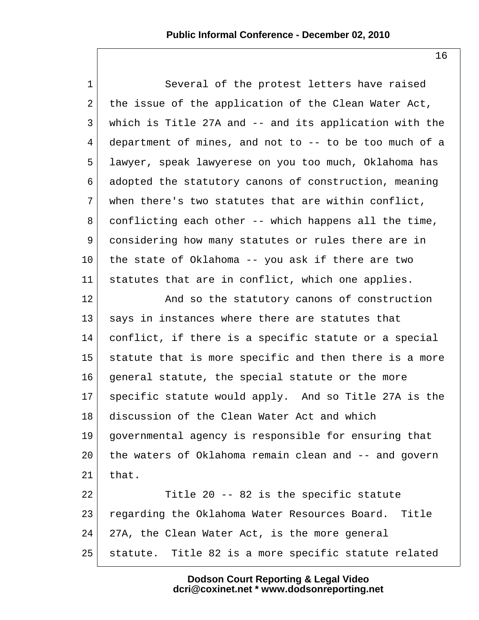1 Several of the protest letters have raised 2 the issue of the application of the Clean Water Act, 3 which is Title 27A and -- and its application with the 4 department of mines, and not to -- to be too much of a 5 lawyer, speak lawyerese on you too much, Oklahoma has 6 adopted the statutory canons of construction, meaning  $7$  when there's two statutes that are within conflict, 8 conflicting each other -- which happens all the time, 9 considering how many statutes or rules there are in 10 the state of Oklahoma -- you ask if there are two 11 statutes that are in conflict, which one applies. 12 and so the statutory canons of construction 13 says in instances where there are statutes that 14 conflict, if there is a specific statute or a special 15 statute that is more specific and then there is a more 16 general statute, the special statute or the more 17 specific statute would apply. And so Title 27A is the 18 discussion of the Clean Water Act and which 19 governmental agency is responsible for ensuring that 20 the waters of Oklahoma remain clean and -- and govern  $21$  that.  $22$  Title 20 -- 82 is the specific statute 23 regarding the Oklahoma Water Resources Board. Title 24 27A, the Clean Water Act, is the more general 25 statute. Title 82 is a more specific statute related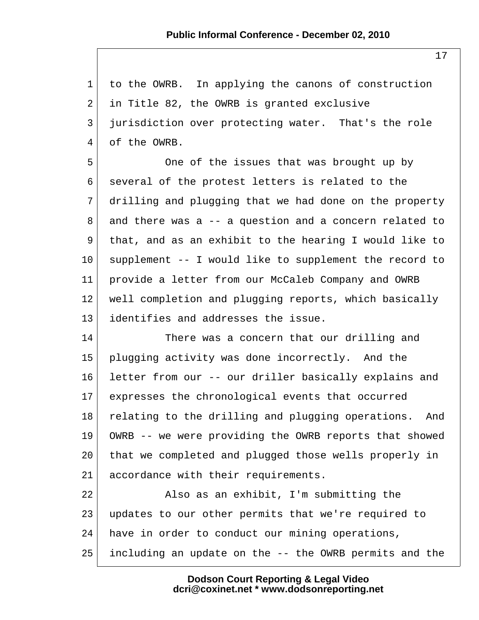1 to the OWRB. In applying the canons of construction  $2$  in Title 82, the OWRB is granted exclusive 3 jurisdiction over protecting water. That's the role 4 of the OWRB.

5 One of the issues that was brought up by 6 several of the protest letters is related to the 7 drilling and plugging that we had done on the property 8 and there was a -- a question and a concern related to 9 that, and as an exhibit to the hearing I would like to 10 supplement -- I would like to supplement the record to 11 provide a letter from our McCaleb Company and OWRB 12 well completion and plugging reports, which basically 13 identifies and addresses the issue.

14 There was a concern that our drilling and 15 plugging activity was done incorrectly. And the 16 letter from our -- our driller basically explains and 17 expresses the chronological events that occurred 18 relating to the drilling and plugging operations. And 19 OWRB -- we were providing the OWRB reports that showed 20 that we completed and plugged those wells properly in 21 accordance with their requirements.

22 Also as an exhibit, I'm submitting the 23 updates to our other permits that we're required to 24 have in order to conduct our mining operations, 25 including an update on the -- the OWRB permits and the

> **Dodson Court Reporting & Legal Video dcri@coxinet.net \* www.dodsonreporting.net**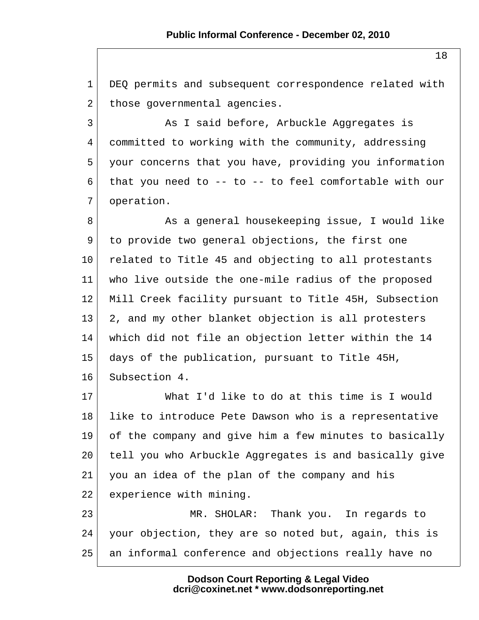1 DEQ permits and subsequent correspondence related with 2 those governmental agencies.

3 As I said before, Arbuckle Aggregates is 4 committed to working with the community, addressing 5 your concerns that you have, providing you information 6 that you need to -- to -- to feel comfortable with our 7 operation.

8 As a general housekeeping issue, I would like 9 to provide two general objections, the first one 10 related to Title 45 and objecting to all protestants 11 who live outside the one-mile radius of the proposed 12 Mill Creek facility pursuant to Title 45H, Subsection 13 2, and my other blanket objection is all protesters 14 which did not file an objection letter within the 14 15 days of the publication, pursuant to Title 45H, 16 Subsection 4.

17 What I'd like to do at this time is I would 18 | like to introduce Pete Dawson who is a representative 19 of the company and give him a few minutes to basically 20 tell you who Arbuckle Aggregates is and basically give 21 you an idea of the plan of the company and his 22 experience with mining.

23 MR. SHOLAR: Thank you. In regards to 24 your objection, they are so noted but, again, this is 25 an informal conference and objections really have no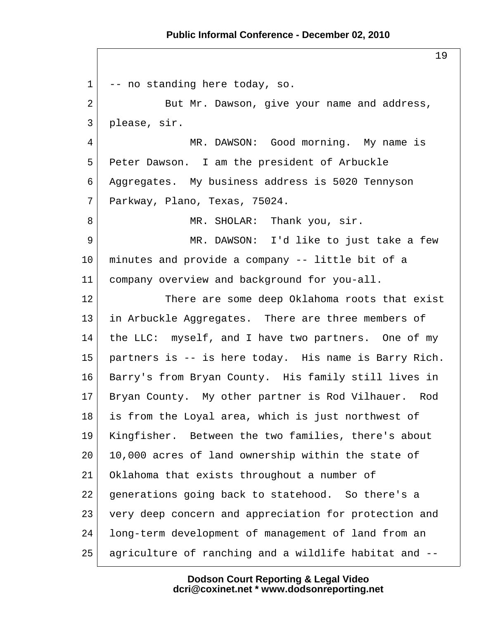1 -- no standing here today, so. 2 But Mr. Dawson, give your name and address, 3 please, sir. 4 MR. DAWSON: Good morning. My name is 5 Peter Dawson. I am the president of Arbuckle 6 Aggregates. My business address is 5020 Tennyson 7 Parkway, Plano, Texas, 75024. 8 MR. SHOLAR: Thank you, sir. 9 MR. DAWSON: I'd like to just take a few 10 minutes and provide a company -- little bit of a 11 company overview and background for you-all. 12 There are some deep Oklahoma roots that exist 13 in Arbuckle Aggregates. There are three members of 14 the LLC: myself, and I have two partners. One of my 15 partners is -- is here today. His name is Barry Rich. 16 Barry's from Bryan County. His family still lives in 17 Bryan County. My other partner is Rod Vilhauer. Rod 18 is from the Loyal area, which is just northwest of 19 Kingfisher. Between the two families, there's about 20 10,000 acres of land ownership within the state of 21 Oklahoma that exists throughout a number of 22 generations going back to statehood. So there's a 23 very deep concern and appreciation for protection and 24 long-term development of management of land from an 25 agriculture of ranching and a wildlife habitat and --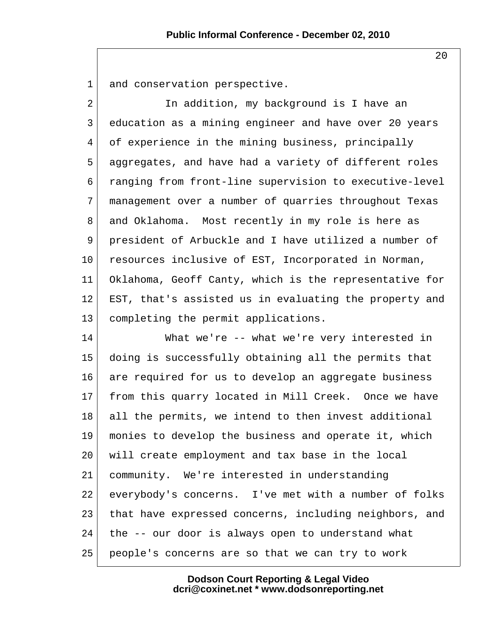1 and conservation perspective.

2 In addition, my background is I have an 3 education as a mining engineer and have over 20 years 4 of experience in the mining business, principally 5 aggregates, and have had a variety of different roles 6 ranging from front-line supervision to executive-level 7 management over a number of quarries throughout Texas 8 and Oklahoma. Most recently in my role is here as 9 president of Arbuckle and I have utilized a number of 10 resources inclusive of EST, Incorporated in Norman, 11 Oklahoma, Geoff Canty, which is the representative for 12 EST, that's assisted us in evaluating the property and 13 completing the permit applications.

14 What we're -- what we're very interested in 15 doing is successfully obtaining all the permits that 16 are required for us to develop an aggregate business 17 from this quarry located in Mill Creek. Once we have 18 all the permits, we intend to then invest additional 19 monies to develop the business and operate it, which 20 will create employment and tax base in the local 21 community. We're interested in understanding 22 everybody's concerns. I've met with a number of folks 23 that have expressed concerns, including neighbors, and  $24$  the  $-$  our door is always open to understand what 25 people's concerns are so that we can try to work

> **Dodson Court Reporting & Legal Video dcri@coxinet.net \* www.dodsonreporting.net**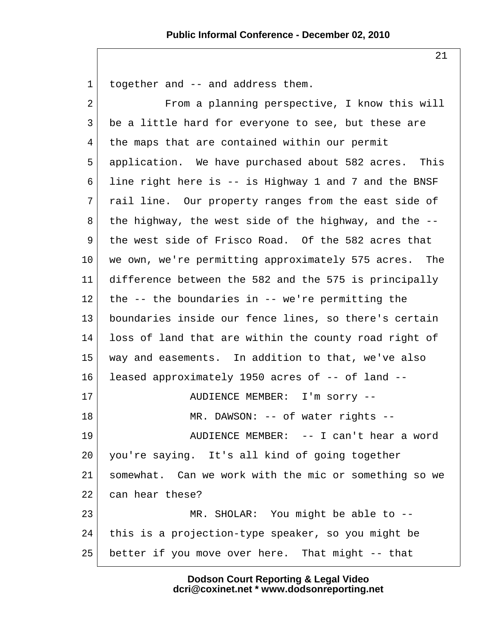$1$  together and  $-$  and address them. 2 From a planning perspective, I know this will 3 be a little hard for everyone to see, but these are 4 the maps that are contained within our permit 5 application. We have purchased about 582 acres. This 6 line right here is -- is Highway 1 and 7 and the BNSF 7 rail line. Our property ranges from the east side of  $8$  the highway, the west side of the highway, and the  $-$ - 9 the west side of Frisco Road. Of the 582 acres that 10 we own, we're permitting approximately 575 acres. The 11 difference between the 582 and the 575 is principally  $12$  the  $-$  the boundaries in  $-$  we're permitting the 13 boundaries inside our fence lines, so there's certain 14 loss of land that are within the county road right of 15 way and easements. In addition to that, we've also 16 leased approximately 1950 acres of -- of land -- 17 | AUDIENCE MEMBER: I'm sorry --18 MR. DAWSON: -- of water rights --19 AUDIENCE MEMBER: -- I can't hear a word 20 you're saying. It's all kind of going together 21 somewhat. Can we work with the mic or something so we 22 can hear these? 23 MR. SHOLAR: You might be able to --24 this is a projection-type speaker, so you might be 25 better if you move over here. That might -- that

> **Dodson Court Reporting & Legal Video dcri@coxinet.net \* www.dodsonreporting.net**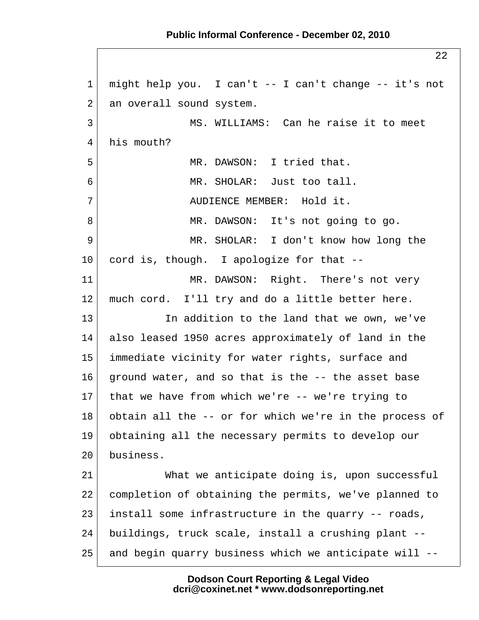1 might help you. I can't -- I can't change -- it's not 2 an overall sound system. 3 MS. WILLIAMS: Can he raise it to meet 4 his mouth? 5 MR. DAWSON: I tried that. 6 MR. SHOLAR: Just too tall. 7 AUDIENCE MEMBER: Hold it. 8 MR. DAWSON: It's not going to go. 9 MR. SHOLAR: I don't know how long the 10 cord is, though. I apologize for that --11 MR. DAWSON: Right. There's not very 12 much cord. I'll try and do a little better here. 13 In addition to the land that we own, we've 14 also leased 1950 acres approximately of land in the 15 immediate vicinity for water rights, surface and 16 ground water, and so that is the -- the asset base  $17$  that we have from which we're -- we're trying to 18 obtain all the -- or for which we're in the process of 19 obtaining all the necessary permits to develop our 20 business. 21 What we anticipate doing is, upon successful 22 completion of obtaining the permits, we've planned to 23 install some infrastructure in the quarry -- roads, 24 buildings, truck scale, install a crushing plant -- 25 and begin quarry business which we anticipate will --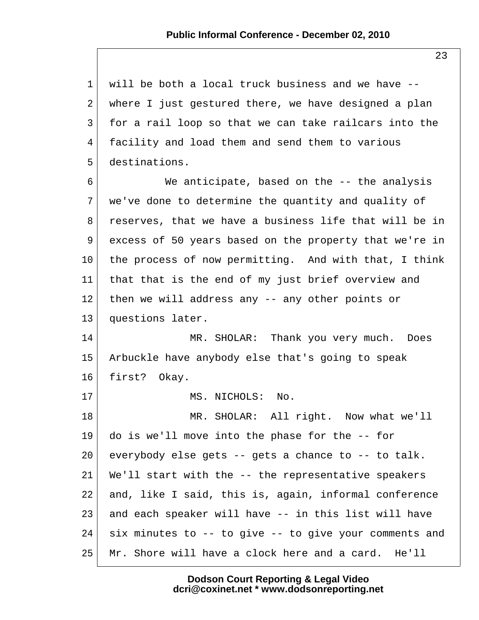1 will be both a local truck business and we have -- 2 where I just gestured there, we have designed a plan 3 for a rail loop so that we can take railcars into the 4 facility and load them and send them to various 5 destinations. 6 We anticipate, based on the -- the analysis 7 we've done to determine the quantity and quality of 8 reserves, that we have a business life that will be in 9 excess of 50 years based on the property that we're in 10 the process of now permitting. And with that, I think 11 that that is the end of my just brief overview and 12 then we will address any -- any other points or 13 questions later. 14 MR. SHOLAR: Thank you very much. Does 15 Arbuckle have anybody else that's going to speak 16 first? Okay. 17 MS. NICHOLS: No. 18 MR. SHOLAR: All right. Now what we'll 19 do is we'll move into the phase for the -- for 20 everybody else gets  $-$  gets a chance to  $-$  to talk. 21 We'll start with the -- the representative speakers 22 and, like I said, this is, again, informal conference 23 and each speaker will have -- in this list will have  $24$  six minutes to  $-$  to give  $-$  to give your comments and 25 Mr. Shore will have a clock here and a card. He'll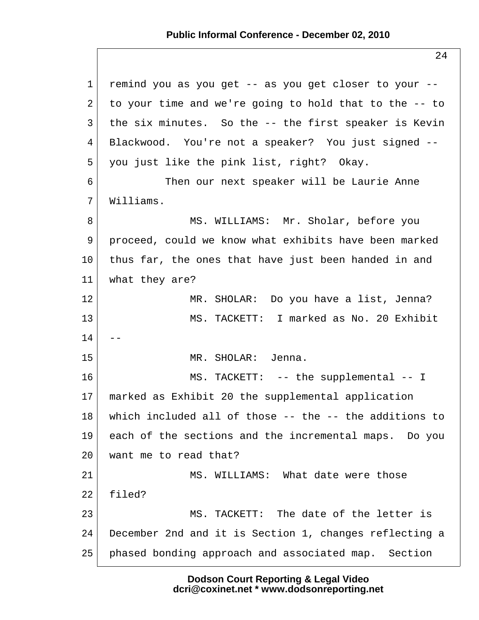24

| $\mathbf{1}$   | remind you as you get -- as you get closer to your --  |
|----------------|--------------------------------------------------------|
| $\overline{a}$ | to your time and we're going to hold that to the -- to |
| 3              | the six minutes. So the -- the first speaker is Kevin  |
| 4              | Blackwood. You're not a speaker? You just signed --    |
| 5              | you just like the pink list, right? Okay.              |
| 6              | Then our next speaker will be Laurie Anne              |
| 7              | Williams.                                              |
| 8              | MS. WILLIAMS: Mr. Sholar, before you                   |
| 9              | proceed, could we know what exhibits have been marked  |
| $10 \,$        | thus far, the ones that have just been handed in and   |
| 11             | what they are?                                         |
| 12             | MR. SHOLAR: Do you have a list, Jenna?                 |
| 13             | MS. TACKETT: I marked as No. 20 Exhibit                |
| 14             |                                                        |
| 15             | MR. SHOLAR: Jenna.                                     |
| 16             | MS. TACKETT: -- the supplemental -- I                  |
| $17 \,$        | marked as Exhibit 20 the supplemental application      |
| 18             | which included all of those -- the -- the additions to |
| 19             | each of the sections and the incremental maps. Do you  |
| 20             | want me to read that?                                  |
| 21             | MS. WILLIAMS: What date were those                     |
| 22             | filed?                                                 |
| 23             | The date of the letter is<br>MS. TACKETT:              |
| 24             | December 2nd and it is Section 1, changes reflecting a |
| 25             | phased bonding approach and associated map. Section    |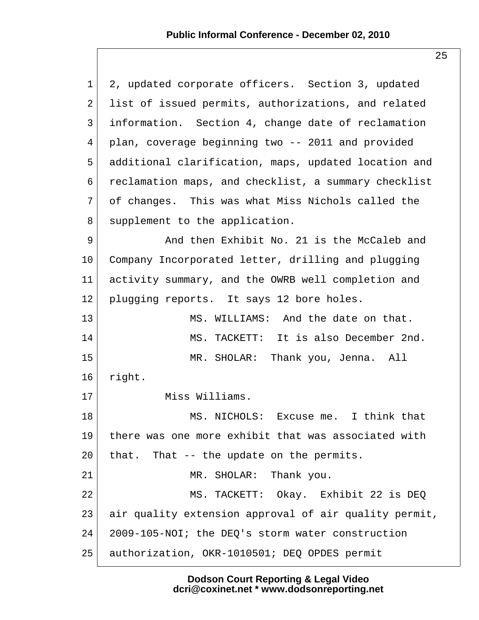| $\mathbf 1$ | 2, updated corporate officers. Section 3, updated     |
|-------------|-------------------------------------------------------|
| 2           | list of issued permits, authorizations, and related   |
| 3           | information. Section 4, change date of reclamation    |
| 4           | plan, coverage beginning two -- 2011 and provided     |
| 5           | additional clarification, maps, updated location and  |
| 6           | reclamation maps, and checklist, a summary checklist  |
| 7           | of changes. This was what Miss Nichols called the     |
| 8           | supplement to the application.                        |
| 9           | And then Exhibit No. 21 is the McCaleb and            |
| 10          | Company Incorporated letter, drilling and plugging    |
| 11          | activity summary, and the OWRB well completion and    |
| 12          | plugging reports. It says 12 bore holes.              |
| 13          | MS. WILLIAMS: And the date on that.                   |
| 14          | MS. TACKETT: It is also December 2nd.                 |
| 15          | MR. SHOLAR: Thank you, Jenna. All                     |
| 16          | right.                                                |
| 17          | Miss Williams.                                        |
| 18          | MS. NICHOLS: Excuse me. I think that                  |
| 19          | there was one more exhibit that was associated with   |
| 20          | that. That -- the update on the permits.              |
| 21          | MR. SHOLAR: Thank you.                                |
| 22          | MS. TACKETT: Okay. Exhibit 22 is DEQ                  |
| 23          | air quality extension approval of air quality permit, |
| 24          | 2009-105-NOI; the DEQ's storm water construction      |
| 25          | authorization, OKR-1010501; DEQ OPDES permit          |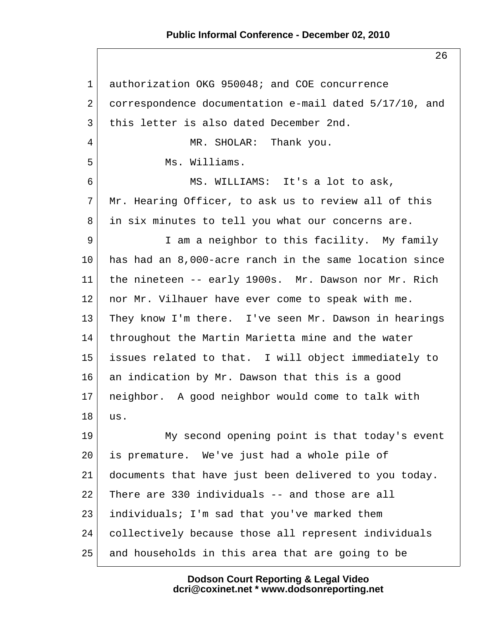26

 1 authorization OKG 950048; and COE concurrence 2 correspondence documentation e-mail dated 5/17/10, and 3 this letter is also dated December 2nd. 4 MR. SHOLAR: Thank you. 5 Ms. Williams. 6 MS. WILLIAMS: It's a lot to ask, 7 Mr. Hearing Officer, to ask us to review all of this 8 in six minutes to tell you what our concerns are. 9 I am a neighbor to this facility. My family 10 has had an 8,000-acre ranch in the same location since 11 the nineteen -- early 1900s. Mr. Dawson nor Mr. Rich 12 nor Mr. Vilhauer have ever come to speak with me. 13 They know I'm there. I've seen Mr. Dawson in hearings 14 throughout the Martin Marietta mine and the water 15 issues related to that. I will object immediately to 16 an indication by Mr. Dawson that this is a good 17 neighbor. A good neighbor would come to talk with  $18$  us. 19 My second opening point is that today's event 20 is premature. We've just had a whole pile of 21 documents that have just been delivered to you today. 22 There are 330 individuals -- and those are all 23 individuals; I'm sad that you've marked them 24 collectively because those all represent individuals 25 and households in this area that are going to be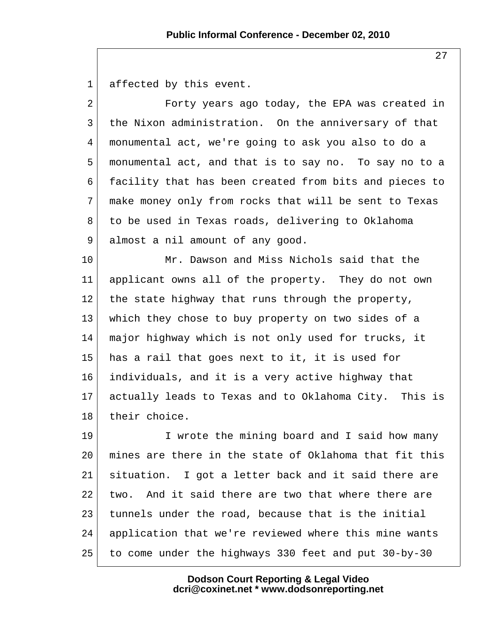1 affected by this event.

2 Forty years ago today, the EPA was created in 3 the Nixon administration. On the anniversary of that 4 monumental act, we're going to ask you also to do a 5 monumental act, and that is to say no. To say no to a 6 facility that has been created from bits and pieces to 7 make money only from rocks that will be sent to Texas 8 to be used in Texas roads, delivering to Oklahoma 9 almost a nil amount of any good.

10 Mr. Dawson and Miss Nichols said that the 11 applicant owns all of the property. They do not own 12 the state highway that runs through the property, 13 which they chose to buy property on two sides of a 14 major highway which is not only used for trucks, it 15 has a rail that goes next to it, it is used for 16 individuals, and it is a very active highway that 17 actually leads to Texas and to Oklahoma City. This is 18 their choice.

19 I wrote the mining board and I said how many 20 mines are there in the state of Oklahoma that fit this 21 situation. I got a letter back and it said there are 22 two. And it said there are two that where there are 23 tunnels under the road, because that is the initial 24 application that we're reviewed where this mine wants 25 to come under the highways 330 feet and put 30-by-30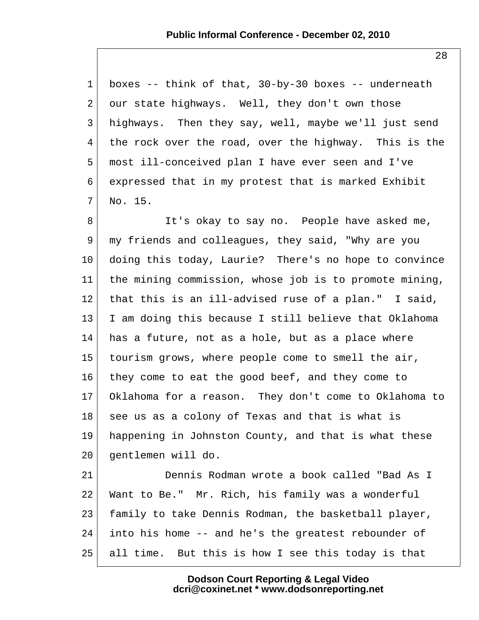1 boxes -- think of that, 30-by-30 boxes -- underneath  $2$  our state highways. Well, they don't own those 3 highways. Then they say, well, maybe we'll just send 4 the rock over the road, over the highway. This is the 5 most ill-conceived plan I have ever seen and I've 6 expressed that in my protest that is marked Exhibit  $7!$  No. 15.

8 It's okay to say no. People have asked me, 9 my friends and colleagues, they said, "Why are you 10 doing this today, Laurie? There's no hope to convince 11 the mining commission, whose job is to promote mining, 12 that this is an ill-advised ruse of a plan." I said, 13 I am doing this because I still believe that Oklahoma  $14$  has a future, not as a hole, but as a place where 15 tourism grows, where people come to smell the air, 16 they come to eat the good beef, and they come to 17 Oklahoma for a reason. They don't come to Oklahoma to 18 see us as a colony of Texas and that is what is 19 happening in Johnston County, and that is what these 20 gentlemen will do.

21 Dennis Rodman wrote a book called "Bad As I 22 Want to Be." Mr. Rich, his family was a wonderful 23 family to take Dennis Rodman, the basketball player, 24 into his home -- and he's the greatest rebounder of 25 all time. But this is how I see this today is that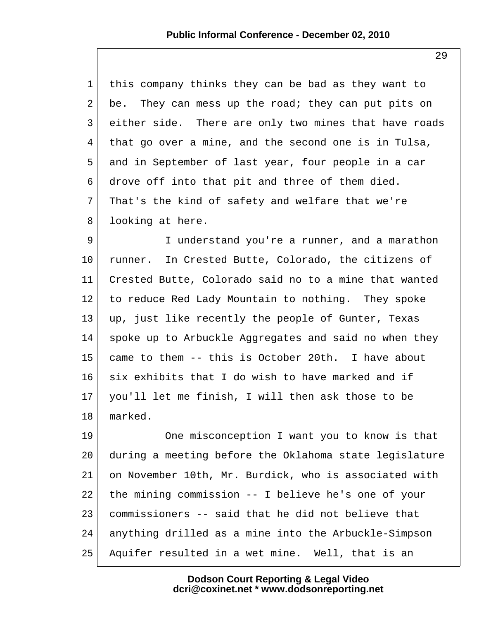| 1              | this company thinks they can be bad as they want to   |
|----------------|-------------------------------------------------------|
| $\overline{2}$ | be. They can mess up the road; they can put pits on   |
| $\mathsf{3}$   | either side. There are only two mines that have roads |
| $\overline{4}$ | that go over a mine, and the second one is in Tulsa,  |
| 5              | and in September of last year, four people in a car   |
| 6              | drove off into that pit and three of them died.       |
| 7 <sup>7</sup> | That's the kind of safety and welfare that we're      |
| 8              | looking at here.                                      |
| $\overline{9}$ | I understand you're a runner, and a marathon          |
| 10             | runner. In Crested Butte, Colorado, the citizens of   |

11 Crested Butte, Colorado said no to a mine that wanted 12 to reduce Red Lady Mountain to nothing. They spoke  $13$  up, just like recently the people of Gunter, Texas 14 spoke up to Arbuckle Aggregates and said no when they 15 came to them -- this is October 20th. I have about 16 six exhibits that I do wish to have marked and if 17 you'll let me finish, I will then ask those to be 18 marked.

19 One misconception I want you to know is that 20 during a meeting before the Oklahoma state legislature 21 on November 10th, Mr. Burdick, who is associated with 22 the mining commission -- I believe he's one of your 23 commissioners -- said that he did not believe that 24 anything drilled as a mine into the Arbuckle-Simpson 25 Aquifer resulted in a wet mine. Well, that is an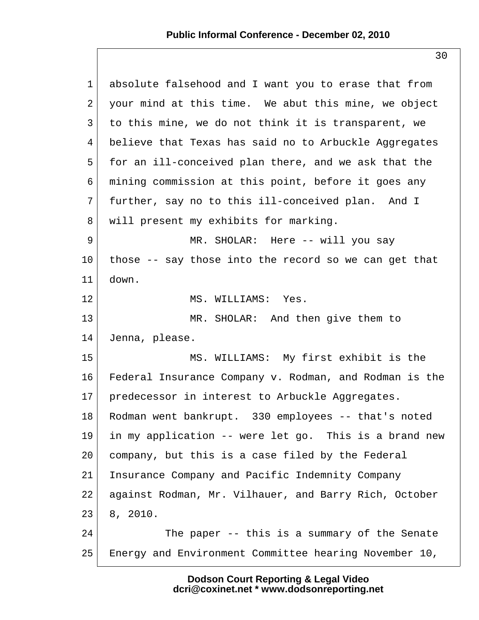| $\mathbf 1$ | absolute falsehood and I want you to erase that from   |
|-------------|--------------------------------------------------------|
| 2           | your mind at this time. We abut this mine, we object   |
| 3           | to this mine, we do not think it is transparent, we    |
| 4           | believe that Texas has said no to Arbuckle Aggregates  |
| 5           | for an ill-conceived plan there, and we ask that the   |
| 6           | mining commission at this point, before it goes any    |
| 7           | further, say no to this ill-conceived plan. And I      |
| 8           | will present my exhibits for marking.                  |
| 9           | MR. SHOLAR: Here -- will you say                       |
| 10          | those -- say those into the record so we can get that  |
| 11          | down.                                                  |
| 12          | MS. WILLIAMS: Yes.                                     |
| 13          | MR. SHOLAR: And then give them to                      |
| 14          | Jenna, please.                                         |
| 15          | MS. WILLIAMS: My first exhibit is the                  |
| 16          | Federal Insurance Company v. Rodman, and Rodman is the |
| 17          | predecessor in interest to Arbuckle Aggregates.        |
| 18          | Rodman went bankrupt. 330 employees -- that's noted    |
| 19          | in my application -- were let go. This is a brand new  |
| 20          | company, but this is a case filed by the Federal       |
| 21          | Insurance Company and Pacific Indemnity Company        |
| 22          | against Rodman, Mr. Vilhauer, and Barry Rich, October  |
| 23          | 8, 2010.                                               |
| 24          | The paper -- this is a summary of the Senate           |
| 25          | Energy and Environment Committee hearing November 10,  |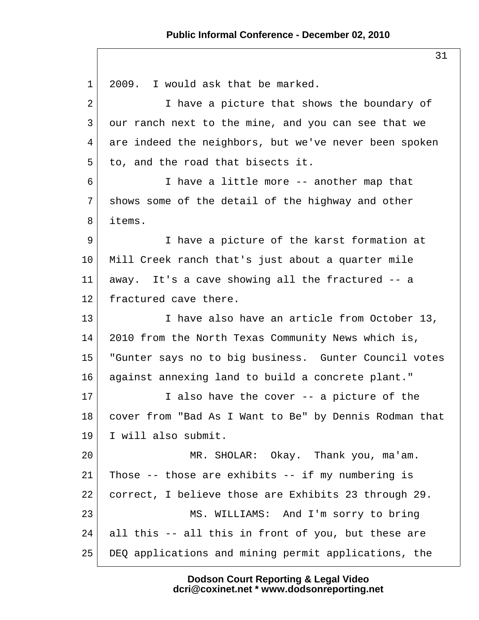1 2009. I would ask that be marked. 2 I have a picture that shows the boundary of 3 our ranch next to the mine, and you can see that we 4 are indeed the neighbors, but we've never been spoken  $5$  to, and the road that bisects it. 6 I have a little more -- another map that 7 shows some of the detail of the highway and other 8 items. 9 I have a picture of the karst formation at 10 Mill Creek ranch that's just about a quarter mile 11 away. It's a cave showing all the fractured -- a 12 fractured cave there. 13 I have also have an article from October 13, 14 2010 from the North Texas Community News which is, 15 "Gunter says no to big business. Gunter Council votes 16 against annexing land to build a concrete plant." 17 I also have the cover -- a picture of the 18 cover from "Bad As I Want to Be" by Dennis Rodman that 19 I will also submit. 20 MR. SHOLAR: Okay. Thank you, ma'am. 21 Those -- those are exhibits -- if my numbering is 22 correct, I believe those are Exhibits 23 through 29. 23 MS. WILLIAMS: And I'm sorry to bring  $24$  all this -- all this in front of you, but these are 25 DEQ applications and mining permit applications, the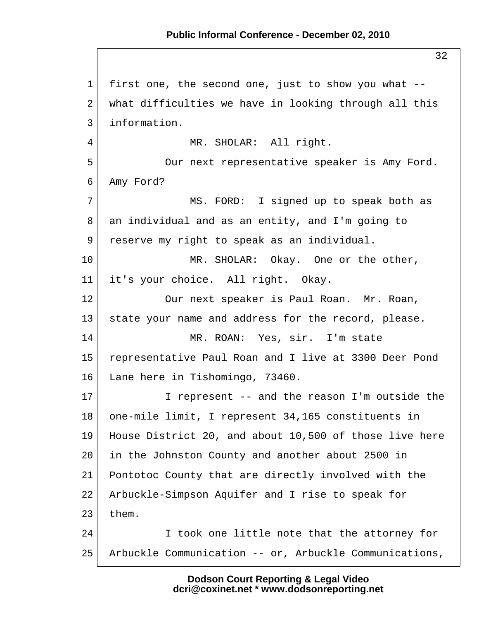1 first one, the second one, just to show you what --  $2$  what difficulties we have in looking through all this 3 information. 4 MR. SHOLAR: All right. 5 Our next representative speaker is Amy Ford. 6 Amy Ford? 7 MS. FORD: I signed up to speak both as 8 an individual and as an entity, and I'm going to 9 reserve my right to speak as an individual. 10 MR. SHOLAR: Okay. One or the other, 11 it's your choice. All right. Okay. 12 Our next speaker is Paul Roan. Mr. Roan, 13 | state your name and address for the record, please. 14 MR. ROAN: Yes, sir. I'm state 15 representative Paul Roan and I live at 3300 Deer Pond 16 Lane here in Tishomingo, 73460. 17 I represent -- and the reason I'm outside the 18 | one-mile limit, I represent 34,165 constituents in 19 House District 20, and about 10,500 of those live here 20 in the Johnston County and another about 2500 in 21 Pontotoc County that are directly involved with the 22 Arbuckle-Simpson Aquifer and I rise to speak for  $23$  them. 24 I took one little note that the attorney for 25 Arbuckle Communication -- or, Arbuckle Communications,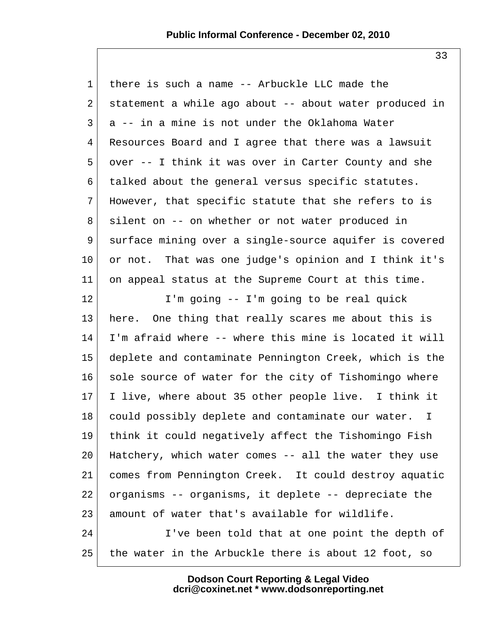1 there is such a name -- Arbuckle LLC made the 2 statement a while ago about  $-$  about water produced in  $3 \mid a -- in a$  mine is not under the Oklahoma Water 4 Resources Board and I agree that there was a lawsuit 5 over -- I think it was over in Carter County and she 6 talked about the general versus specific statutes. 7 However, that specific statute that she refers to is 8 silent on -- on whether or not water produced in 9 surface mining over a single-source aquifer is covered 10 or not. That was one judge's opinion and I think it's 11 on appeal status at the Supreme Court at this time. 12 I'm going -- I'm going to be real quick 13 here. One thing that really scares me about this is 14 I'm afraid where -- where this mine is located it will 15 deplete and contaminate Pennington Creek, which is the 16 sole source of water for the city of Tishomingo where 17 I live, where about 35 other people live. I think it 18 could possibly deplete and contaminate our water. I 19 think it could negatively affect the Tishomingo Fish 20 Hatchery, which water comes -- all the water they use 21 comes from Pennington Creek. It could destroy aquatic 22 organisms -- organisms, it deplete -- depreciate the 23 amount of water that's available for wildlife. 24 I've been told that at one point the depth of 25 the water in the Arbuckle there is about 12 foot, so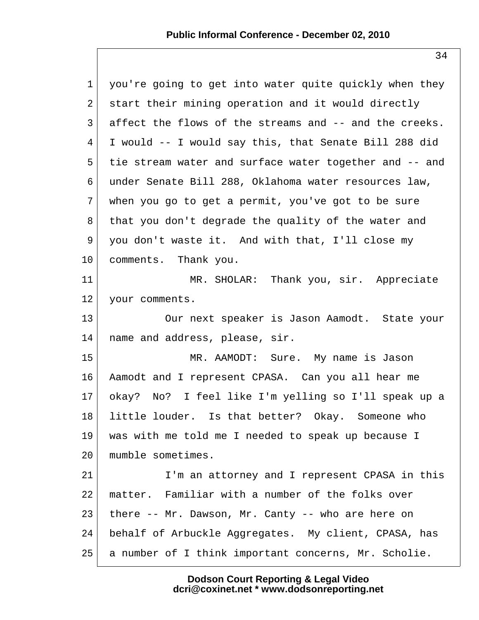| $\mathbf{1}$    | you're going to get into water quite quickly when they |
|-----------------|--------------------------------------------------------|
| $\overline{2}$  | start their mining operation and it would directly     |
| $\mathsf{3}$    | affect the flows of the streams and -- and the creeks. |
| $4\overline{ }$ | I would -- I would say this, that Senate Bill 288 did  |
| 5               | tie stream water and surface water together and -- and |
| 6               | under Senate Bill 288, Oklahoma water resources law,   |
| 7               | when you go to get a permit, you've got to be sure     |
| 8               | that you don't degrade the quality of the water and    |
| 9               | you don't waste it. And with that, I'll close my       |
| $10 \,$         | comments. Thank you.                                   |
| 11              | MR. SHOLAR: Thank you, sir. Appreciate                 |
| 12 <sub>1</sub> | your comments.                                         |
| 13              | Our next speaker is Jason Aamodt. State your           |
| 14              | name and address, please, sir.                         |
| 15              | MR. AAMODT: Sure. My name is Jason                     |
| 16              | Aamodt and I represent CPASA. Can you all hear me      |
| $17 \,$         | okay? No? I feel like I'm yelling so I'll speak up a   |
| 18              | little louder. Is that better? Okay. Someone who       |
| 19              | was with me told me I needed to speak up because I     |
| 20              | mumble sometimes.                                      |
| 21              | I'm an attorney and I represent CPASA in this          |
| 22              | matter. Familiar with a number of the folks over       |
| 23              | there -- Mr. Dawson, Mr. Canty -- who are here on      |
| 24              | behalf of Arbuckle Aggregates. My client, CPASA, has   |
| 25              | a number of I think important concerns, Mr. Scholie.   |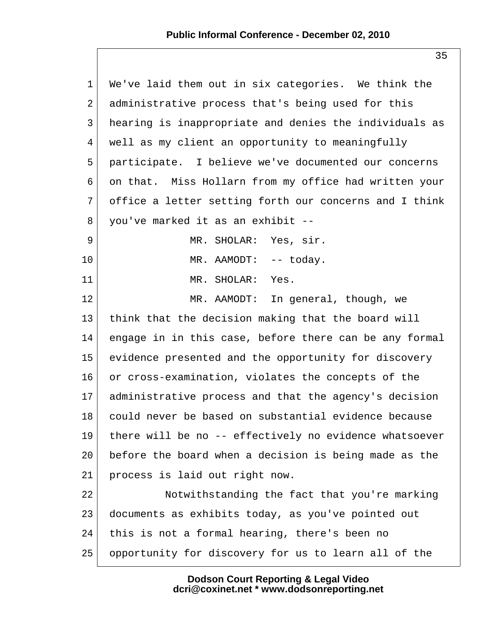| $\mathbf 1$ | We've laid them out in six categories. We think the    |
|-------------|--------------------------------------------------------|
| 2           | administrative process that's being used for this      |
| 3           | hearing is inappropriate and denies the individuals as |
| 4           | well as my client an opportunity to meaningfully       |
| 5           | participate. I believe we've documented our concerns   |
| 6           | on that. Miss Hollarn from my office had written your  |
| 7           | office a letter setting forth our concerns and I think |
| 8           | you've marked it as an exhibit --                      |
| 9           | MR. SHOLAR: Yes, sir.                                  |
| 10          | MR. AAMODT: -- today.                                  |
| 11          | MR. SHOLAR:<br>Yes.                                    |
| 12          | MR. AAMODT: In general, though, we                     |
| 13          | think that the decision making that the board will     |
| 14          | engage in in this case, before there can be any formal |
| 15          | evidence presented and the opportunity for discovery   |
| 16          | or cross-examination, violates the concepts of the     |
| $17 \,$     | administrative process and that the agency's decision  |
| 18          | could never be based on substantial evidence because   |
| 19          | there will be no -- effectively no evidence whatsoever |
| 20          | before the board when a decision is being made as the  |
| 21          | process is laid out right now.                         |
| 22          | Notwithstanding the fact that you're marking           |
| 23          | documents as exhibits today, as you've pointed out     |
| 24          | this is not a formal hearing, there's been no          |
| 25          | opportunity for discovery for us to learn all of the   |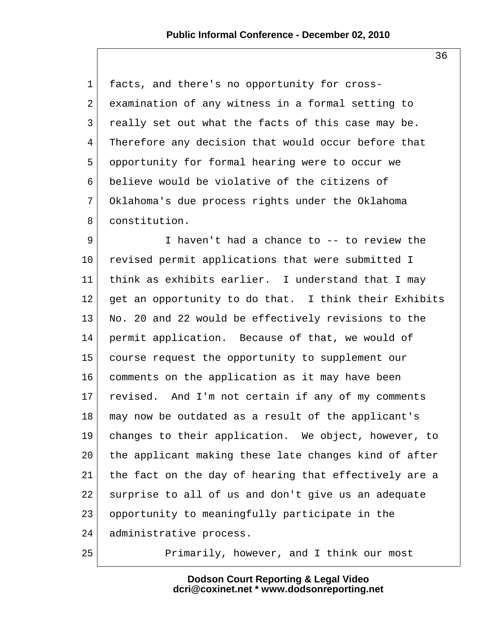1 facts, and there's no opportunity for cross- 2 examination of any witness in a formal setting to 3 really set out what the facts of this case may be. 4 Therefore any decision that would occur before that 5 opportunity for formal hearing were to occur we 6 believe would be violative of the citizens of 7 Oklahoma's due process rights under the Oklahoma 8 constitution.

9 I haven't had a chance to -- to review the 10 revised permit applications that were submitted I 11 think as exhibits earlier. I understand that I may 12 get an opportunity to do that. I think their Exhibits 13 No. 20 and 22 would be effectively revisions to the 14 permit application. Because of that, we would of 15 course request the opportunity to supplement our 16 comments on the application as it may have been 17 revised. And I'm not certain if any of my comments 18 may now be outdated as a result of the applicant's 19 changes to their application. We object, however, to 20 the applicant making these late changes kind of after 21 the fact on the day of hearing that effectively are a 22 surprise to all of us and don't give us an adequate 23 opportunity to meaningfully participate in the 24 administrative process.

25 Primarily, however, and I think our most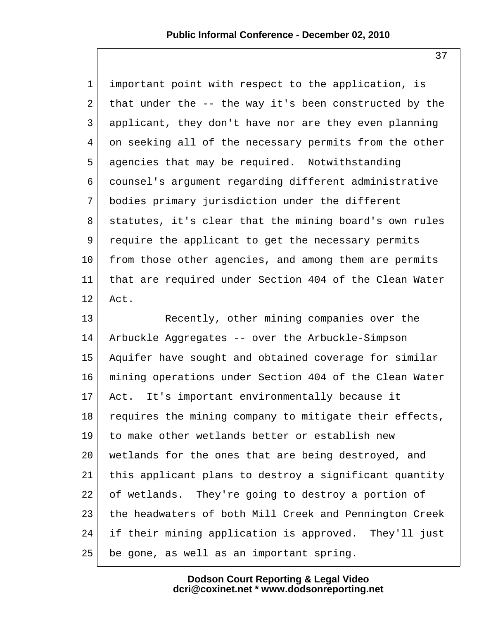1 important point with respect to the application, is 2 that under the  $-$ - the way it's been constructed by the 3 applicant, they don't have nor are they even planning 4 on seeking all of the necessary permits from the other 5 agencies that may be required. Notwithstanding 6 counsel's argument regarding different administrative 7 bodies primary jurisdiction under the different 8 statutes, it's clear that the mining board's own rules 9 require the applicant to get the necessary permits 10 from those other agencies, and among them are permits 11 that are required under Section 404 of the Clean Water 12 Act.

13 Recently, other mining companies over the 14 Arbuckle Aggregates -- over the Arbuckle-Simpson 15 Aquifer have sought and obtained coverage for similar 16 mining operations under Section 404 of the Clean Water 17 Act. It's important environmentally because it 18 requires the mining company to mitigate their effects, 19 to make other wetlands better or establish new 20 wetlands for the ones that are being destroyed, and 21 this applicant plans to destroy a significant quantity 22 of wetlands. They're going to destroy a portion of 23 the headwaters of both Mill Creek and Pennington Creek 24 if their mining application is approved. They'll just 25 be gone, as well as an important spring.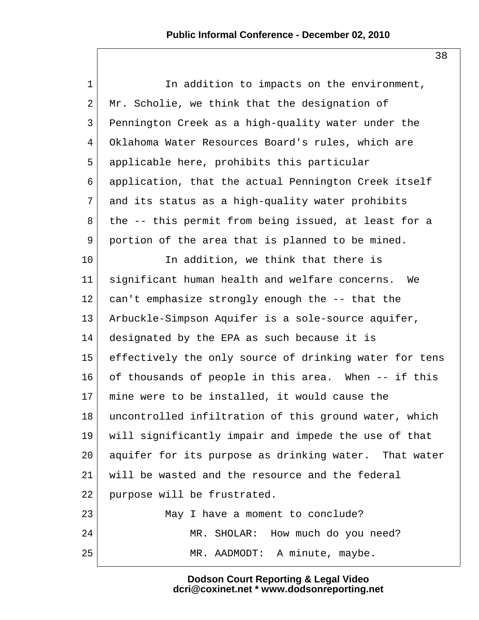1 1 In addition to impacts on the environment,  $2$  Mr. Scholie, we think that the designation of 3 Pennington Creek as a high-quality water under the 4 Oklahoma Water Resources Board's rules, which are 5 applicable here, prohibits this particular 6 application, that the actual Pennington Creek itself 7 and its status as a high-quality water prohibits  $8$  the  $-$ - this permit from being issued, at least for a 9 portion of the area that is planned to be mined. 10 In addition, we think that there is 11 significant human health and welfare concerns. We 12 can't emphasize strongly enough the -- that the 13 Arbuckle-Simpson Aquifer is a sole-source aquifer, 14 designated by the EPA as such because it is 15 effectively the only source of drinking water for tens 16 of thousands of people in this area. When -- if this 17 mine were to be installed, it would cause the 18 uncontrolled infiltration of this ground water, which 19 will significantly impair and impede the use of that 20 aquifer for its purpose as drinking water. That water 21 will be wasted and the resource and the federal 22 purpose will be frustrated. 23 May I have a moment to conclude? 24 MR. SHOLAR: How much do you need? 25 | MR. AADMODT: A minute, maybe.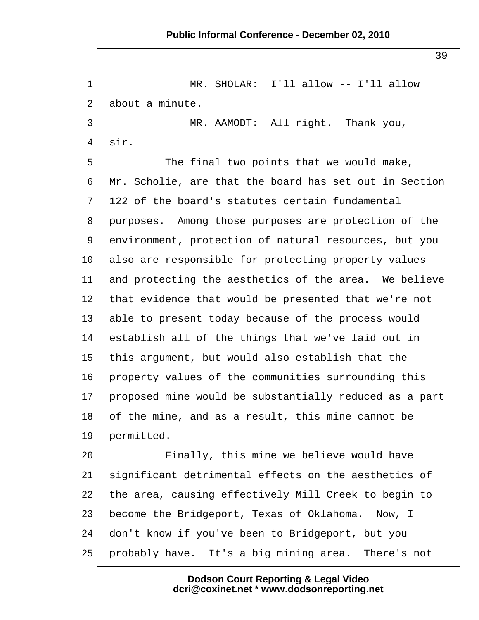39 1 MR. SHOLAR: I'll allow -- I'll allow  $2$  about a minute. 3 MR. AAMODT: All right. Thank you, 4 sir. 5 The final two points that we would make, 6 Mr. Scholie, are that the board has set out in Section  $7\vert$  122 of the board's statutes certain fundamental 8 purposes. Among those purposes are protection of the 9 environment, protection of natural resources, but you 10 also are responsible for protecting property values 11 and protecting the aesthetics of the area. We believe 12 that evidence that would be presented that we're not 13 able to present today because of the process would 14 establish all of the things that we've laid out in 15 this argument, but would also establish that the 16 property values of the communities surrounding this 17 proposed mine would be substantially reduced as a part 18 of the mine, and as a result, this mine cannot be 19 permitted. 20 Finally, this mine we believe would have 21 significant detrimental effects on the aesthetics of 22 the area, causing effectively Mill Creek to begin to 23 become the Bridgeport, Texas of Oklahoma. Now, I 24 don't know if you've been to Bridgeport, but you 25 probably have. It's a big mining area. There's not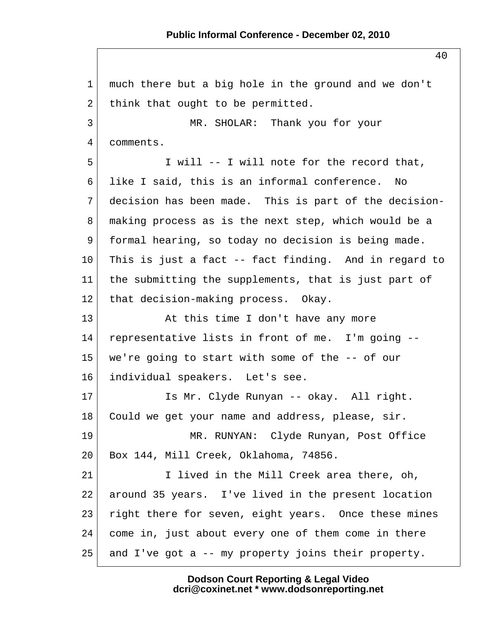1 much there but a big hole in the ground and we don't 2 think that ought to be permitted. 3 MR. SHOLAR: Thank you for your 4 comments. 5 I will -- I will note for the record that, 6 like I said, this is an informal conference. No 7 decision has been made. This is part of the decision- 8 making process as is the next step, which would be a 9 formal hearing, so today no decision is being made. 10 This is just a fact -- fact finding. And in regard to 11 the submitting the supplements, that is just part of 12 that decision-making process. Okay. 13 At this time I don't have any more 14 representative lists in front of me. I'm going -- 15 we're going to start with some of the -- of our 16 individual speakers. Let's see. 17 Is Mr. Clyde Runyan -- okay. All right. 18 | Could we get your name and address, please, sir. 19 MR. RUNYAN: Clyde Runyan, Post Office 20 Box 144, Mill Creek, Oklahoma, 74856. 21 I lived in the Mill Creek area there, oh, 22 around 35 years. I've lived in the present location 23 right there for seven, eight years. Once these mines 24 come in, just about every one of them come in there  $25$  and I've got a -- my property joins their property.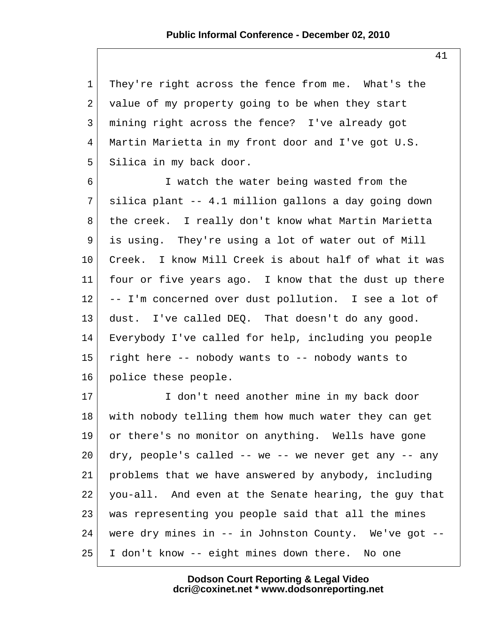1 They're right across the fence from me. What's the  $2$  value of my property going to be when they start 3 mining right across the fence? I've already got 4 Martin Marietta in my front door and I've got U.S. 5 Silica in my back door.

 6 I watch the water being wasted from the  $7$  silica plant -- 4.1 million gallons a day going down 8 the creek. I really don't know what Martin Marietta 9 is using. They're using a lot of water out of Mill 10 Creek. I know Mill Creek is about half of what it was 11 four or five years ago. I know that the dust up there 12 -- I'm concerned over dust pollution. I see a lot of 13 dust. I've called DEQ. That doesn't do any good. 14 Everybody I've called for help, including you people 15 right here -- nobody wants to -- nobody wants to 16 police these people.

17 I don't need another mine in my back door 18 with nobody telling them how much water they can get 19 or there's no monitor on anything. Wells have gone  $20$  dry, people's called -- we -- we never get any -- any 21 problems that we have answered by anybody, including 22 you-all. And even at the Senate hearing, the guy that 23 was representing you people said that all the mines 24 were dry mines in -- in Johnston County. We've got --25 I don't know -- eight mines down there. No one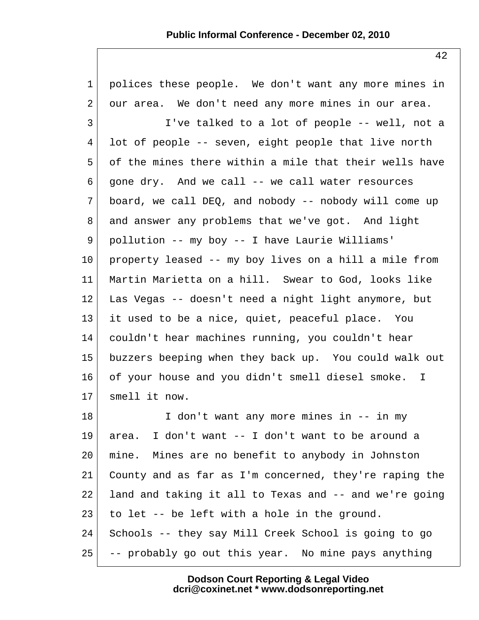| $\mathbf{1}$    | polices these people. We don't want any more mines in  |
|-----------------|--------------------------------------------------------|
| $\overline{2}$  | our area. We don't need any more mines in our area.    |
| $\mathsf{3}$    | I've talked to a lot of people -- well, not a          |
| 4               | lot of people -- seven, eight people that live north   |
| 5               | of the mines there within a mile that their wells have |
| 6               | gone dry. And we call -- we call water resources       |
| 7               | board, we call DEQ, and nobody -- nobody will come up  |
| 8               | and answer any problems that we've got. And light      |
| 9               | pollution -- my boy -- I have Laurie Williams'         |
| $10 \,$         | property leased -- my boy lives on a hill a mile from  |
| 11              | Martin Marietta on a hill. Swear to God, looks like    |
| 12              | Las Vegas -- doesn't need a night light anymore, but   |
| 13              | it used to be a nice, quiet, peaceful place. You       |
| 14              | couldn't hear machines running, you couldn't hear      |
| 15              | buzzers beeping when they back up. You could walk out  |
| 16              | of your house and you didn't smell diesel smoke. I     |
| 17 <sub>2</sub> | smell it now.                                          |
| 18              | I don't want any more mines in -- in my                |
| 19              | I don't want -- I don't want to be around a<br>area.   |
| 20              | mine. Mines are no benefit to anybody in Johnston      |
| 21              | County and as far as I'm concerned, they're raping the |
| 22              | land and taking it all to Texas and -- and we're going |
| 23              | to let -- be left with a hole in the ground.           |
| 24              | Schools -- they say Mill Creek School is going to go   |
|                 |                                                        |

 $25$  -- probably go out this year. No mine pays anything

**Dodson Court Reporting & Legal Video dcri@coxinet.net \* www.dodsonreporting.net**

42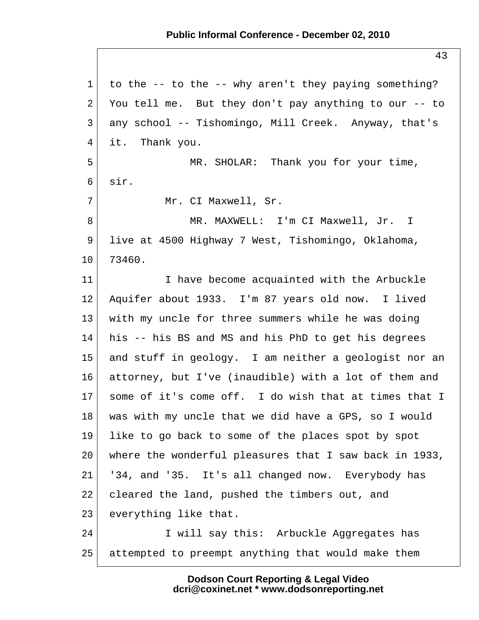## **Public Informal Conference - December 02, 2010**

 1 to the -- to the -- why aren't they paying something? 2 You tell me. But they don't pay anything to our  $-$ - to 3 any school -- Tishomingo, Mill Creek. Anyway, that's 4 it. Thank you. 5 MR. SHOLAR: Thank you for your time, 6 sir. 7 Mr. CI Maxwell, Sr. 8 MR. MAXWELL: I'm CI Maxwell, Jr. I 9 live at 4500 Highway 7 West, Tishomingo, Oklahoma, 10 73460. 11 I have become acquainted with the Arbuckle 12 Aquifer about 1933. I'm 87 years old now. I lived 13 with my uncle for three summers while he was doing 14 his -- his BS and MS and his PhD to get his degrees 15 and stuff in geology. I am neither a geologist nor an 16 attorney, but I've (inaudible) with a lot of them and 17 some of it's come off. I do wish that at times that I 18 was with my uncle that we did have a GPS, so I would 19 like to go back to some of the places spot by spot 20 where the wonderful pleasures that I saw back in 1933, 21 '34, and '35. It's all changed now. Everybody has 22 cleared the land, pushed the timbers out, and 23 everything like that. 24 I will say this: Arbuckle Aggregates has 25 attempted to preempt anything that would make them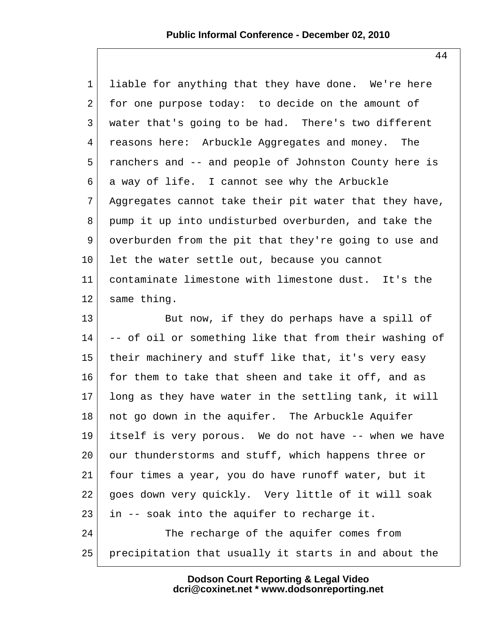1 liable for anything that they have done. We're here  $2$  for one purpose today: to decide on the amount of 3 water that's going to be had. There's two different 4 reasons here: Arbuckle Aggregates and money. The 5 ranchers and -- and people of Johnston County here is 6 a way of life. I cannot see why the Arbuckle  $7$  Aggregates cannot take their pit water that they have, 8 pump it up into undisturbed overburden, and take the 9 overburden from the pit that they're going to use and  $10$  let the water settle out, because you cannot 11 contaminate limestone with limestone dust. It's the 12 same thing.

13 But now, if they do perhaps have a spill of  $14$  -- of oil or something like that from their washing of 15 their machinery and stuff like that, it's very easy 16 for them to take that sheen and take it off, and as  $17$  long as they have water in the settling tank, it will 18 not go down in the aquifer. The Arbuckle Aquifer 19 itself is very porous. We do not have -- when we have 20 our thunderstorms and stuff, which happens three or 21 four times a year, you do have runoff water, but it 22 goes down very quickly. Very little of it will soak  $23$  in  $-$  soak into the aquifer to recharge it. 24 The recharge of the aquifer comes from 25 precipitation that usually it starts in and about the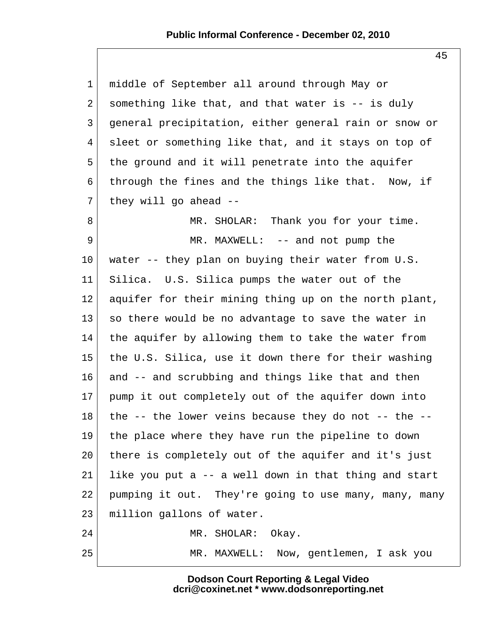| $\mathbf 1$     | middle of September all around through May or         |
|-----------------|-------------------------------------------------------|
| 2               | something like that, and that water is -- is duly     |
| 3               | general precipitation, either general rain or snow or |
| 4               | sleet or something like that, and it stays on top of  |
| 5               | the ground and it will penetrate into the aquifer     |
| 6               | through the fines and the things like that. Now, if   |
| 7               | they will go ahead $-$                                |
| 8               | MR. SHOLAR: Thank you for your time.                  |
| 9               | MR. MAXWELL: -- and not pump the                      |
| $10 \,$         | water -- they plan on buying their water from U.S.    |
| 11              | Silica. U.S. Silica pumps the water out of the        |
| 12              | aquifer for their mining thing up on the north plant, |
| 13              | so there would be no advantage to save the water in   |
| 14              | the aquifer by allowing them to take the water from   |
| 15              | the U.S. Silica, use it down there for their washing  |
| 16              | and -- and scrubbing and things like that and then    |
| 17 <sub>2</sub> | pump it out completely out of the aquifer down into   |
| 18              | the -- the lower veins because they do not -- the --  |
| 19              | the place where they have run the pipeline to down    |
| 20              | there is completely out of the aquifer and it's just  |
| 21              | like you put a -- a well down in that thing and start |
| 22              | pumping it out. They're going to use many, many, many |
| 23              | million gallons of water.                             |
| 24              | MR. SHOLAR:<br>Okay.                                  |
| 25              | Now, gentlemen, I ask you<br>MR. MAXWELL:             |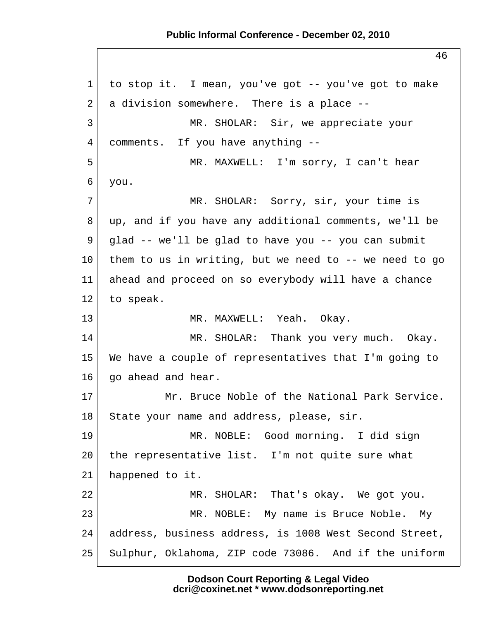## **Public Informal Conference - December 02, 2010**

 1 to stop it. I mean, you've got -- you've got to make  $2$  a division somewhere. There is a place  $-$  3 MR. SHOLAR: Sir, we appreciate your 4 comments. If you have anything -- 5 MR. MAXWELL: I'm sorry, I can't hear 6 you. 7 MR. SHOLAR: Sorry, sir, your time is 8 up, and if you have any additional comments, we'll be 9 glad -- we'll be glad to have you -- you can submit 10 them to us in writing, but we need to  $-$ - we need to go 11 ahead and proceed on so everybody will have a chance 12 to speak. 13 MR. MAXWELL: Yeah. Okay. 14 MR. SHOLAR: Thank you very much. Okay. 15 We have a couple of representatives that I'm going to 16 go ahead and hear. 17 Mr. Bruce Noble of the National Park Service. 18 State your name and address, please, sir. 19 MR. NOBLE: Good morning. I did sign 20 the representative list. I'm not quite sure what 21 happened to it. 22 MR. SHOLAR: That's okay. We got you. 23 MR. NOBLE: My name is Bruce Noble. My 24 address, business address, is 1008 West Second Street, 25 Sulphur, Oklahoma, ZIP code 73086. And if the uniform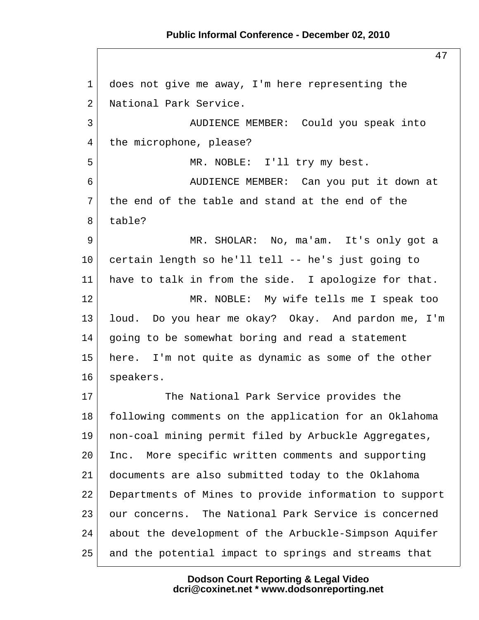## **Public Informal Conference - December 02, 2010**

47 1 does not give me away, I'm here representing the 2 National Park Service. 3 AUDIENCE MEMBER: Could you speak into 4 the microphone, please? 5 MR. NOBLE: I'll try my best. 6 AUDIENCE MEMBER: Can you put it down at  $7<sup>1</sup>$  the end of the table and stand at the end of the 8 table? 9 MR. SHOLAR: No, ma'am. It's only got a 10 certain length so he'll tell -- he's just going to 11 have to talk in from the side. I apologize for that. 12 MR. NOBLE: My wife tells me I speak too 13 loud. Do you hear me okay? Okay. And pardon me, I'm  $14$  going to be somewhat boring and read a statement 15 here. I'm not quite as dynamic as some of the other 16 speakers. 17 The National Park Service provides the 18 following comments on the application for an Oklahoma 19 non-coal mining permit filed by Arbuckle Aggregates, 20 Inc. More specific written comments and supporting 21 documents are also submitted today to the Oklahoma 22 Departments of Mines to provide information to support 23 our concerns. The National Park Service is concerned 24 about the development of the Arbuckle-Simpson Aquifer 25 and the potential impact to springs and streams that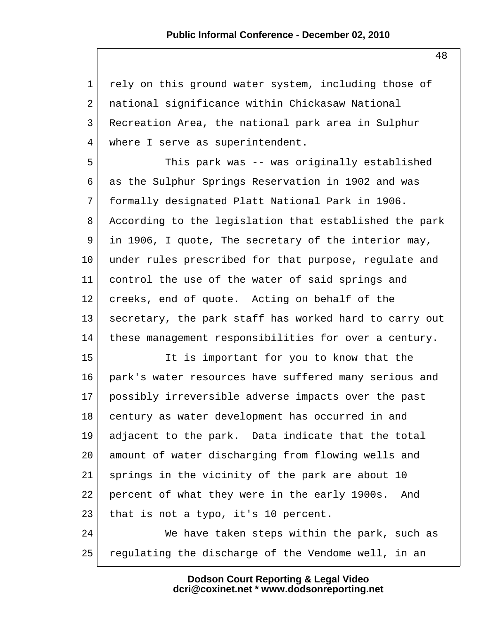1 rely on this ground water system, including those of 2 national significance within Chickasaw National 3 Recreation Area, the national park area in Sulphur 4 where I serve as superintendent.

 5 This park was -- was originally established 6 as the Sulphur Springs Reservation in 1902 and was 7 formally designated Platt National Park in 1906. 8 According to the legislation that established the park 9 in 1906, I quote, The secretary of the interior may, 10 under rules prescribed for that purpose, regulate and 11 control the use of the water of said springs and 12 creeks, end of quote. Acting on behalf of the 13 secretary, the park staff has worked hard to carry out 14 these management responsibilities for over a century.

15 It is important for you to know that the 16 park's water resources have suffered many serious and 17 possibly irreversible adverse impacts over the past 18 century as water development has occurred in and 19 adjacent to the park. Data indicate that the total 20 amount of water discharging from flowing wells and 21 springs in the vicinity of the park are about 10 22 percent of what they were in the early 1900s. And 23 that is not a typo, it's 10 percent.

24 We have taken steps within the park, such as 25 regulating the discharge of the Vendome well, in an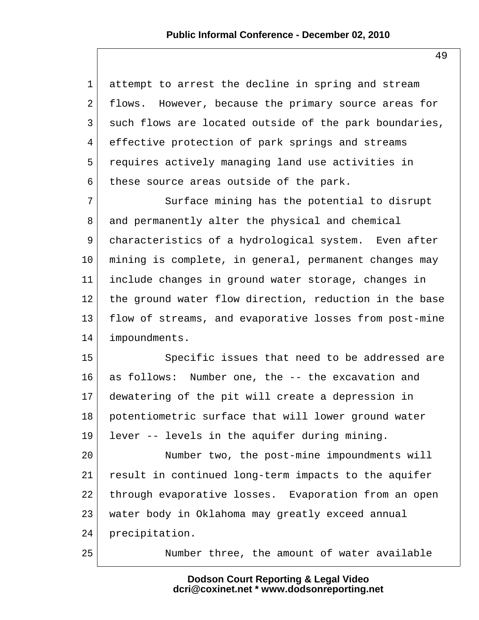1 attempt to arrest the decline in spring and stream 2 flows. However, because the primary source areas for 3 such flows are located outside of the park boundaries, 4 effective protection of park springs and streams 5 requires actively managing land use activities in  $6$  these source areas outside of the park. 7 Surface mining has the potential to disrupt 8 and permanently alter the physical and chemical 9 characteristics of a hydrological system. Even after 10 mining is complete, in general, permanent changes may 11 include changes in ground water storage, changes in 12 the ground water flow direction, reduction in the base 13 flow of streams, and evaporative losses from post-mine 14 impoundments. 15 Specific issues that need to be addressed are 16 as follows: Number one, the -- the excavation and 17 dewatering of the pit will create a depression in 18 potentiometric surface that will lower ground water 19 lever -- levels in the aquifer during mining. 20 Number two, the post-mine impoundments will 21 result in continued long-term impacts to the aquifer 22 through evaporative losses. Evaporation from an open 23 water body in Oklahoma may greatly exceed annual 24 precipitation. 25 Number three, the amount of water available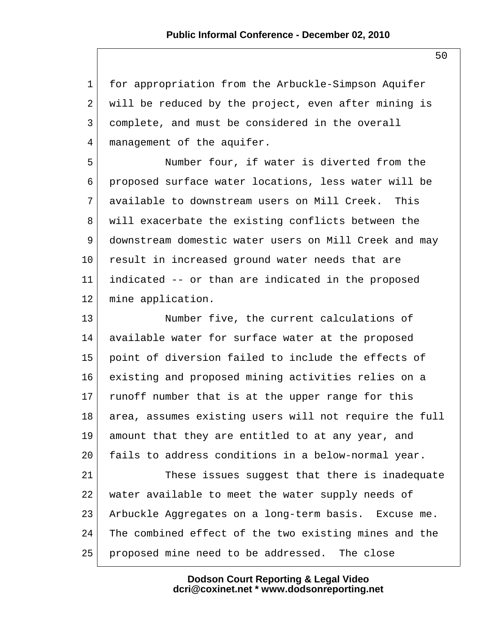1 for appropriation from the Arbuckle-Simpson Aquifer 2 will be reduced by the project, even after mining is 3 complete, and must be considered in the overall 4 management of the aquifer.

 5 Number four, if water is diverted from the 6 proposed surface water locations, less water will be 7 available to downstream users on Mill Creek. This 8 will exacerbate the existing conflicts between the 9 downstream domestic water users on Mill Creek and may 10 result in increased ground water needs that are 11 indicated -- or than are indicated in the proposed 12 mine application.

13 Number five, the current calculations of 14 available water for surface water at the proposed 15 point of diversion failed to include the effects of 16 existing and proposed mining activities relies on a 17 runoff number that is at the upper range for this 18 area, assumes existing users will not require the full 19 amount that they are entitled to at any year, and 20 fails to address conditions in a below-normal year. 21 These issues suggest that there is inadequate 22 water available to meet the water supply needs of 23 Arbuckle Aggregates on a long-term basis. Excuse me. 24 The combined effect of the two existing mines and the

25 proposed mine need to be addressed. The close

**Dodson Court Reporting & Legal Video dcri@coxinet.net \* www.dodsonreporting.net** 50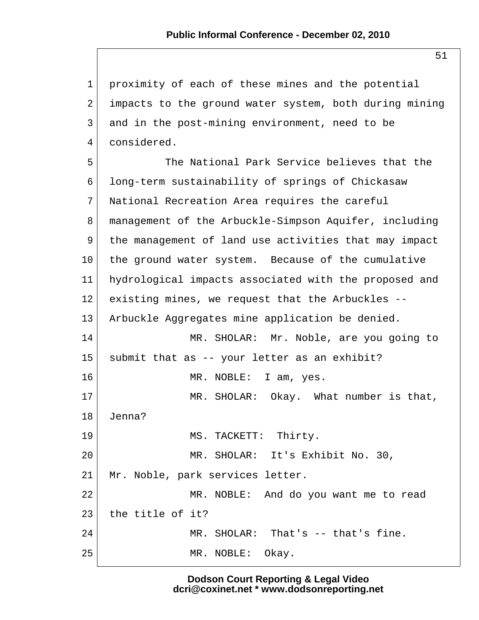1 proximity of each of these mines and the potential 2 impacts to the ground water system, both during mining 3 and in the post-mining environment, need to be 4 considered.

 5 The National Park Service believes that the 6 long-term sustainability of springs of Chickasaw 7 National Recreation Area requires the careful 8 management of the Arbuckle-Simpson Aquifer, including 9 the management of land use activities that may impact 10 the ground water system. Because of the cumulative 11 hydrological impacts associated with the proposed and 12 existing mines, we request that the Arbuckles -- 13 Arbuckle Aggregates mine application be denied. 14 MR. SHOLAR: Mr. Noble, are you going to 15 | submit that as -- your letter as an exhibit? 16 MR. NOBLE: I am, yes. 17 MR. SHOLAR: Okay. What number is that, 18 Jenna? 19 MS. TACKETT: Thirty. 20 MR. SHOLAR: It's Exhibit No. 30, 21 | Mr. Noble, park services letter. 22 MR. NOBLE: And do you want me to read  $23$  the title of it? 24 MR. SHOLAR: That's -- that's fine. 25 MR. NOBLE: Okay.

> **Dodson Court Reporting & Legal Video dcri@coxinet.net \* www.dodsonreporting.net**

51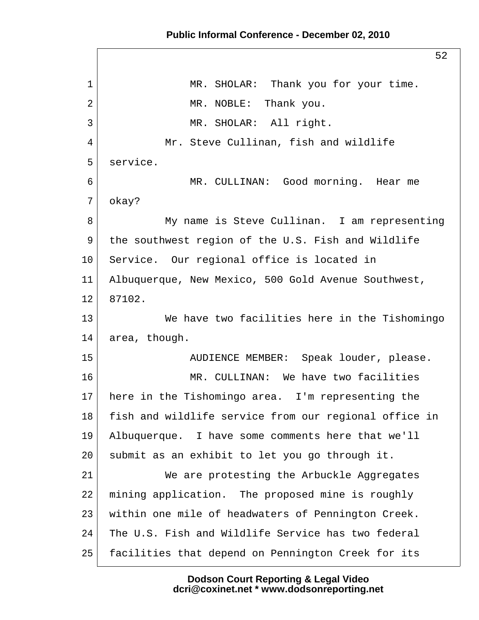## **Public Informal Conference - December 02, 2010**

52 1 MR. SHOLAR: Thank you for your time. 2 MR. NOBLE: Thank you. 3 MR. SHOLAR: All right. 4 Mr. Steve Cullinan, fish and wildlife 5 service. 6 MR. CULLINAN: Good morning. Hear me 7 okay? 8 My name is Steve Cullinan. I am representing 9 the southwest region of the U.S. Fish and Wildlife 10 Service. Our regional office is located in 11 Albuquerque, New Mexico, 500 Gold Avenue Southwest, 12 87102. 13 We have two facilities here in the Tishomingo 14 area, though. 15 AUDIENCE MEMBER: Speak louder, please. 16 MR. CULLINAN: We have two facilities 17 here in the Tishomingo area. I'm representing the 18 fish and wildlife service from our regional office in 19 Albuquerque. I have some comments here that we'll 20 submit as an exhibit to let you go through it. 21 We are protesting the Arbuckle Aggregates 22 mining application. The proposed mine is roughly 23 within one mile of headwaters of Pennington Creek. 24 The U.S. Fish and Wildlife Service has two federal 25 facilities that depend on Pennington Creek for its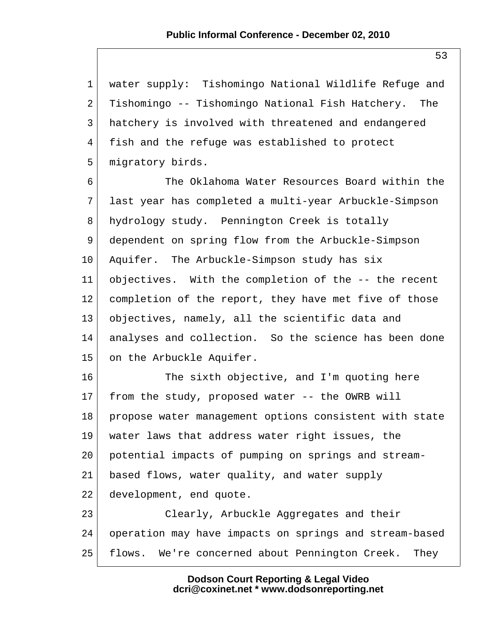1 water supply: Tishomingo National Wildlife Refuge and 2 Tishomingo -- Tishomingo National Fish Hatchery. The 3 hatchery is involved with threatened and endangered 4 fish and the refuge was established to protect 5 migratory birds.

 6 The Oklahoma Water Resources Board within the 7 last year has completed a multi-year Arbuckle-Simpson 8 hydrology study. Pennington Creek is totally 9 dependent on spring flow from the Arbuckle-Simpson 10 Aquifer. The Arbuckle-Simpson study has six 11 objectives. With the completion of the -- the recent 12 completion of the report, they have met five of those 13 objectives, namely, all the scientific data and 14 analyses and collection. So the science has been done 15 on the Arbuckle Aquifer.

16 The sixth objective, and I'm quoting here 17 from the study, proposed water -- the OWRB will 18 propose water management options consistent with state 19 water laws that address water right issues, the 20 potential impacts of pumping on springs and stream-21 based flows, water quality, and water supply 22 development, end quote. 23 Clearly, Arbuckle Aggregates and their

24 operation may have impacts on springs and stream-based 25 flows. We're concerned about Pennington Creek. They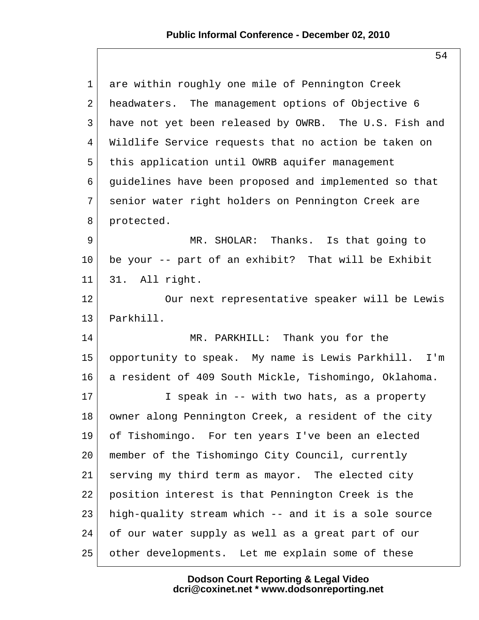| $\mathbf 1$ | are within roughly one mile of Pennington Creek       |
|-------------|-------------------------------------------------------|
| 2           | headwaters. The management options of Objective 6     |
| 3           | have not yet been released by OWRB. The U.S. Fish and |
| 4           | Wildlife Service requests that no action be taken on  |
| 5           | this application until OWRB aquifer management        |
| 6           | guidelines have been proposed and implemented so that |
| 7           | senior water right holders on Pennington Creek are    |
| 8           | protected.                                            |
| 9           | MR. SHOLAR: Thanks. Is that going to                  |
| 10          | be your -- part of an exhibit? That will be Exhibit   |
| 11          | 31. All right.                                        |
| 12          | Our next representative speaker will be Lewis         |
| 13          | Parkhill.                                             |
| 14          | MR. PARKHILL: Thank you for the                       |
| 15          | opportunity to speak. My name is Lewis Parkhill. I'm  |
| 16          | a resident of 409 South Mickle, Tishomingo, Oklahoma. |
| 17          | I speak in -- with two hats, as a property            |
| 18          | owner along Pennington Creek, a resident of the city  |
| 19          | of Tishomingo. For ten years I've been an elected     |
| 20          | member of the Tishomingo City Council, currently      |
| 21          | serving my third term as mayor. The elected city      |
| 22          | position interest is that Pennington Creek is the     |
| 23          | high-quality stream which -- and it is a sole source  |
| 24          | of our water supply as well as a great part of our    |
| 25          | other developments. Let me explain some of these      |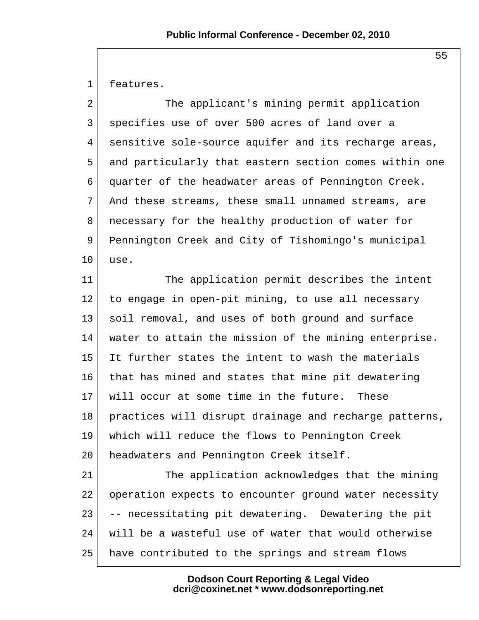1 features.

| The applicant's mining permit application              |  |
|--------------------------------------------------------|--|
| specifies use of over 500 acres of land over a         |  |
| sensitive sole-source aquifer and its recharge areas,  |  |
| and particularly that eastern section comes within one |  |
| quarter of the headwater areas of Pennington Creek.    |  |
| And these streams, these small unnamed streams, are    |  |
| necessary for the healthy production of water for      |  |
| Pennington Creek and City of Tishomingo's municipal    |  |
| use.                                                   |  |
| The application permit describes the intent            |  |
| to engage in open-pit mining, to use all necessary     |  |
| soil removal, and uses of both ground and surface      |  |
| water to attain the mission of the mining enterprise.  |  |
| It further states the intent to wash the materials     |  |
| that has mined and states that mine pit dewatering     |  |
| will occur at some time in the future. These           |  |
| practices will disrupt drainage and recharge patterns, |  |
| which will reduce the flows to Pennington Creek        |  |
| headwaters and Pennington Creek itself.                |  |
| The application acknowledges that the mining           |  |
| operation expects to encounter ground water necessity  |  |
| -- necessitating pit dewatering. Dewatering the pit    |  |
|                                                        |  |

24 will be a wasteful use of water that would otherwise

25 have contributed to the springs and stream flows

**Dodson Court Reporting & Legal Video dcri@coxinet.net \* www.dodsonreporting.net**

55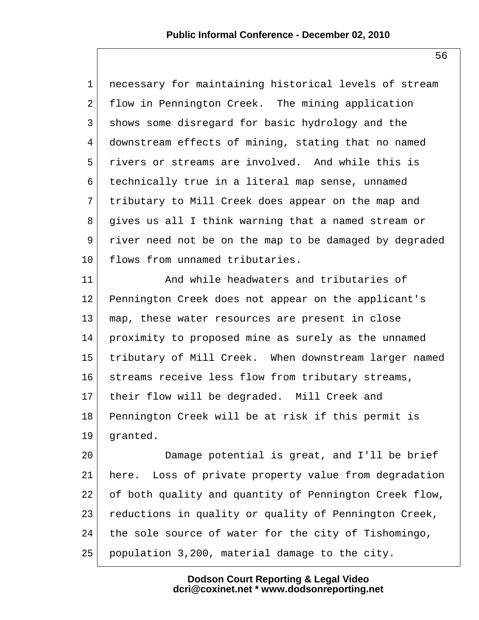1 necessary for maintaining historical levels of stream 2 flow in Pennington Creek. The mining application 3 shows some disregard for basic hydrology and the 4 downstream effects of mining, stating that no named 5 rivers or streams are involved. And while this is 6 technically true in a literal map sense, unnamed 7 tributary to Mill Creek does appear on the map and 8 gives us all I think warning that a named stream or 9 river need not be on the map to be damaged by degraded 10 flows from unnamed tributaries.

11 And while headwaters and tributaries of 12 Pennington Creek does not appear on the applicant's 13 map, these water resources are present in close 14 proximity to proposed mine as surely as the unnamed 15 tributary of Mill Creek. When downstream larger named 16 streams receive less flow from tributary streams, 17 their flow will be degraded. Mill Creek and 18 Pennington Creek will be at risk if this permit is 19 granted.

20 Damage potential is great, and I'll be brief 21 here. Loss of private property value from degradation 22 of both quality and quantity of Pennington Creek flow, 23 reductions in quality or quality of Pennington Creek, 24 the sole source of water for the city of Tishomingo, 25 population 3,200, material damage to the city.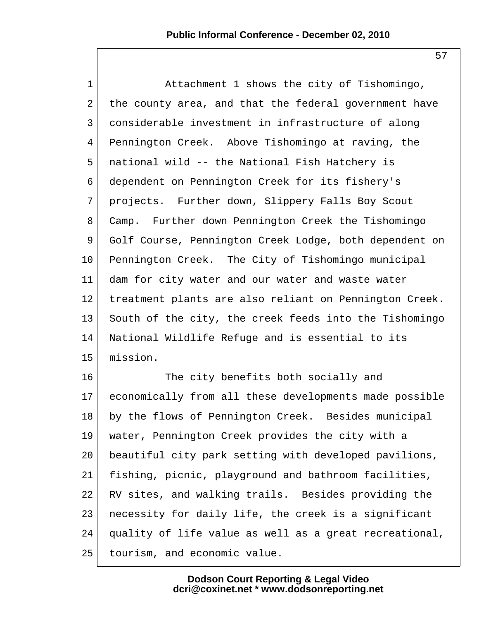1 Attachment 1 shows the city of Tishomingo, 2 the county area, and that the federal government have 3 considerable investment in infrastructure of along 4 Pennington Creek. Above Tishomingo at raving, the 5 national wild -- the National Fish Hatchery is 6 dependent on Pennington Creek for its fishery's 7 projects. Further down, Slippery Falls Boy Scout 8 Camp. Further down Pennington Creek the Tishomingo 9 Golf Course, Pennington Creek Lodge, both dependent on 10 Pennington Creek. The City of Tishomingo municipal 11 dam for city water and our water and waste water 12 treatment plants are also reliant on Pennington Creek. 13 South of the city, the creek feeds into the Tishomingo 14 National Wildlife Refuge and is essential to its 15 mission.

16 The city benefits both socially and 17 economically from all these developments made possible 18 by the flows of Pennington Creek. Besides municipal 19 water, Pennington Creek provides the city with a 20 beautiful city park setting with developed pavilions, 21 fishing, picnic, playground and bathroom facilities, 22 RV sites, and walking trails. Besides providing the 23 necessity for daily life, the creek is a significant 24 quality of life value as well as a great recreational, 25 tourism, and economic value.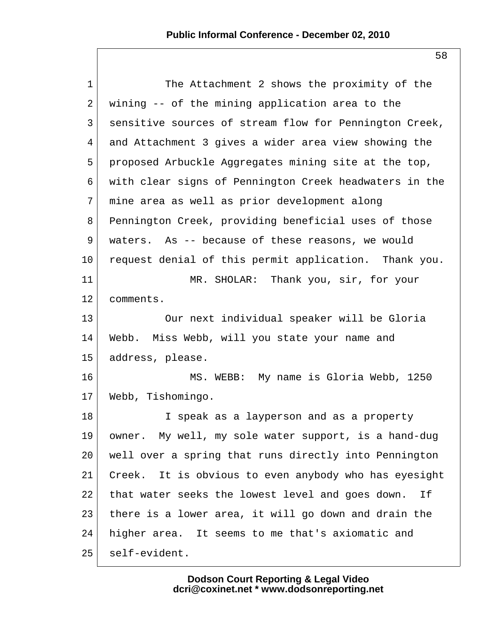| $\mathbf 1$     | The Attachment 2 shows the proximity of the            |
|-----------------|--------------------------------------------------------|
| 2               | wining -- of the mining application area to the        |
| 3               | sensitive sources of stream flow for Pennington Creek, |
| 4               | and Attachment 3 gives a wider area view showing the   |
| 5               | proposed Arbuckle Aggregates mining site at the top,   |
| 6               | with clear signs of Pennington Creek headwaters in the |
| 7               | mine area as well as prior development along           |
| 8               | Pennington Creek, providing beneficial uses of those   |
| 9               | waters. As -- because of these reasons, we would       |
| $10 \,$         | request denial of this permit application. Thank you.  |
| 11              | MR. SHOLAR: Thank you, sir, for your                   |
| 12              | comments.                                              |
| 13              | Our next individual speaker will be Gloria             |
| 14              | Webb. Miss Webb, will you state your name and          |
| 15 <sub>1</sub> | address, please.                                       |
| 16              | MS. WEBB: My name is Gloria Webb, 1250                 |
| 17              | Webb, Tishomingo.                                      |
| 18              | I speak as a layperson and as a property               |
| 19              | owner. My well, my sole water support, is a hand-dug   |
| 20              | well over a spring that runs directly into Pennington  |
| 21              | Creek. It is obvious to even anybody who has eyesight  |
| 22              | that water seeks the lowest level and goes down.<br>If |
| 23              | there is a lower area, it will go down and drain the   |
| 24              | higher area. It seems to me that's axiomatic and       |
| 25              | self-evident.                                          |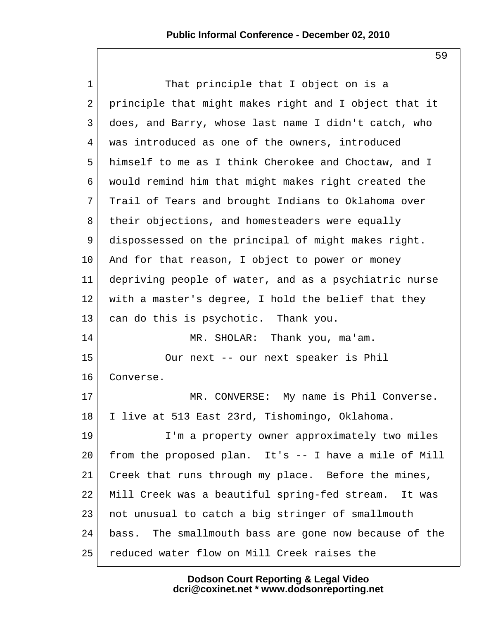1 That principle that I object on is a 2 principle that might makes right and I object that it 3 does, and Barry, whose last name I didn't catch, who 4 was introduced as one of the owners, introduced 5 himself to me as I think Cherokee and Choctaw, and I 6 would remind him that might makes right created the 7 Trail of Tears and brought Indians to Oklahoma over 8 their objections, and homesteaders were equally 9 dispossessed on the principal of might makes right. 10 And for that reason, I object to power or money 11 depriving people of water, and as a psychiatric nurse 12 with a master's degree, I hold the belief that they 13 can do this is psychotic. Thank you. 14 MR. SHOLAR: Thank you, ma'am. 15 Our next -- our next speaker is Phil 16 Converse. 17 MR. CONVERSE: My name is Phil Converse. 18 I live at 513 East 23rd, Tishomingo, Oklahoma. 19 I'm a property owner approximately two miles 20 from the proposed plan. It's -- I have a mile of Mill 21 Creek that runs through my place. Before the mines, 22 Mill Creek was a beautiful spring-fed stream. It was 23 not unusual to catch a big stringer of smallmouth 24 bass. The smallmouth bass are gone now because of the 25 reduced water flow on Mill Creek raises the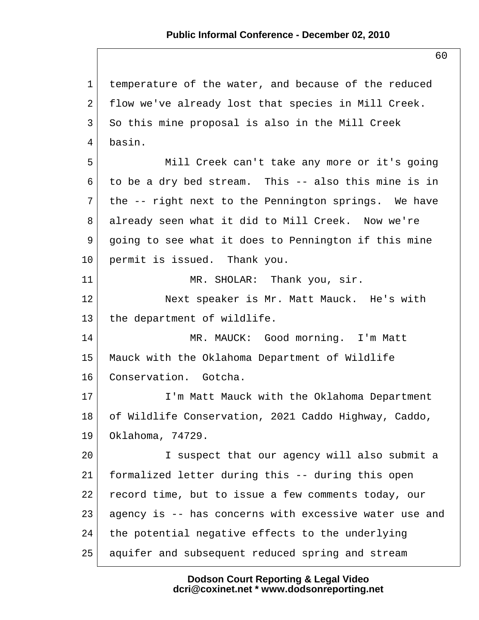1 temperature of the water, and because of the reduced 2 flow we've already lost that species in Mill Creek. 3 So this mine proposal is also in the Mill Creek 4 basin. 5 Mill Creek can't take any more or it's going 6 to be a dry bed stream. This  $-$  also this mine is in  $7$  the -- right next to the Pennington springs. We have 8 already seen what it did to Mill Creek. Now we're 9 going to see what it does to Pennington if this mine 10 permit is issued. Thank you. 11 MR. SHOLAR: Thank you, sir. 12 Next speaker is Mr. Matt Mauck. He's with 13 the department of wildlife. 14 MR. MAUCK: Good morning. I'm Matt 15 Mauck with the Oklahoma Department of Wildlife 16 Conservation. Gotcha. 17 I'm Matt Mauck with the Oklahoma Department 18 of Wildlife Conservation, 2021 Caddo Highway, Caddo, 19 Oklahoma, 74729. 20 I suspect that our agency will also submit a 21 formalized letter during this -- during this open 22 record time, but to issue a few comments today, our 23 agency is -- has concerns with excessive water use and  $24$  the potential negative effects to the underlying 25 aquifer and subsequent reduced spring and stream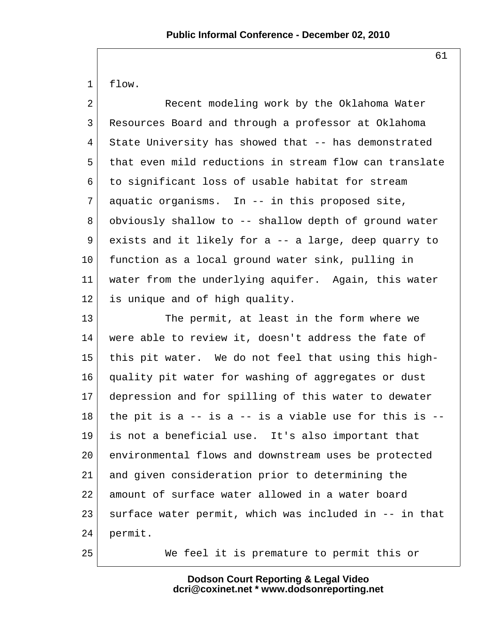1 flow.

2 Recent modeling work by the Oklahoma Water 3 Resources Board and through a professor at Oklahoma 4 State University has showed that -- has demonstrated 5 that even mild reductions in stream flow can translate 6 to significant loss of usable habitat for stream  $7$  aquatic organisms. In  $-$  in this proposed site, 8 obviously shallow to -- shallow depth of ground water 9 exists and it likely for a -- a large, deep quarry to 10 function as a local ground water sink, pulling in 11 water from the underlying aquifer. Again, this water 12 is unique and of high quality.

13 The permit, at least in the form where we 14 were able to review it, doesn't address the fate of 15 this pit water. We do not feel that using this high-16 quality pit water for washing of aggregates or dust 17 depression and for spilling of this water to dewater  $18$  the pit is a  $-$  is a  $-$  is a viable use for this is  $-$ 19 is not a beneficial use. It's also important that 20 environmental flows and downstream uses be protected 21 and given consideration prior to determining the 22 amount of surface water allowed in a water board 23 surface water permit, which was included in -- in that 24 permit.

25 We feel it is premature to permit this or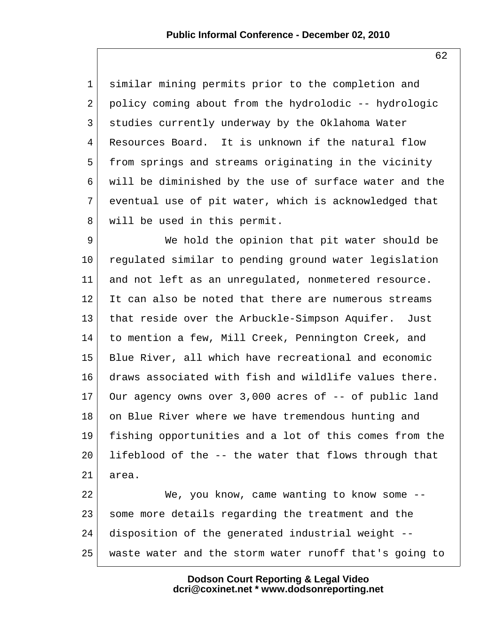1 similar mining permits prior to the completion and  $2$  policy coming about from the hydrolodic  $-$ - hydrologic 3 studies currently underway by the Oklahoma Water 4 Resources Board. It is unknown if the natural flow 5 from springs and streams originating in the vicinity 6 will be diminished by the use of surface water and the 7 eventual use of pit water, which is acknowledged that 8 will be used in this permit.

9 We hold the opinion that pit water should be 10 regulated similar to pending ground water legislation 11 and not left as an unregulated, nonmetered resource. 12 It can also be noted that there are numerous streams 13 | that reside over the Arbuckle-Simpson Aquifer. Just 14 to mention a few, Mill Creek, Pennington Creek, and 15 Blue River, all which have recreational and economic 16 draws associated with fish and wildlife values there. 17 Our agency owns over 3,000 acres of -- of public land 18 on Blue River where we have tremendous hunting and 19 fishing opportunities and a lot of this comes from the  $20$  lifeblood of the  $-$  the water that flows through that 21 area.

22 We, you know, came wanting to know some --23 some more details regarding the treatment and the 24 disposition of the generated industrial weight -- 25 waste water and the storm water runoff that's going to

> **Dodson Court Reporting & Legal Video dcri@coxinet.net \* www.dodsonreporting.net**

62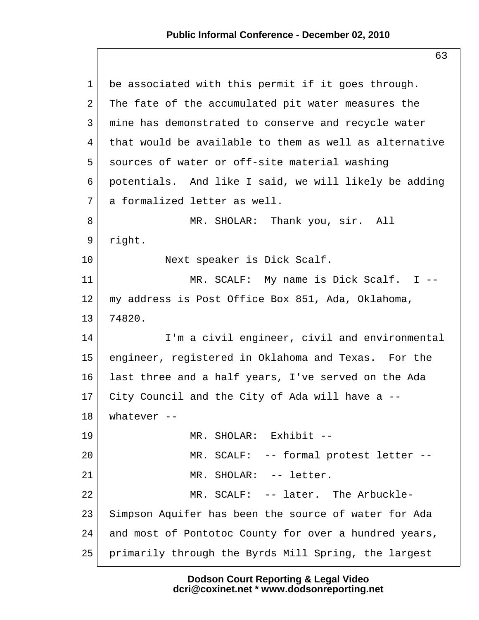63

| $\mathbf 1$ | be associated with this permit if it goes through.     |
|-------------|--------------------------------------------------------|
| 2           | The fate of the accumulated pit water measures the     |
| 3           | mine has demonstrated to conserve and recycle water    |
| 4           | that would be available to them as well as alternative |
| 5           | sources of water or off-site material washing          |
| 6           | potentials. And like I said, we will likely be adding  |
| 7           | a formalized letter as well.                           |
| 8           | MR. SHOLAR: Thank you, sir. All                        |
| 9           | right.                                                 |
| 10          | Next speaker is Dick Scalf.                            |
| 11          | MR. SCALF: My name is Dick Scalf. I --                 |
| 12          | my address is Post Office Box 851, Ada, Oklahoma,      |
| 13          | 74820.                                                 |
| 14          | I'm a civil engineer, civil and environmental          |
| 15          | engineer, registered in Oklahoma and Texas. For the    |
| 16          | last three and a half years, I've served on the Ada    |
| 17          | City Council and the City of Ada will have a --        |
| 18          | whatever $--$                                          |
| 19          | MR. SHOLAR: Exhibit --                                 |
| 20          | MR. SCALF: -- formal protest letter --                 |
| 21          | MR. SHOLAR: -- letter.                                 |
| 22          | MR. SCALF: -- later. The Arbuckle-                     |
| 23          | Simpson Aquifer has been the source of water for Ada   |
| 24          | and most of Pontotoc County for over a hundred years,  |
| 25          | primarily through the Byrds Mill Spring, the largest   |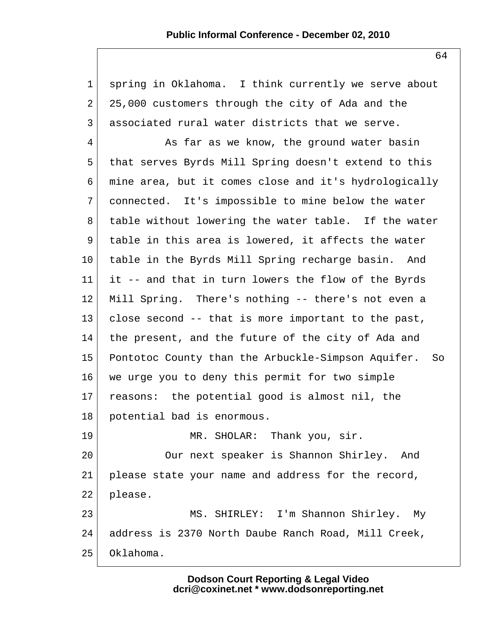| $\mathbf 1$    | spring in Oklahoma. I think currently we serve about  |
|----------------|-------------------------------------------------------|
| $\overline{2}$ | 25,000 customers through the city of Ada and the      |
| 3              | associated rural water districts that we serve.       |
| 4              | As far as we know, the ground water basin             |
| 5              | that serves Byrds Mill Spring doesn't extend to this  |
| 6              | mine area, but it comes close and it's hydrologically |
| 7              | connected. It's impossible to mine below the water    |
| 8              | table without lowering the water table. If the water  |
| 9              | table in this area is lowered, it affects the water   |
| $10 \,$        | table in the Byrds Mill Spring recharge basin. And    |
| 11             | it -- and that in turn lowers the flow of the Byrds   |
| 12             | Mill Spring. There's nothing -- there's not even a    |
| 13             | close second -- that is more important to the past,   |
| 14             | the present, and the future of the city of Ada and    |
| 15             | Pontotoc County than the Arbuckle-Simpson Aquifer. So |
| 16             | we urge you to deny this permit for two simple        |
| 17             | reasons: the potential good is almost nil, the        |
| 18             | potential bad is enormous.                            |
| 19             | MR. SHOLAR: Thank you, sir.                           |
| 20             | Our next speaker is Shannon Shirley. And              |
| 21             | please state your name and address for the record,    |
| 22             | please.                                               |
| 23             | MS. SHIRLEY: I'm Shannon Shirley. My                  |
| 24             | address is 2370 North Daube Ranch Road, Mill Creek,   |
| 25             | Oklahoma.                                             |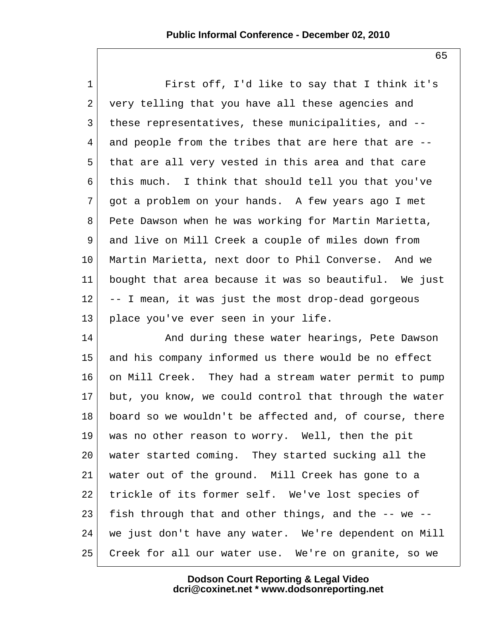1 First off, I'd like to say that I think it's 2 very telling that you have all these agencies and 3 these representatives, these municipalities, and -- 4 and people from the tribes that are here that are -- 5 that are all very vested in this area and that care 6 this much. I think that should tell you that you've 7 got a problem on your hands. A few years ago I met 8 Pete Dawson when he was working for Martin Marietta, 9 and live on Mill Creek a couple of miles down from 10 Martin Marietta, next door to Phil Converse. And we 11 bought that area because it was so beautiful. We just  $12$  -- I mean, it was just the most drop-dead gorgeous 13 place you've ever seen in your life.

14 And during these water hearings, Pete Dawson 15 and his company informed us there would be no effect 16 on Mill Creek. They had a stream water permit to pump 17 but, you know, we could control that through the water 18 board so we wouldn't be affected and, of course, there 19 was no other reason to worry. Well, then the pit 20 water started coming. They started sucking all the 21 water out of the ground. Mill Creek has gone to a 22 trickle of its former self. We've lost species of 23 fish through that and other things, and the  $-$ - we  $-$ 24 | we just don't have any water. We're dependent on Mill 25 Creek for all our water use. We're on granite, so we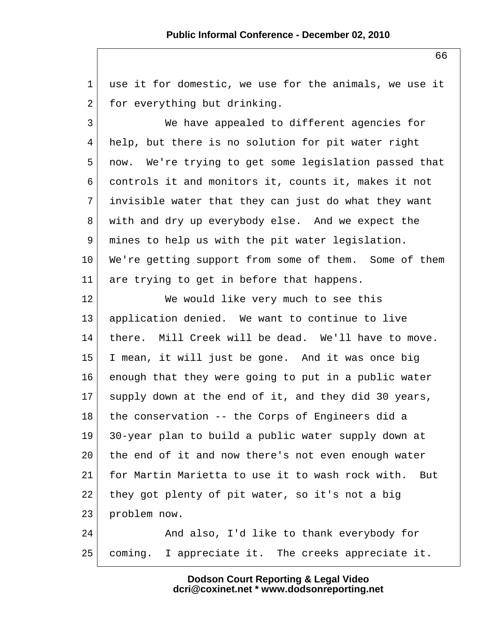1 use it for domestic, we use for the animals, we use it 2 for everything but drinking. 3 We have appealed to different agencies for 4 help, but there is no solution for pit water right 5 now. We're trying to get some legislation passed that 6 controls it and monitors it, counts it, makes it not  $7$  invisible water that they can just do what they want 8 with and dry up everybody else. And we expect the 9 mines to help us with the pit water legislation. 10 We're getting support from some of them. Some of them 11 are trying to get in before that happens. 12 We would like very much to see this 13 application denied. We want to continue to live 14 there. Mill Creek will be dead. We'll have to move. 15 I mean, it will just be gone. And it was once big 16 enough that they were going to put in a public water 17 supply down at the end of it, and they did 30 years,  $18$  the conservation -- the Corps of Engineers did a 19 30-year plan to build a public water supply down at 20 the end of it and now there's not even enough water 21 for Martin Marietta to use it to wash rock with. But 22 they got plenty of pit water, so it's not a big 23 problem now. 24 And also, I'd like to thank everybody for 25 coming. I appreciate it. The creeks appreciate it.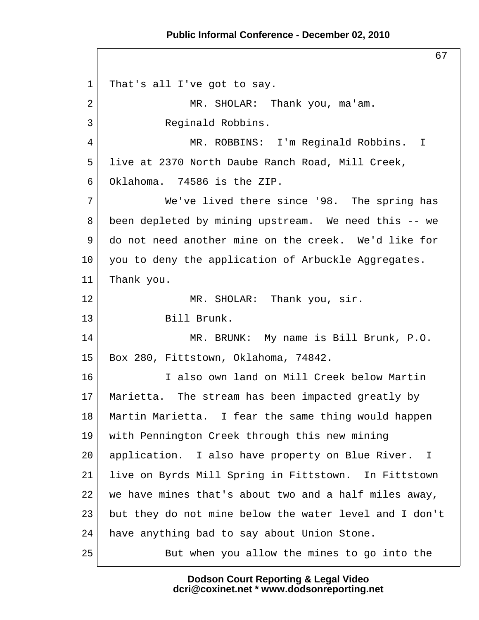67

 1 That's all I've got to say. 2 MR. SHOLAR: Thank you, ma'am. 3 Reginald Robbins. 4 MR. ROBBINS: I'm Reginald Robbins. I 5 live at 2370 North Daube Ranch Road, Mill Creek, 6 Oklahoma. 74586 is the ZIP. 7 We've lived there since '98. The spring has 8 been depleted by mining upstream. We need this -- we 9 do not need another mine on the creek. We'd like for  $10$  you to deny the application of Arbuckle Aggregates. 11 | Thank you. 12 MR. SHOLAR: Thank you, sir. 13 Bill Brunk. 14 MR. BRUNK: My name is Bill Brunk, P.O. 15 Box 280, Fittstown, Oklahoma, 74842. 16 I also own land on Mill Creek below Martin 17 Marietta. The stream has been impacted greatly by 18 Martin Marietta. I fear the same thing would happen 19 with Pennington Creek through this new mining 20 | application. I also have property on Blue River. I 21 live on Byrds Mill Spring in Fittstown. In Fittstown 22 | we have mines that's about two and a half miles away, 23 but they do not mine below the water level and I don't 24 have anything bad to say about Union Stone. 25 But when you allow the mines to go into the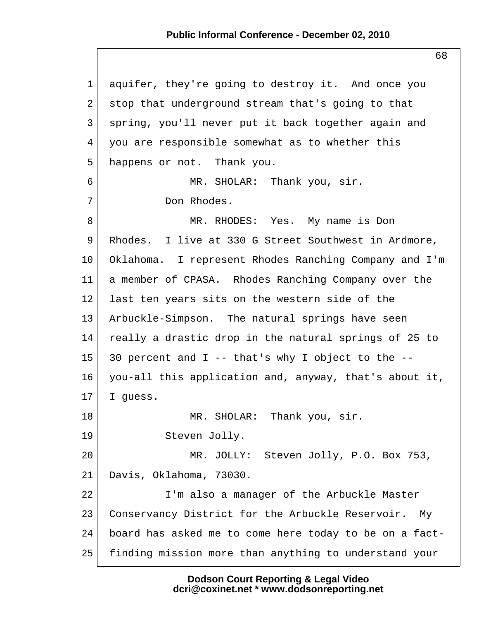1 aquifer, they're going to destroy it. And once you  $2$  stop that underground stream that's going to that 3 spring, you'll never put it back together again and 4 you are responsible somewhat as to whether this 5 happens or not. Thank you. 6 MR. SHOLAR: Thank you, sir. 7 Don Rhodes. 8 MR. RHODES: Yes. My name is Don 9 Rhodes. I live at 330 G Street Southwest in Ardmore, 10 Oklahoma. I represent Rhodes Ranching Company and I'm 11 a member of CPASA. Rhodes Ranching Company over the 12 last ten years sits on the western side of the 13 Arbuckle-Simpson. The natural springs have seen 14 really a drastic drop in the natural springs of 25 to 15 30 percent and I -- that's why I object to the  $-$ -16 you-all this application and, anyway, that's about it,  $17$  I quess. 18 MR. SHOLAR: Thank you, sir. 19 Steven Jolly. 20 MR. JOLLY: Steven Jolly, P.O. Box 753, 21 Davis, Oklahoma, 73030. 22 I'm also a manager of the Arbuckle Master 23 Conservancy District for the Arbuckle Reservoir. My 24 board has asked me to come here today to be on a fact-25 finding mission more than anything to understand your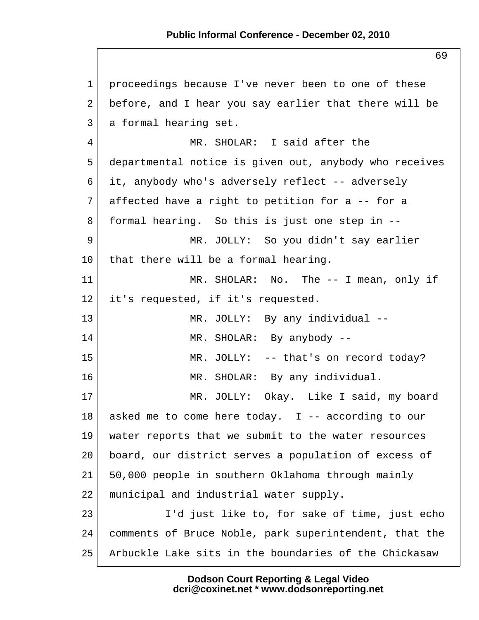1 proceedings because I've never been to one of these 2 before, and I hear you say earlier that there will be 3 a formal hearing set. 4 MR. SHOLAR: I said after the 5 departmental notice is given out, anybody who receives 6 it, anybody who's adversely reflect -- adversely  $7$  affected have a right to petition for a -- for a 8 formal hearing. So this is just one step in -- 9 MR. JOLLY: So you didn't say earlier  $10$  that there will be a formal hearing. 11 MR. SHOLAR: No. The -- I mean, only if 12 | it's requested, if it's requested. 13 MR. JOLLY: By any individual --14 MR. SHOLAR: By anybody --15 MR. JOLLY: -- that's on record today? 16 MR. SHOLAR: By any individual. 17 MR. JOLLY: Okay. Like I said, my board 18 asked me to come here today. I -- according to our 19 water reports that we submit to the water resources 20 board, our district serves a population of excess of 21 50,000 people in southern Oklahoma through mainly 22 municipal and industrial water supply. 23 I'd just like to, for sake of time, just echo 24 comments of Bruce Noble, park superintendent, that the 25 Arbuckle Lake sits in the boundaries of the Chickasaw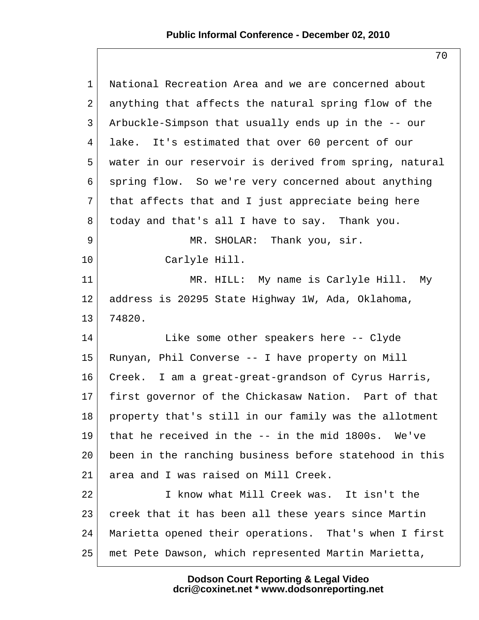| $\mathbf 1$     | National Recreation Area and we are concerned about    |
|-----------------|--------------------------------------------------------|
| 2               | anything that affects the natural spring flow of the   |
| 3               | Arbuckle-Simpson that usually ends up in the -- our    |
| 4               | lake. It's estimated that over 60 percent of our       |
| 5               | water in our reservoir is derived from spring, natural |
| 6               | spring flow. So we're very concerned about anything    |
| 7               | that affects that and I just appreciate being here     |
| 8               | today and that's all I have to say. Thank you.         |
| 9               | MR. SHOLAR: Thank you, sir.                            |
| 10              | Carlyle Hill.                                          |
| 11              | MR. HILL: My name is Carlyle Hill. My                  |
| 12              | address is 20295 State Highway 1W, Ada, Oklahoma,      |
| 13              | 74820.                                                 |
| 14              | Like some other speakers here -- Clyde                 |
| 15              | Runyan, Phil Converse -- I have property on Mill       |
| 16              | Creek. I am a great-great-grandson of Cyrus Harris,    |
| 17 <sub>2</sub> | first governor of the Chickasaw Nation. Part of that   |
| 18              | property that's still in our family was the allotment  |
| 19              | that he received in the -- in the mid 1800s.<br>We've  |
| 20              | been in the ranching business before statehood in this |
| 21              | area and I was raised on Mill Creek.                   |
| 22              | I know what Mill Creek was. It isn't the               |
| 23              | creek that it has been all these years since Martin    |
| 24              | Marietta opened their operations. That's when I first  |
| 25              | met Pete Dawson, which represented Martin Marietta,    |
|                 |                                                        |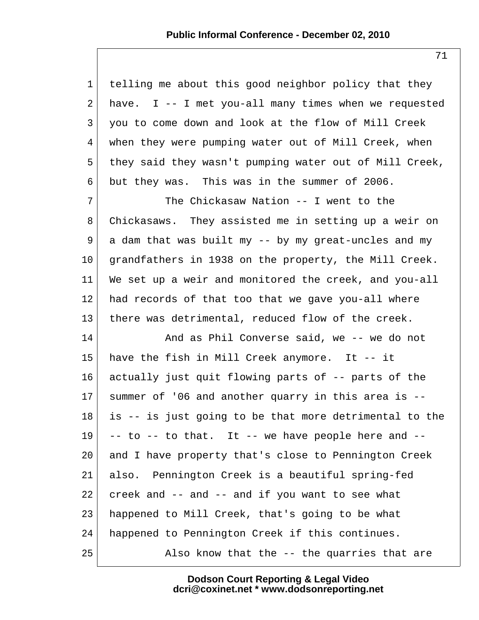| $\mathbf{1}$    | telling me about this good neighbor policy that they   |
|-----------------|--------------------------------------------------------|
| $\overline{a}$  | have. I -- I met you-all many times when we requested  |
| 3               | you to come down and look at the flow of Mill Creek    |
| 4               | when they were pumping water out of Mill Creek, when   |
| 5               | they said they wasn't pumping water out of Mill Creek, |
| 6               | but they was. This was in the summer of 2006.          |
| 7               | The Chickasaw Nation -- I went to the                  |
| 8               | Chickasaws. They assisted me in setting up a weir on   |
| 9               | a dam that was built my -- by my great-uncles and my   |
| 10 <sub>1</sub> | grandfathers in 1938 on the property, the Mill Creek.  |
| 11              | We set up a weir and monitored the creek, and you-all  |
| 12              | had records of that too that we gave you-all where     |
| 13              | there was detrimental, reduced flow of the creek.      |
| 14              | And as Phil Converse said, we -- we do not             |
| 15              | have the fish in Mill Creek anymore. It -- it          |
| 16              | actually just quit flowing parts of -- parts of the    |
| 17              | summer of '06 and another quarry in this area is --    |
| 18              | is -- is just going to be that more detrimental to the |
| 19              | -- to -- to that. It -- we have people here and --     |
| 20              | and I have property that's close to Pennington Creek   |
| 21              | also. Pennington Creek is a beautiful spring-fed       |
| 22              | creek and -- and -- and if you want to see what        |
| 23              | happened to Mill Creek, that's going to be what        |
| 24              | happened to Pennington Creek if this continues.        |
| 25              | Also know that the -- the quarries that are            |

71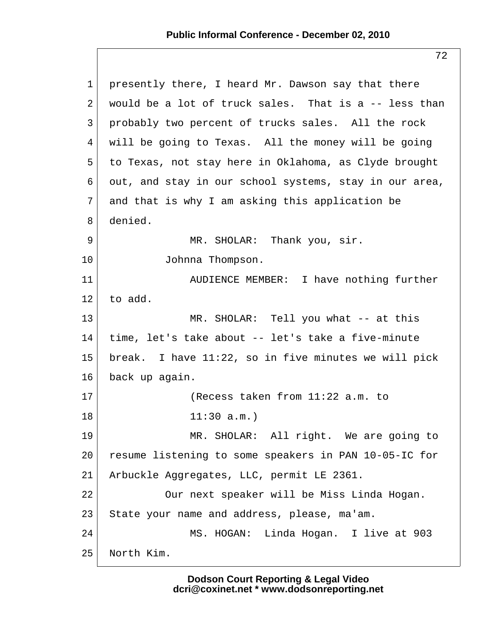| $\mathbf 1$ | presently there, I heard Mr. Dawson say that there      |
|-------------|---------------------------------------------------------|
| 2           | would be a lot of truck sales. That is a -- less than   |
| 3           | probably two percent of trucks sales. All the rock      |
| 4           | will be going to Texas. All the money will be going     |
| 5           | to Texas, not stay here in Oklahoma, as Clyde brought   |
| 6           | out, and stay in our school systems, stay in our area,  |
| 7           | and that is why I am asking this application be         |
| 8           | denied.                                                 |
| 9           | MR. SHOLAR: Thank you, sir.                             |
| $10 \,$     | Johnna Thompson.                                        |
| 11          | AUDIENCE MEMBER: I have nothing further                 |
| 12          | to add.                                                 |
| 13          | MR. SHOLAR: Tell you what -- at this                    |
| 14          | time, let's take about -- let's take a five-minute      |
| 15          | break. I have $11:22$ , so in five minutes we will pick |
| 16          | back up again.                                          |
| 17          | (Recess taken from 11:22 a.m. to                        |
| 18          | 11:30 a.m.                                              |
| 19          | MR. SHOLAR: All right. We are going to                  |
| 20          | resume listening to some speakers in PAN 10-05-IC for   |
| 21          | Arbuckle Aggregates, LLC, permit LE 2361.               |
| 22          | Our next speaker will be Miss Linda Hogan.              |
| 23          | State your name and address, please, ma'am.             |
| 24          | MS. HOGAN: Linda Hogan. I live at 903                   |
| 25          | North Kim.                                              |

72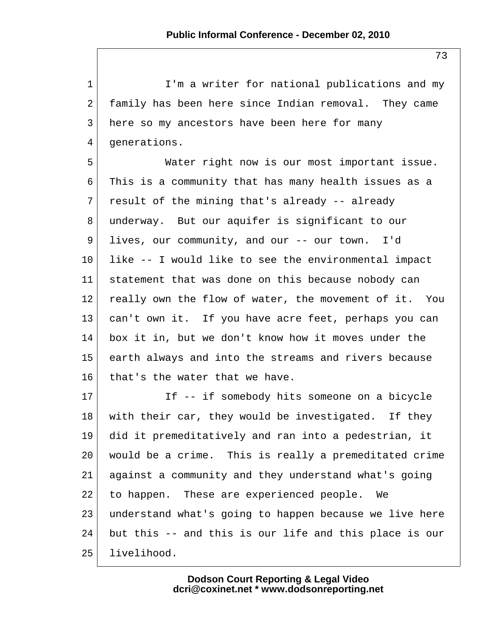1 I'm a writer for national publications and my 2 family has been here since Indian removal. They came 3 here so my ancestors have been here for many 4 generations.

 5 Water right now is our most important issue. 6 This is a community that has many health issues as a  $7$  result of the mining that's already -- already 8 underway. But our aquifer is significant to our 9 lives, our community, and our -- our town. I'd  $10$  like  $-$ - I would like to see the environmental impact 11 statement that was done on this because nobody can 12 really own the flow of water, the movement of it. You 13 can't own it. If you have acre feet, perhaps you can 14 box it in, but we don't know how it moves under the 15 earth always and into the streams and rivers because 16 that's the water that we have.

17 If -- if somebody hits someone on a bicycle 18 with their car, they would be investigated. If they 19 did it premeditatively and ran into a pedestrian, it 20 would be a crime. This is really a premeditated crime 21 against a community and they understand what's going 22 to happen. These are experienced people. We 23 understand what's going to happen because we live here 24 but this -- and this is our life and this place is our 25 livelihood.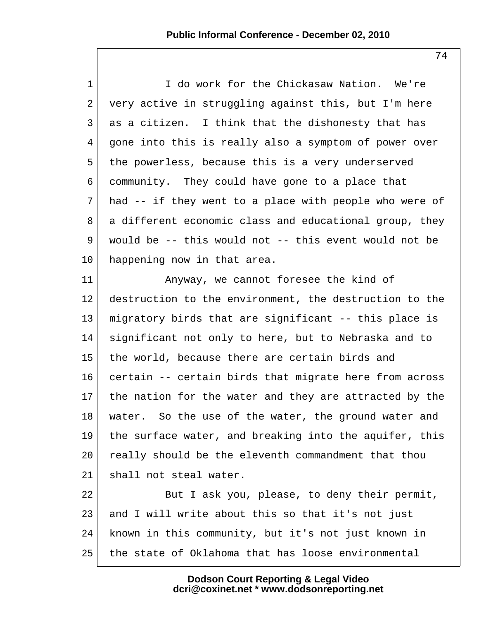1 I do work for the Chickasaw Nation. We're  $2$  very active in struggling against this, but I'm here 3 as a citizen. I think that the dishonesty that has 4 gone into this is really also a symptom of power over 5 the powerless, because this is a very underserved 6 community. They could have gone to a place that  $7$  had -- if they went to a place with people who were of 8 a different economic class and educational group, they 9 would be -- this would not -- this event would not be 10 happening now in that area.

11 Anyway, we cannot foresee the kind of 12 destruction to the environment, the destruction to the 13 migratory birds that are significant -- this place is 14 significant not only to here, but to Nebraska and to 15 the world, because there are certain birds and 16 certain -- certain birds that migrate here from across 17 the nation for the water and they are attracted by the 18 | water. So the use of the water, the ground water and 19 the surface water, and breaking into the aquifer, this 20 really should be the eleventh commandment that thou 21 shall not steal water.

22 But I ask you, please, to deny their permit, 23 and I will write about this so that it's not just 24 known in this community, but it's not just known in 25 the state of Oklahoma that has loose environmental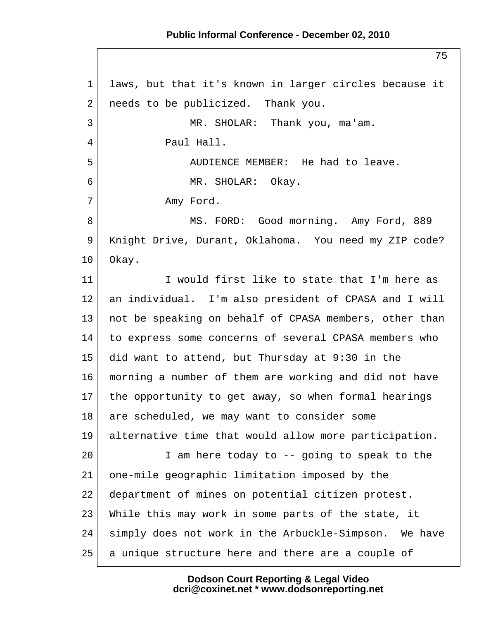## **Public Informal Conference - December 02, 2010**

 1 laws, but that it's known in larger circles because it 2 needs to be publicized. Thank you. 3 MR. SHOLAR: Thank you, ma'am. 4 Paul Hall. 5 AUDIENCE MEMBER: He had to leave. 6 MR. SHOLAR: Okay. 7 Amy Ford. 8 MS. FORD: Good morning. Amy Ford, 889 9 Knight Drive, Durant, Oklahoma. You need my ZIP code? 10 Okay. 11 I would first like to state that I'm here as 12 an individual. I'm also president of CPASA and I will 13 not be speaking on behalf of CPASA members, other than 14 to express some concerns of several CPASA members who 15 did want to attend, but Thursday at 9:30 in the 16 morning a number of them are working and did not have 17 the opportunity to get away, so when formal hearings 18 are scheduled, we may want to consider some 19 alternative time that would allow more participation.  $20$  I am here today to  $-$  going to speak to the 21 one-mile geographic limitation imposed by the 22 department of mines on potential citizen protest. 23 While this may work in some parts of the state, it 24 simply does not work in the Arbuckle-Simpson. We have 25 a unique structure here and there are a couple of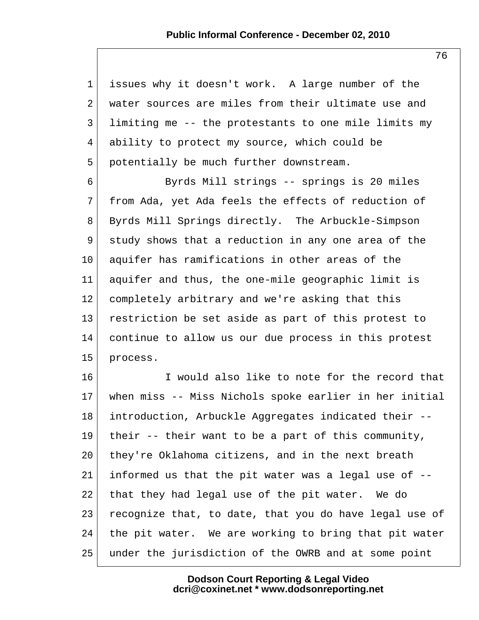1 issues why it doesn't work. A large number of the 2 water sources are miles from their ultimate use and 3 limiting me -- the protestants to one mile limits my 4 ability to protect my source, which could be 5 potentially be much further downstream.

 6 Byrds Mill strings -- springs is 20 miles 7 from Ada, yet Ada feels the effects of reduction of 8 Byrds Mill Springs directly. The Arbuckle-Simpson 9 study shows that a reduction in any one area of the 10 aquifer has ramifications in other areas of the 11 aquifer and thus, the one-mile geographic limit is 12 completely arbitrary and we're asking that this 13 restriction be set aside as part of this protest to 14 continue to allow us our due process in this protest 15 process.

16 I would also like to note for the record that 17 when miss -- Miss Nichols spoke earlier in her initial 18 introduction, Arbuckle Aggregates indicated their -- 19 their  $-$  their want to be a part of this community, 20 they're Oklahoma citizens, and in the next breath  $21$  informed us that the pit water was a legal use of  $-$ -22 that they had legal use of the pit water. We do 23 recognize that, to date, that you do have legal use of 24 the pit water. We are working to bring that pit water 25 under the jurisdiction of the OWRB and at some point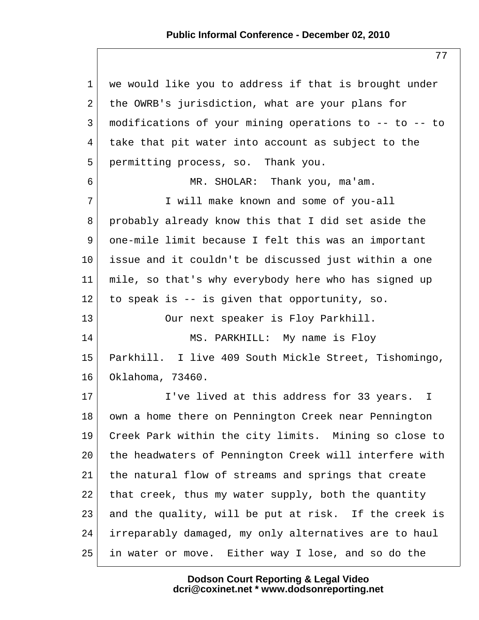| $\mathbf 1$ | we would like you to address if that is brought under  |
|-------------|--------------------------------------------------------|
| 2           | the OWRB's jurisdiction, what are your plans for       |
| 3           | modifications of your mining operations to -- to -- to |
| 4           | take that pit water into account as subject to the     |
| 5           | permitting process, so. Thank you.                     |
| 6           | MR. SHOLAR: Thank you, ma'am.                          |
| 7           | I will make known and some of you-all                  |
| 8           | probably already know this that I did set aside the    |
| 9           | one-mile limit because I felt this was an important    |
| $10 \,$     | issue and it couldn't be discussed just within a one   |
| 11          | mile, so that's why everybody here who has signed up   |
| 12          | to speak is -- is given that opportunity, so.          |
| 13          | Our next speaker is Floy Parkhill.                     |
| 14          | MS. PARKHILL: My name is Floy                          |
| 15          | Parkhill. I live 409 South Mickle Street, Tishomingo,  |
| 16          | Oklahoma, 73460.                                       |
| 17          | I've lived at this address for 33 years. I             |
| 18          | own a home there on Pennington Creek near Pennington   |
| 19          | Creek Park within the city limits. Mining so close to  |
| 20          | the headwaters of Pennington Creek will interfere with |
| 21          | the natural flow of streams and springs that create    |
| 22          | that creek, thus my water supply, both the quantity    |
| 23          | and the quality, will be put at risk. If the creek is  |
| 24          | irreparably damaged, my only alternatives are to haul  |
| 25          | in water or move. Either way I lose, and so do the     |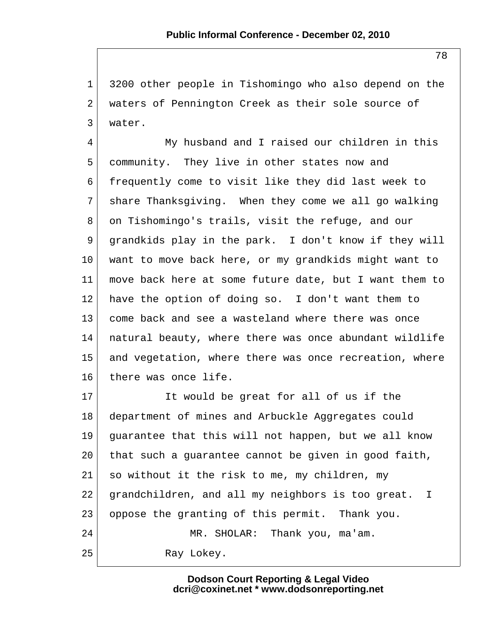1 3200 other people in Tishomingo who also depend on the 2 waters of Pennington Creek as their sole source of 3 water.

 4 My husband and I raised our children in this 5 community. They live in other states now and 6 frequently come to visit like they did last week to 7 share Thanksgiving. When they come we all go walking 8 on Tishomingo's trails, visit the refuge, and our 9 grandkids play in the park. I don't know if they will 10 want to move back here, or my grandkids might want to 11 move back here at some future date, but I want them to 12 have the option of doing so. I don't want them to 13 come back and see a wasteland where there was once 14 natural beauty, where there was once abundant wildlife 15 and vegetation, where there was once recreation, where 16 there was once life.

17 It would be great for all of us if the 18 department of mines and Arbuckle Aggregates could 19 guarantee that this will not happen, but we all know 20 | that such a guarantee cannot be given in good faith, 21 so without it the risk to me, my children, my 22 grandchildren, and all my neighbors is too great. I 23 oppose the granting of this permit. Thank you. 24 MR. SHOLAR: Thank you, ma'am. 25 Ray Lokey.

> **Dodson Court Reporting & Legal Video dcri@coxinet.net \* www.dodsonreporting.net**

78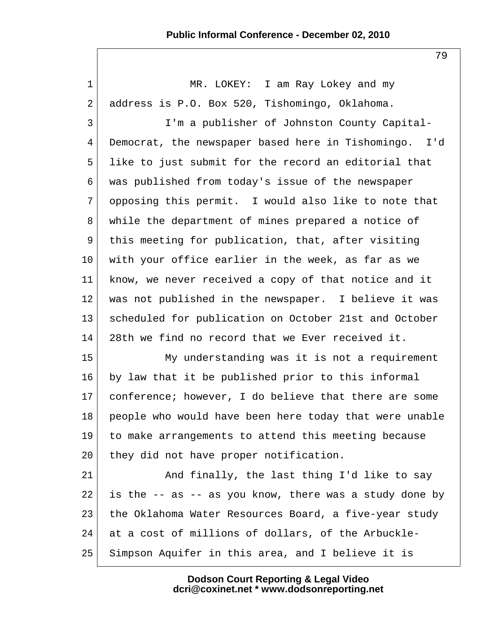79

| $\mathbf 1$     | MR. LOKEY: I am Ray Lokey and my                       |
|-----------------|--------------------------------------------------------|
| $\overline{2}$  | address is P.O. Box 520, Tishomingo, Oklahoma.         |
| 3               | I'm a publisher of Johnston County Capital-            |
| $\overline{4}$  | Democrat, the newspaper based here in Tishomingo. I'd  |
| 5               | like to just submit for the record an editorial that   |
| 6               | was published from today's issue of the newspaper      |
| 7               | opposing this permit. I would also like to note that   |
| 8               | while the department of mines prepared a notice of     |
| 9               | this meeting for publication, that, after visiting     |
| 10              | with your office earlier in the week, as far as we     |
| 11              | know, we never received a copy of that notice and it   |
| $12 \,$         | was not published in the newspaper. I believe it was   |
| 13              | scheduled for publication on October 21st and October  |
| 14              | 28th we find no record that we Ever received it.       |
| 15              | My understanding was it is not a requirement           |
| 16              | by law that it be published prior to this informal     |
| 17 <sub>2</sub> | conference; however, I do believe that there are some  |
| 18              | people who would have been here today that were unable |
| 19              | to make arrangements to attend this meeting because    |
| 20              | they did not have proper notification.                 |
| 21              | And finally, the last thing I'd like to say            |
| 22              | is the -- as -- as you know, there was a study done by |
| 23              | the Oklahoma Water Resources Board, a five-year study  |
| 24              | at a cost of millions of dollars, of the Arbuckle-     |
| 25              | Simpson Aquifer in this area, and I believe it is      |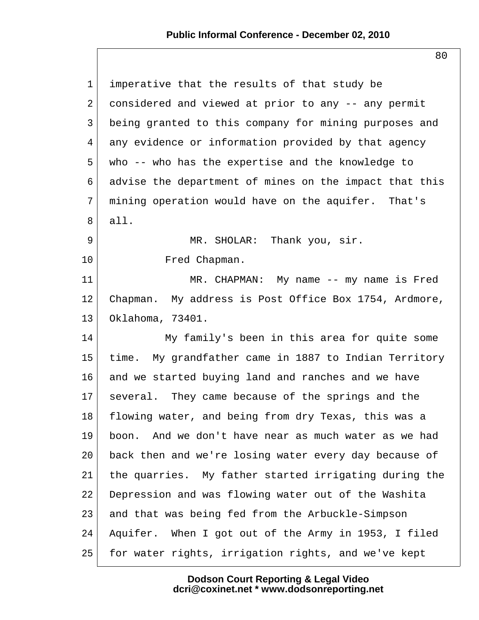80

| $\mathbf{1}$    | imperative that the results of that study be            |
|-----------------|---------------------------------------------------------|
| $\overline{2}$  | considered and viewed at prior to any -- any permit     |
| $\mathfrak{Z}$  | being granted to this company for mining purposes and   |
| 4               | any evidence or information provided by that agency     |
| 5               | who -- who has the expertise and the knowledge to       |
| 6               | advise the department of mines on the impact that this  |
| 7               | mining operation would have on the aquifer. That's      |
| 8               | all.                                                    |
| 9               | MR. SHOLAR: Thank you, sir.                             |
| 10              | Fred Chapman.                                           |
| 11              | MR. CHAPMAN: My name -- my name is Fred                 |
| 12              | Chapman. My address is Post Office Box 1754, Ardmore,   |
| 13              | Oklahoma, 73401.                                        |
| 14              | My family's been in this area for quite some            |
| 15              | time. My grandfather came in 1887 to Indian Territory   |
| 16              | and we started buying land and ranches and we have      |
| 17 <sup>2</sup> | several. They came because of the springs and the       |
| 18              | flowing water, and being from dry Texas, this was a     |
| 19              | And we don't have near as much water as we had<br>boon. |
| 20              | back then and we're losing water every day because of   |
| 21              | the quarries. My father started irrigating during the   |
| 22              | Depression and was flowing water out of the Washita     |
| 23              | and that was being fed from the Arbuckle-Simpson        |
| 24              | Aquifer. When I got out of the Army in 1953, I filed    |
| 25              | for water rights, irrigation rights, and we've kept     |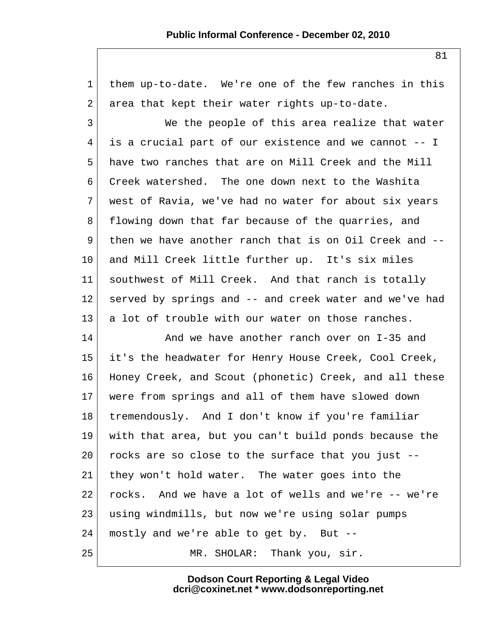| $\mathbf 1$     | them up-to-date. We're one of the few ranches in this  |
|-----------------|--------------------------------------------------------|
| 2               | area that kept their water rights up-to-date.          |
| 3               | We the people of this area realize that water          |
| 4               | is a crucial part of our existence and we cannot -- I  |
| 5               | have two ranches that are on Mill Creek and the Mill   |
| 6               | Creek watershed. The one down next to the Washita      |
| 7               | west of Ravia, we've had no water for about six years  |
| 8               | flowing down that far because of the quarries, and     |
| 9               | then we have another ranch that is on Oil Creek and -- |
| 10 <sub>1</sub> | and Mill Creek little further up. It's six miles       |
| 11              | southwest of Mill Creek. And that ranch is totally     |
| $12 \,$         | served by springs and -- and creek water and we've had |
| 13              | a lot of trouble with our water on those ranches.      |
| 14              | And we have another ranch over on I-35 and             |
| 15              | it's the headwater for Henry House Creek, Cool Creek,  |
| 16              | Honey Creek, and Scout (phonetic) Creek, and all these |
| 17              | were from springs and all of them have slowed down     |
| 18              | tremendously. And I don't know if you're familiar      |
| 19              | with that area, but you can't build ponds because the  |
| 20              | rocks are so close to the surface that you just --     |
| 21              | they won't hold water. The water goes into the         |
| 22              | rocks. And we have a lot of wells and we're -- we're   |
| 23              | using windmills, but now we're using solar pumps       |
| 24              | mostly and we're able to get by. But --                |
| 25              | MR. SHOLAR: Thank you, sir.                            |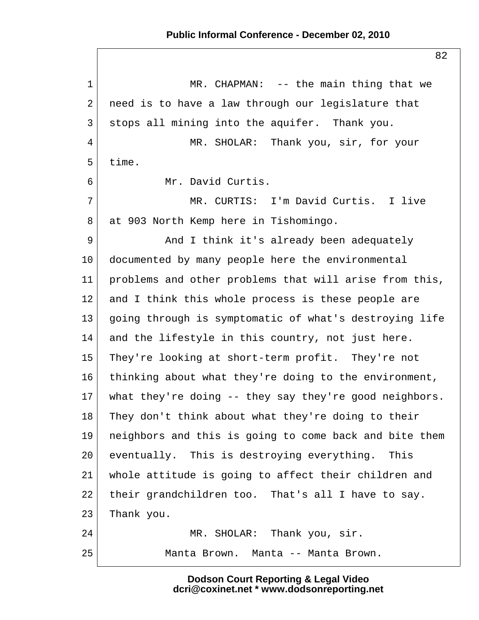1 MR. CHAPMAN: -- the main thing that we  $2$  need is to have a law through our legislature that 3 stops all mining into the aquifer. Thank you. 4 MR. SHOLAR: Thank you, sir, for your 5 time. 6 Mr. David Curtis. 7 MR. CURTIS: I'm David Curtis. I live 8 at 903 North Kemp here in Tishomingo. 9 And I think it's already been adequately 10 documented by many people here the environmental 11 problems and other problems that will arise from this, 12 and I think this whole process is these people are 13 going through is symptomatic of what's destroying life 14 and the lifestyle in this country, not just here. 15 They're looking at short-term profit. They're not 16 thinking about what they're doing to the environment, 17 what they're doing -- they say they're good neighbors. 18 They don't think about what they're doing to their 19 neighbors and this is going to come back and bite them 20 eventually. This is destroying everything. This 21 whole attitude is going to affect their children and 22 their grandchildren too. That's all I have to say. 23 Thank you. 24 MR. SHOLAR: Thank you, sir. 25 Manta Brown. Manta -- Manta Brown.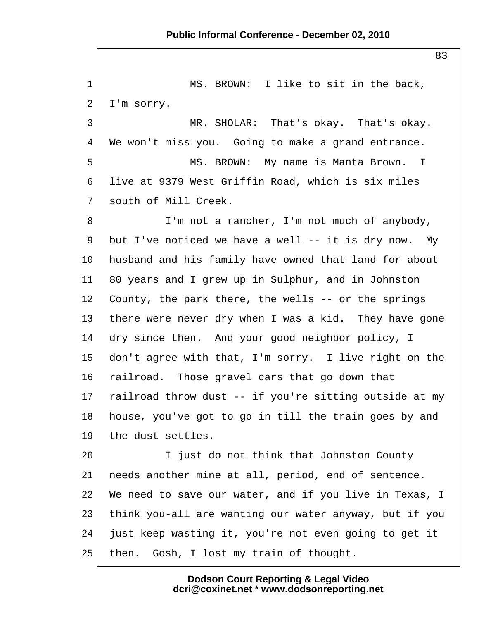1 MS. BROWN: I like to sit in the back,  $2$  I'm sorry. 3 MR. SHOLAR: That's okay. That's okay. 4 We won't miss you. Going to make a grand entrance. 5 MS. BROWN: My name is Manta Brown. I 6 live at 9379 West Griffin Road, which is six miles 7 south of Mill Creek. 8 I'm not a rancher, I'm not much of anybody, 9 but I've noticed we have a well  $--$  it is dry now. My 10 husband and his family have owned that land for about 11 80 years and I grew up in Sulphur, and in Johnston 12 County, the park there, the wells -- or the springs 13 there were never dry when I was a kid. They have gone 14 dry since then. And your good neighbor policy, I 15 don't agree with that, I'm sorry. I live right on the 16 railroad. Those gravel cars that go down that 17 railroad throw dust  $-$ - if you're sitting outside at my 18 house, you've got to go in till the train goes by and 19 the dust settles. 20 I just do not think that Johnston County 21 | needs another mine at all, period, end of sentence. 22 We need to save our water, and if you live in Texas, I 23 think you-all are wanting our water anyway, but if you 24 just keep wasting it, you're not even going to get it 25 | then. Gosh, I lost my train of thought.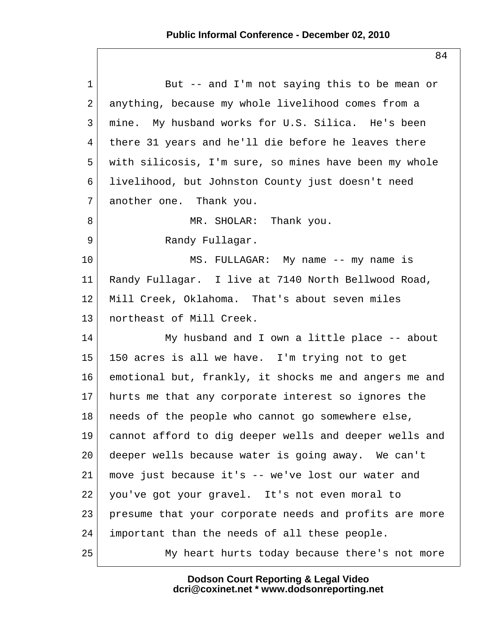| $\mathbf{1}$   | But -- and I'm not saying this to be mean or           |
|----------------|--------------------------------------------------------|
| $\overline{a}$ | anything, because my whole livelihood comes from a     |
| 3              | mine. My husband works for U.S. Silica. He's been      |
| 4              | there 31 years and he'll die before he leaves there    |
| 5              | with silicosis, I'm sure, so mines have been my whole  |
| 6              | livelihood, but Johnston County just doesn't need      |
| 7              | another one. Thank you.                                |
| 8              | MR. SHOLAR: Thank you.                                 |
| 9              | Randy Fullagar.                                        |
| 10             | MS. FULLAGAR: My name -- my name is                    |
| 11             | Randy Fullagar. I live at 7140 North Bellwood Road,    |
| 12             | Mill Creek, Oklahoma. That's about seven miles         |
| 13             | northeast of Mill Creek.                               |
| 14             | My husband and I own a little place -- about           |
| 15             | 150 acres is all we have. I'm trying not to get        |
| 16             | emotional but, frankly, it shocks me and angers me and |
| 17             | hurts me that any corporate interest so ignores the    |
| 18             | needs of the people who cannot go somewhere else,      |
| 19             | cannot afford to dig deeper wells and deeper wells and |
| 20             | deeper wells because water is going away. We can't     |
| 21             | move just because it's -- we've lost our water and     |
| 22             | you've got your gravel. It's not even moral to         |
| 23             | presume that your corporate needs and profits are more |
| 24             | important than the needs of all these people.          |
| 25             | My heart hurts today because there's not more          |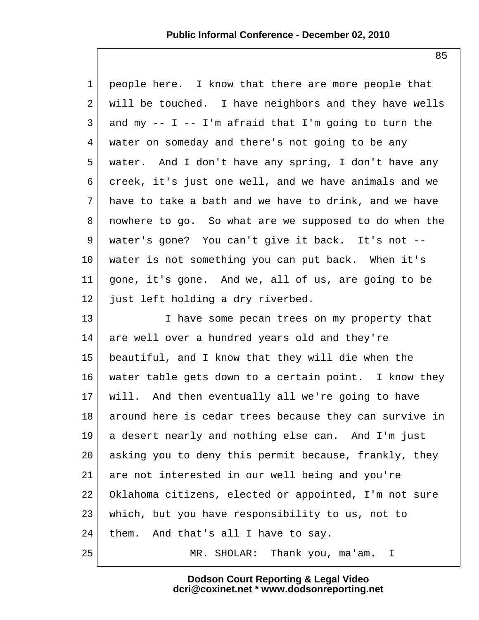1 people here. I know that there are more people that  $2$  will be touched. I have neighbors and they have wells  $3$  and my  $-$  I  $-$  I'm afraid that I'm going to turn the 4 water on someday and there's not going to be any 5 water. And I don't have any spring, I don't have any 6 creek, it's just one well, and we have animals and we 7 have to take a bath and we have to drink, and we have 8 nowhere to go. So what are we supposed to do when the 9 water's gone? You can't give it back. It's not --10 water is not something you can put back. When it's 11 gone, it's gone. And we, all of us, are going to be 12 just left holding a dry riverbed.

13 I have some pecan trees on my property that 14 are well over a hundred years old and they're 15 beautiful, and I know that they will die when the 16 water table gets down to a certain point. I know they 17 will. And then eventually all we're going to have 18 around here is cedar trees because they can survive in 19 a desert nearly and nothing else can. And I'm just 20 asking you to deny this permit because, frankly, they 21 are not interested in our well being and you're 22 Oklahoma citizens, elected or appointed, I'm not sure 23 which, but you have responsibility to us, not to 24 them. And that's all I have to say. 25 MR. SHOLAR: Thank you, ma'am. I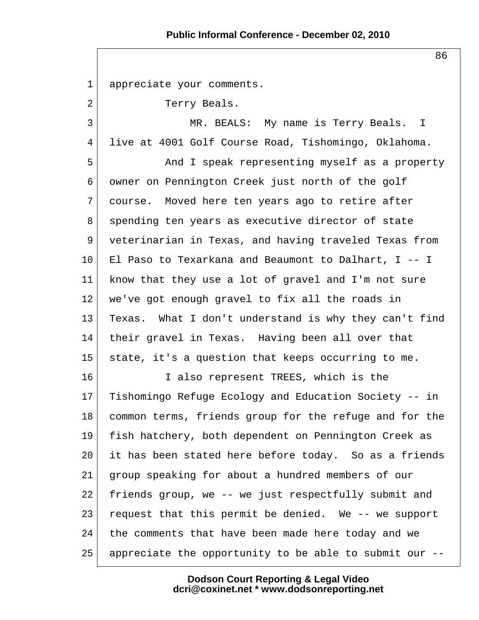86

 1 appreciate your comments. 2 Terry Beals. 3 MR. BEALS: My name is Terry Beals. I 4 live at 4001 Golf Course Road, Tishomingo, Oklahoma. 5 And I speak representing myself as a property 6 owner on Pennington Creek just north of the golf 7 course. Moved here ten years ago to retire after 8 spending ten years as executive director of state 9 veterinarian in Texas, and having traveled Texas from 10 El Paso to Texarkana and Beaumont to Dalhart, I -- I 11 know that they use a lot of gravel and I'm not sure 12 we've got enough gravel to fix all the roads in 13 Texas. What I don't understand is why they can't find 14 their gravel in Texas. Having been all over that 15 state, it's a question that keeps occurring to me. 16 I also represent TREES, which is the 17 Tishomingo Refuge Ecology and Education Society -- in 18 common terms, friends group for the refuge and for the 19 fish hatchery, both dependent on Pennington Creek as 20 it has been stated here before today. So as a friends 21 group speaking for about a hundred members of our 22 friends group, we -- we just respectfully submit and 23 request that this permit be denied. We -- we support 24 the comments that have been made here today and we 25 appreciate the opportunity to be able to submit our --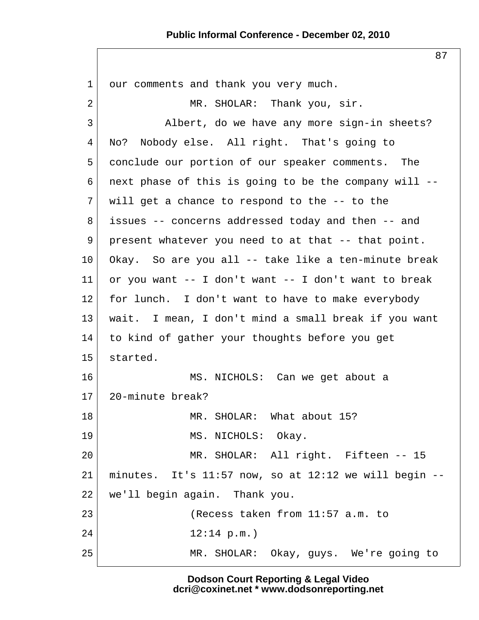## **Public Informal Conference - December 02, 2010**

87

1 our comments and thank you very much. 2 MR. SHOLAR: Thank you, sir. 3 Albert, do we have any more sign-in sheets? 4 No? Nobody else. All right. That's going to 5 conclude our portion of our speaker comments. The 6 next phase of this is going to be the company will  $-$ - $7$  will get a chance to respond to the  $-$ - to the 8 issues -- concerns addressed today and then -- and 9 present whatever you need to at that -- that point. 10 Okay. So are you all -- take like a ten-minute break 11 or you want  $-$  I don't want  $-$  I don't want to break 12 for lunch. I don't want to have to make everybody 13 wait. I mean, I don't mind a small break if you want 14 to kind of gather your thoughts before you get 15 started. 16 MS. NICHOLS: Can we get about a 17 20-minute break? 18 MR. SHOLAR: What about 15? 19 MS. NICHOLS: Okay. 20 MR. SHOLAR: All right. Fifteen -- 15  $21$  minutes. It's 11:57 now, so at 12:12 we will begin  $-$ -22 we'll begin again. Thank you. 23 (Recess taken from 11:57 a.m. to  $24$  12:14 p.m.) 25 MR. SHOLAR: Okay, guys. We're going to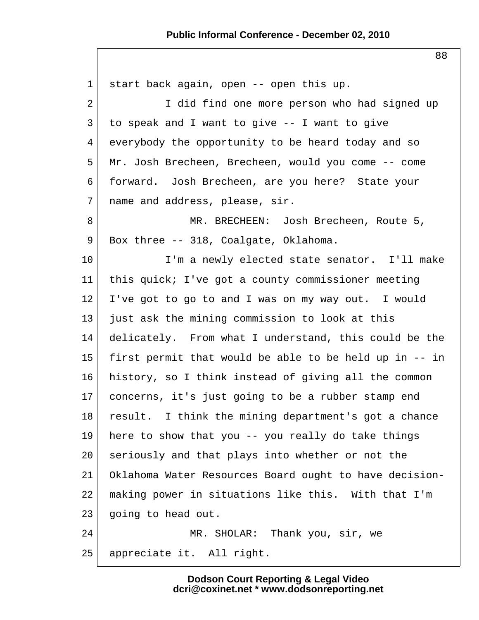## **Public Informal Conference - December 02, 2010**

88

 1 start back again, open -- open this up. 2 I did find one more person who had signed up  $3$  to speak and I want to give  $-$ - I want to give 4 everybody the opportunity to be heard today and so 5 Mr. Josh Brecheen, Brecheen, would you come -- come 6 forward. Josh Brecheen, are you here? State your 7 | name and address, please, sir. 8 MR. BRECHEEN: Josh Brecheen, Route 5, 9 Box three -- 318, Coalgate, Oklahoma. 10 I'm a newly elected state senator. I'll make 11 this quick; I've got a county commissioner meeting 12 I've got to go to and I was on my way out. I would 13 just ask the mining commission to look at this 14 delicately. From what I understand, this could be the 15 first permit that would be able to be held up in -- in 16 history, so I think instead of giving all the common 17 concerns, it's just going to be a rubber stamp end 18 result. I think the mining department's got a chance 19 here to show that you -- you really do take things 20 seriously and that plays into whether or not the 21 Oklahoma Water Resources Board ought to have decision-22 making power in situations like this. With that I'm 23 | going to head out. 24 MR. SHOLAR: Thank you, sir, we 25 appreciate it. All right.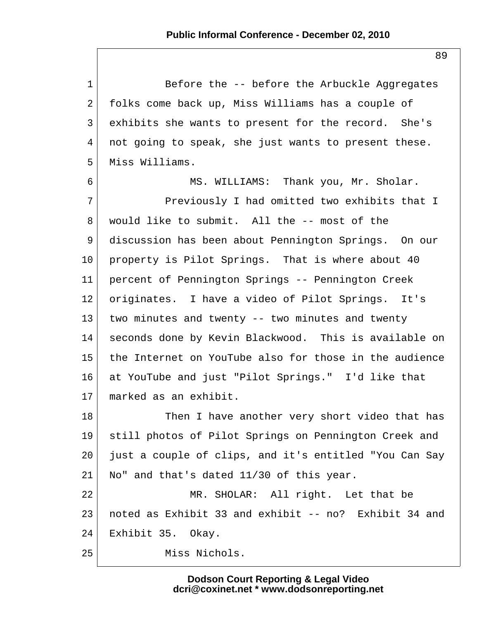1 Before the -- before the Arbuckle Aggregates 2 folks come back up, Miss Williams has a couple of 3 exhibits she wants to present for the record. She's 4 not going to speak, she just wants to present these. 5 Miss Williams. 6 MS. WILLIAMS: Thank you, Mr. Sholar. 7 Previously I had omitted two exhibits that I 8 | would like to submit. All the -- most of the 9 discussion has been about Pennington Springs. On our 10 property is Pilot Springs. That is where about 40 11 percent of Pennington Springs -- Pennington Creek 12 originates. I have a video of Pilot Springs. It's  $13$  two minutes and twenty -- two minutes and twenty 14 seconds done by Kevin Blackwood. This is available on 15 the Internet on YouTube also for those in the audience 16 at YouTube and just "Pilot Springs." I'd like that 17 marked as an exhibit. 18 Then I have another very short video that has 19 still photos of Pilot Springs on Pennington Creek and 20 just a couple of clips, and it's entitled "You Can Say 21 No" and that's dated 11/30 of this year. 22 MR. SHOLAR: All right. Let that be 23 noted as Exhibit 33 and exhibit -- no? Exhibit 34 and 24 Exhibit 35. Okay. 25 Miss Nichols.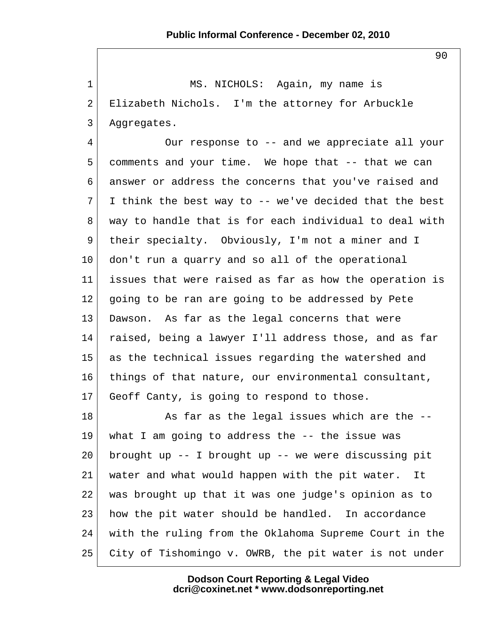1 MS. NICHOLS: Again, my name is 2 Elizabeth Nichols. I'm the attorney for Arbuckle 3 Aggregates.

4 Our response to -- and we appreciate all your 5 comments and your time. We hope that -- that we can 6 answer or address the concerns that you've raised and  $7$  I think the best way to -- we've decided that the best 8 way to handle that is for each individual to deal with 9 their specialty. Obviously, I'm not a miner and I 10 don't run a quarry and so all of the operational 11 issues that were raised as far as how the operation is 12 going to be ran are going to be addressed by Pete 13 Dawson. As far as the legal concerns that were 14 raised, being a lawyer I'll address those, and as far 15 as the technical issues regarding the watershed and 16 things of that nature, our environmental consultant, 17 Geoff Canty, is going to respond to those.

18 As far as the legal issues which are the --19 | what I am going to address the  $-$  the issue was 20 brought up  $-$  I brought up  $-$  we were discussing pit 21 water and what would happen with the pit water. It 22 was brought up that it was one judge's opinion as to 23 how the pit water should be handled. In accordance 24 with the ruling from the Oklahoma Supreme Court in the 25 City of Tishomingo v. OWRB, the pit water is not under

> **Dodson Court Reporting & Legal Video dcri@coxinet.net \* www.dodsonreporting.net**

90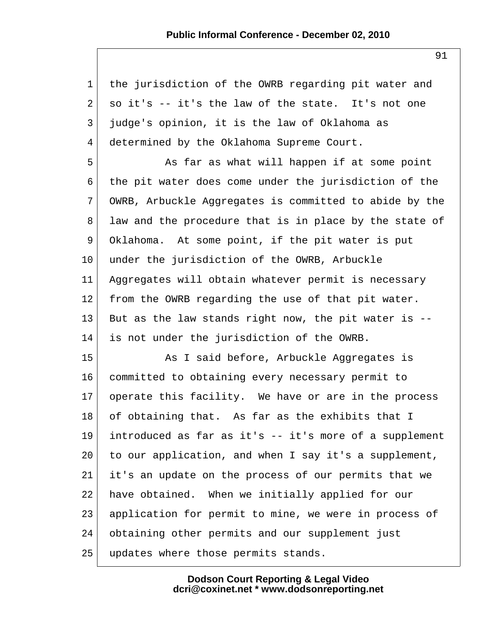| $\mathbf{1}$   | the jurisdiction of the OWRB regarding pit water and   |
|----------------|--------------------------------------------------------|
| $\overline{a}$ | so it's -- it's the law of the state. It's not one     |
| 3              | judge's opinion, it is the law of Oklahoma as          |
| 4              | determined by the Oklahoma Supreme Court.              |
| 5              | As far as what will happen if at some point            |
| 6              | the pit water does come under the jurisdiction of the  |
| 7              | OWRB, Arbuckle Aggregates is committed to abide by the |
| 8              | law and the procedure that is in place by the state of |
| 9              | Oklahoma. At some point, if the pit water is put       |
| $10 \,$        | under the jurisdiction of the OWRB, Arbuckle           |
| 11             | Aggregates will obtain whatever permit is necessary    |
| 12             | from the OWRB regarding the use of that pit water.     |
| 13             | But as the law stands right now, the pit water is --   |
| 14             | is not under the jurisdiction of the OWRB.             |
| 15             | As I said before, Arbuckle Aggregates is               |
| 16             | committed to obtaining every necessary permit to       |
| 17             | operate this facility. We have or are in the process   |
| 18             | of obtaining that. As far as the exhibits that I       |
| 19             | introduced as far as it's -- it's more of a supplement |
| 20             | to our application, and when I say it's a supplement,  |
| 21             | it's an update on the process of our permits that we   |
| 22             | have obtained. When we initially applied for our       |
| 23             | application for permit to mine, we were in process of  |
| 24             | obtaining other permits and our supplement just        |
| 25             | updates where those permits stands.                    |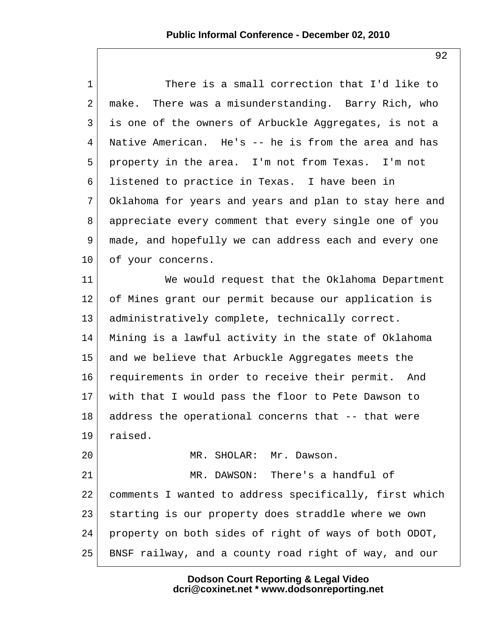1 There is a small correction that I'd like to 2 make. There was a misunderstanding. Barry Rich, who 3 is one of the owners of Arbuckle Aggregates, is not a 4 Native American. He's -- he is from the area and has 5 property in the area. I'm not from Texas. I'm not 6 listened to practice in Texas. I have been in 7 Oklahoma for years and years and plan to stay here and 8 appreciate every comment that every single one of you 9 made, and hopefully we can address each and every one 10 of your concerns. 11 We would request that the Oklahoma Department 12 of Mines grant our permit because our application is 13 | administratively complete, technically correct. 14 Mining is a lawful activity in the state of Oklahoma 15 and we believe that Arbuckle Aggregates meets the 16 requirements in order to receive their permit. And 17 with that I would pass the floor to Pete Dawson to 18 address the operational concerns that -- that were 19 raised. 20 MR. SHOLAR: Mr. Dawson. 21 MR. DAWSON: There's a handful of 22 comments I wanted to address specifically, first which 23 starting is our property does straddle where we own 24 property on both sides of right of ways of both ODOT, 25 BNSF railway, and a county road right of way, and our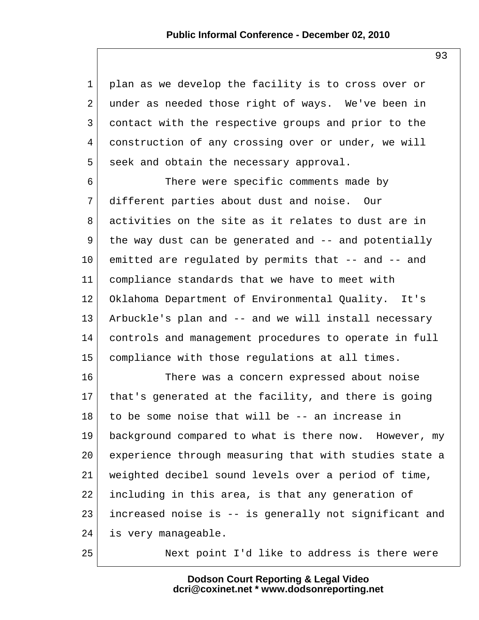1 plan as we develop the facility is to cross over or 2 under as needed those right of ways. We've been in 3 contact with the respective groups and prior to the 4 construction of any crossing over or under, we will 5 seek and obtain the necessary approval.

 6 There were specific comments made by 7 different parties about dust and noise. Our 8 activities on the site as it relates to dust are in 9 the way dust can be generated and -- and potentially 10 emitted are regulated by permits that -- and -- and 11 compliance standards that we have to meet with 12 Oklahoma Department of Environmental Quality. It's 13 Arbuckle's plan and -- and we will install necessary 14 controls and management procedures to operate in full 15 compliance with those regulations at all times.

16 There was a concern expressed about noise 17 that's generated at the facility, and there is going 18 to be some noise that will be -- an increase in 19 background compared to what is there now. However, my 20 experience through measuring that with studies state a 21 weighted decibel sound levels over a period of time, 22 including in this area, is that any generation of 23 increased noise is -- is generally not significant and 24 is very manageable.

25 Next point I'd like to address is there were

**Dodson Court Reporting & Legal Video dcri@coxinet.net \* www.dodsonreporting.net** 93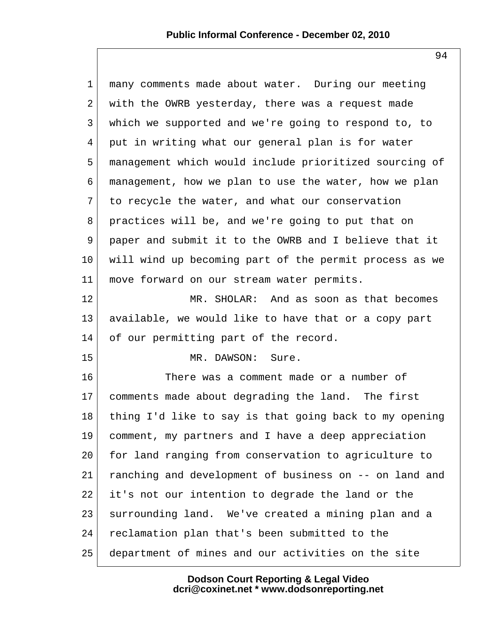| $\mathbf{1}$    | many comments made about water. During our meeting     |
|-----------------|--------------------------------------------------------|
| 2               | with the OWRB yesterday, there was a request made      |
| 3               | which we supported and we're going to respond to, to   |
| 4               | put in writing what our general plan is for water      |
| 5               | management which would include prioritized sourcing of |
| 6               | management, how we plan to use the water, how we plan  |
| 7               | to recycle the water, and what our conservation        |
| 8               | practices will be, and we're going to put that on      |
| 9               | paper and submit it to the OWRB and I believe that it  |
| 10              | will wind up becoming part of the permit process as we |
| 11              | move forward on our stream water permits.              |
| 12              | MR. SHOLAR: And as soon as that becomes                |
| 13              | available, we would like to have that or a copy part   |
| 14              | of our permitting part of the record.                  |
| 15              | MR. DAWSON:<br>Sure.                                   |
| 16              | There was a comment made or a number of                |
| 17 <sub>2</sub> | comments made about degrading the land. The first      |
| 18              | thing I'd like to say is that going back to my opening |
| 19              | comment, my partners and I have a deep appreciation    |
| 20              | for land ranging from conservation to agriculture to   |
| 21              | ranching and development of business on -- on land and |
| 22              | it's not our intention to degrade the land or the      |
| 23              | surrounding land. We've created a mining plan and a    |
| 24              | reclamation plan that's been submitted to the          |
| 25              | department of mines and our activities on the site     |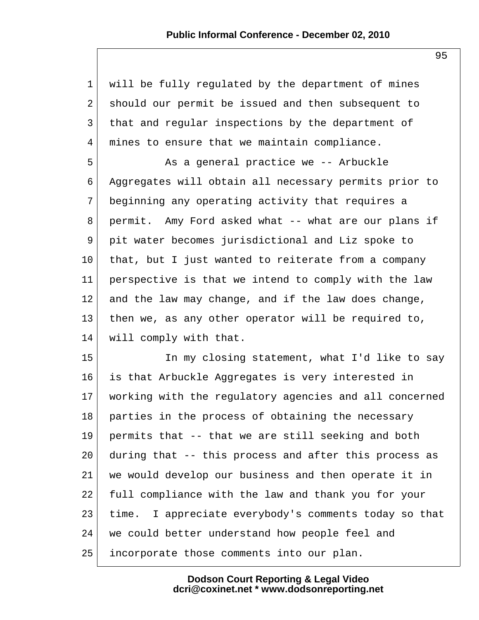| $\mathbf{1}$    | will be fully regulated by the department of mines     |
|-----------------|--------------------------------------------------------|
| $\overline{2}$  | should our permit be issued and then subsequent to     |
| 3               | that and regular inspections by the department of      |
| $\overline{4}$  | mines to ensure that we maintain compliance.           |
| 5               | As a general practice we -- Arbuckle                   |
| 6               | Aggregates will obtain all necessary permits prior to  |
| 7               | beginning any operating activity that requires a       |
| 8               | permit. Amy Ford asked what -- what are our plans if   |
| 9               | pit water becomes jurisdictional and Liz spoke to      |
| $10 \,$         | that, but I just wanted to reiterate from a company    |
| 11              | perspective is that we intend to comply with the law   |
| 12              | and the law may change, and if the law does change,    |
| 13              | then we, as any other operator will be required to,    |
| 14              | will comply with that.                                 |
| 15              | In my closing statement, what I'd like to say          |
| 16              | is that Arbuckle Aggregates is very interested in      |
| 17 <sub>2</sub> | working with the regulatory agencies and all concerned |
| 18              | parties in the process of obtaining the necessary      |
| 19              | permits that -- that we are still seeking and both     |
| 20              | during that -- this process and after this process as  |
| 21              | we would develop our business and then operate it in   |
| 22              | full compliance with the law and thank you for your    |
| 23              | time. I appreciate everybody's comments today so that  |
| 24              | we could better understand how people feel and         |
| 25              | incorporate those comments into our plan.              |

95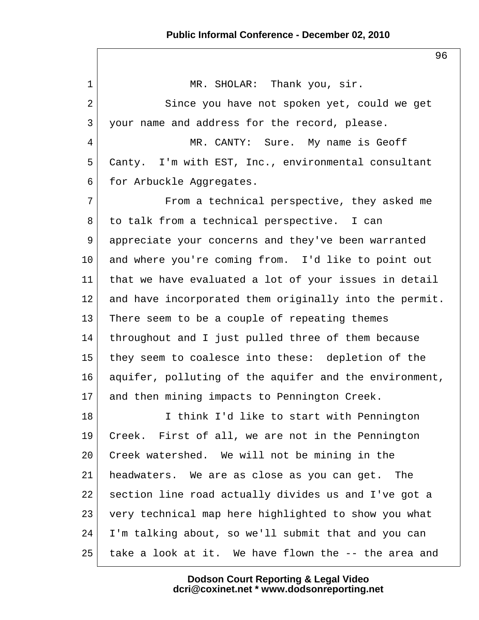1 MR. SHOLAR: Thank you, sir. 2 Since you have not spoken yet, could we get 3 your name and address for the record, please. 4 MR. CANTY: Sure. My name is Geoff 5 Canty. I'm with EST, Inc., environmental consultant 6 for Arbuckle Aggregates. 7 From a technical perspective, they asked me 8 to talk from a technical perspective. I can 9 appreciate your concerns and they've been warranted 10 and where you're coming from. I'd like to point out 11 that we have evaluated a lot of your issues in detail 12 and have incorporated them originally into the permit. 13 There seem to be a couple of repeating themes 14 throughout and I just pulled three of them because 15 they seem to coalesce into these: depletion of the 16 aquifer, polluting of the aquifer and the environment, 17 and then mining impacts to Pennington Creek. 18 I think I'd like to start with Pennington 19 Creek. First of all, we are not in the Pennington 20 Creek watershed. We will not be mining in the 21 headwaters. We are as close as you can get. The 22 section line road actually divides us and I've got a 23 very technical map here highlighted to show you what 24 I'm talking about, so we'll submit that and you can 25 take a look at it. We have flown the -- the area and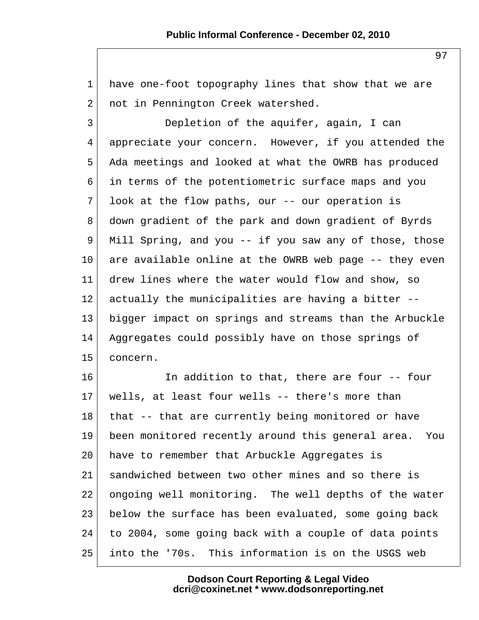1 have one-foot topography lines that show that we are 2 not in Pennington Creek watershed.

 3 Depletion of the aquifer, again, I can 4 appreciate your concern. However, if you attended the 5 Ada meetings and looked at what the OWRB has produced 6 in terms of the potentiometric surface maps and you  $7$  look at the flow paths, our  $-$ - our operation is 8 down gradient of the park and down gradient of Byrds 9 Mill Spring, and you -- if you saw any of those, those  $10$  are available online at the OWRB web page  $-$  they even 11 drew lines where the water would flow and show, so 12 actually the municipalities are having a bitter --13 bigger impact on springs and streams than the Arbuckle 14 Aggregates could possibly have on those springs of 15 concern.

16 In addition to that, there are four -- four 17 wells, at least four wells -- there's more than 18 that -- that are currently being monitored or have 19 been monitored recently around this general area. You 20 have to remember that Arbuckle Aggregates is 21 sandwiched between two other mines and so there is 22 ongoing well monitoring. The well depths of the water 23 below the surface has been evaluated, some going back 24 to 2004, some going back with a couple of data points 25 into the '70s. This information is on the USGS web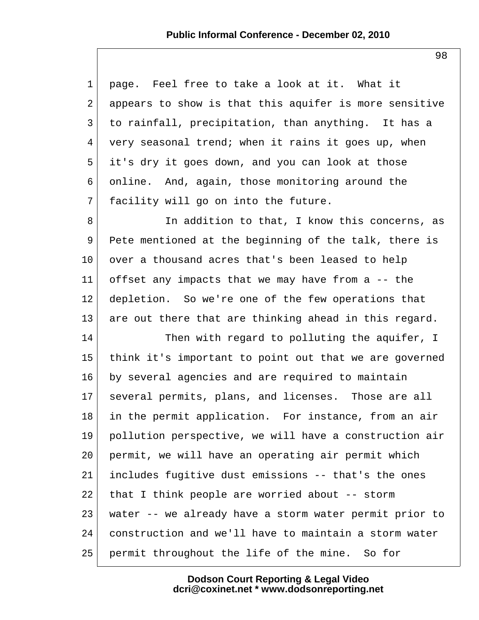1 page. Feel free to take a look at it. What it 2 appears to show is that this aquifer is more sensitive 3 to rainfall, precipitation, than anything. It has a  $4$  very seasonal trend; when it rains it goes up, when 5 it's dry it goes down, and you can look at those 6 online. And, again, those monitoring around the  $7$  facility will go on into the future. 8 | Th addition to that, I know this concerns, as 9 Pete mentioned at the beginning of the talk, there is 10 over a thousand acres that's been leased to help 11 offset any impacts that we may have from a -- the 12 depletion. So we're one of the few operations that 13 are out there that are thinking ahead in this regard. 14 Then with regard to polluting the aquifer, I 15 think it's important to point out that we are governed 16 by several agencies and are required to maintain 17 several permits, plans, and licenses. Those are all 18 in the permit application. For instance, from an air 19 pollution perspective, we will have a construction air 20 permit, we will have an operating air permit which 21 includes fugitive dust emissions -- that's the ones 22 that I think people are worried about  $-$ - storm 23 water -- we already have a storm water permit prior to 24 construction and we'll have to maintain a storm water 25 permit throughout the life of the mine. So for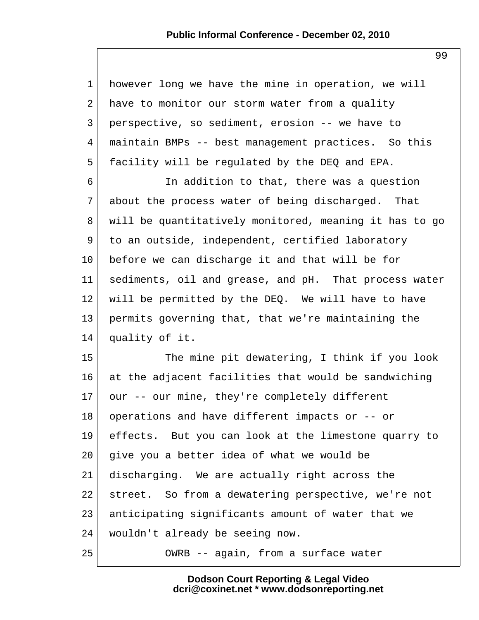## **Public Informal Conference - December 02, 2010**

| $\mathbf 1$     | however long we have the mine in operation, we will    |
|-----------------|--------------------------------------------------------|
| 2               | have to monitor our storm water from a quality         |
| 3               | perspective, so sediment, erosion -- we have to        |
| 4               | maintain BMPs -- best management practices. So this    |
| 5               | facility will be regulated by the DEQ and EPA.         |
| 6               | In addition to that, there was a question              |
| 7               | about the process water of being discharged. That      |
| 8               | will be quantitatively monitored, meaning it has to go |
| 9               | to an outside, independent, certified laboratory       |
| $10 \,$         | before we can discharge it and that will be for        |
| 11              | sediments, oil and grease, and pH. That process water  |
| 12              | will be permitted by the DEQ. We will have to have     |
| 13              | permits governing that, that we're maintaining the     |
| 14              | quality of it.                                         |
| 15              | The mine pit dewatering, I think if you look           |
| 16              | at the adjacent facilities that would be sandwiching   |
| 17 <sub>2</sub> | our -- our mine, they're completely different          |
| 18              | operations and have different impacts or -- or         |
| 19              | effects. But you can look at the limestone quarry to   |
| 20              | give you a better idea of what we would be             |
| 21              | discharging. We are actually right across the          |
| 22              | street. So from a dewatering perspective, we're not    |
| 23              | anticipating significants amount of water that we      |
| 24              | wouldn't already be seeing now.                        |
| 25              | OWRB -- again, from a surface water                    |

**Dodson Court Reporting & Legal Video dcri@coxinet.net \* www.dodsonreporting.net**

99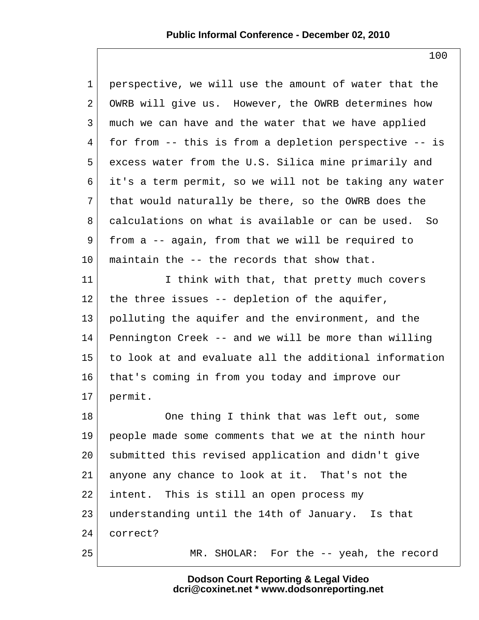| $\mathbf{1}$ | perspective, we will use the amount of water that the  |
|--------------|--------------------------------------------------------|
| 2            | OWRB will give us. However, the OWRB determines how    |
| 3            | much we can have and the water that we have applied    |
| 4            | for from -- this is from a depletion perspective -- is |
| 5            | excess water from the U.S. Silica mine primarily and   |
| 6            | it's a term permit, so we will not be taking any water |
| 7            | that would naturally be there, so the OWRB does the    |
| 8            | calculations on what is available or can be used. So   |
| 9            | from a -- again, from that we will be required to      |
| 10           | maintain the -- the records that show that.            |
| 11           | I think with that, that pretty much covers             |
| 12           | the three issues -- depletion of the aquifer,          |
| 13           | polluting the aquifer and the environment, and the     |
| 14           | Pennington Creek -- and we will be more than willing   |
| 15           | to look at and evaluate all the additional information |
| 16           | that's coming in from you today and improve our        |
| $17 \,$      | permit.                                                |
| 18           | One thing I think that was left out, some              |
| 19           | people made some comments that we at the ninth hour    |
| 20           | submitted this revised application and didn't give     |
| 21           | anyone any chance to look at it. That's not the        |
| 22           | intent. This is still an open process my               |
| 23           | understanding until the 14th of January. Is that       |
| 24           | correct?                                               |
| 25           | MR. SHOLAR: For the -- yeah, the record                |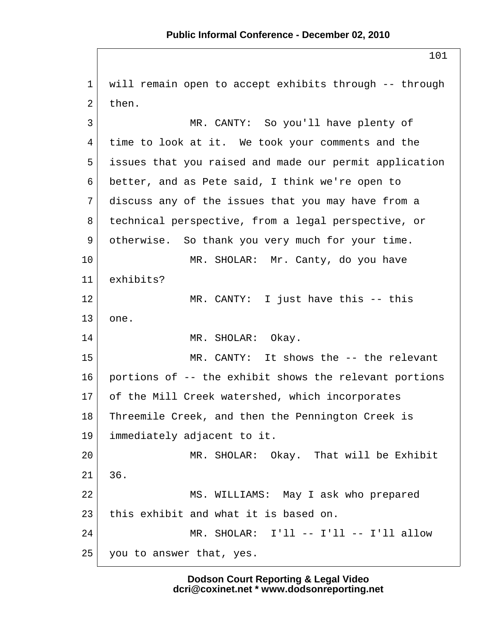1 will remain open to accept exhibits through -- through  $2$  then. 3 MR. CANTY: So you'll have plenty of 4 time to look at it. We took your comments and the 5 issues that you raised and made our permit application 6 better, and as Pete said, I think we're open to 7 discuss any of the issues that you may have from a 8 technical perspective, from a legal perspective, or 9 otherwise. So thank you very much for your time. 10 | MR. SHOLAR: Mr. Canty, do you have 11 exhibits? 12 MR. CANTY: I just have this -- this  $13$  one. 14 MR. SHOLAR: Okay. 15 MR. CANTY: It shows the -- the relevant 16 portions of -- the exhibit shows the relevant portions 17 of the Mill Creek watershed, which incorporates 18 | Threemile Creek, and then the Pennington Creek is 19 immediately adjacent to it. 20 MR. SHOLAR: Okay. That will be Exhibit 21 36. 22 MS. WILLIAMS: May I ask who prepared 23 this exhibit and what it is based on. 24 MR. SHOLAR: I'll -- I'll -- I'll allow  $25$  you to answer that, yes.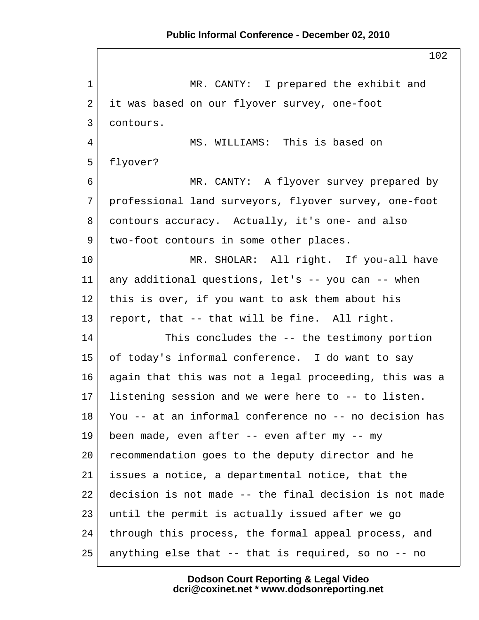1 MR. CANTY: I prepared the exhibit and 2 it was based on our flyover survey, one-foot 3 contours. 4 MS. WILLIAMS: This is based on 5 flyover? 6 MR. CANTY: A flyover survey prepared by 7 professional land surveyors, flyover survey, one-foot 8 contours accuracy. Actually, it's one- and also 9 two-foot contours in some other places. 10 MR. SHOLAR: All right. If you-all have 11 any additional questions, let's -- you can -- when 12 this is over, if you want to ask them about his 13 report, that  $--$  that will be fine. All right. 14 This concludes the -- the testimony portion 15 of today's informal conference. I do want to say 16 again that this was not a legal proceeding, this was a 17 listening session and we were here to -- to listen. 18 You -- at an informal conference no -- no decision has 19 been made, even after -- even after my -- my 20 recommendation goes to the deputy director and he 21 issues a notice, a departmental notice, that the 22 decision is not made -- the final decision is not made 23 until the permit is actually issued after we go 24 through this process, the formal appeal process, and  $25$  anything else that  $-$ - that is required, so no  $-$ - no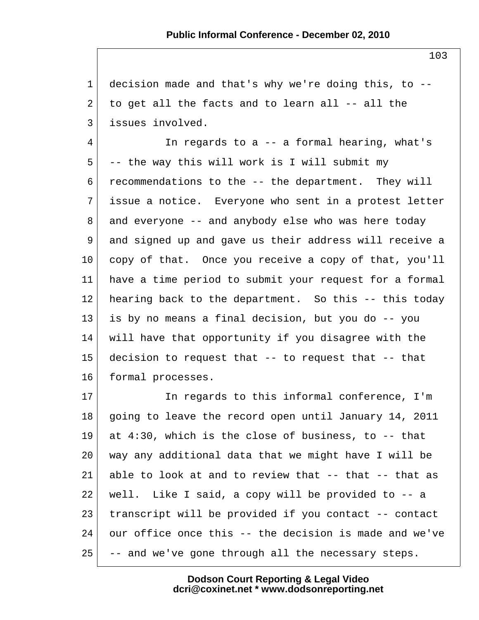1 decision made and that's why we're doing this, to -- 2 to get all the facts and to learn all  $-$ - all the 3 issues involved.

 4 In regards to a -- a formal hearing, what's  $5$  -- the way this will work is I will submit my 6 recommendations to the -- the department. They will 7 issue a notice. Everyone who sent in a protest letter 8 and everyone -- and anybody else who was here today 9 and signed up and gave us their address will receive a 10 copy of that. Once you receive a copy of that, you'll 11 have a time period to submit your request for a formal 12 hearing back to the department. So this -- this today 13 is by no means a final decision, but you do -- you 14 will have that opportunity if you disagree with the  $15$  decision to request that  $-$ - to request that  $-$ - that 16 formal processes.

17 In regards to this informal conference, I'm 18 going to leave the record open until January 14, 2011 19 at 4:30, which is the close of business, to -- that 20 way any additional data that we might have I will be 21 able to look at and to review that -- that -- that as 22 | well. Like I said, a copy will be provided to  $-$  a 23 transcript will be provided if you contact -- contact 24 our office once this -- the decision is made and we've  $25$  -- and we've gone through all the necessary steps.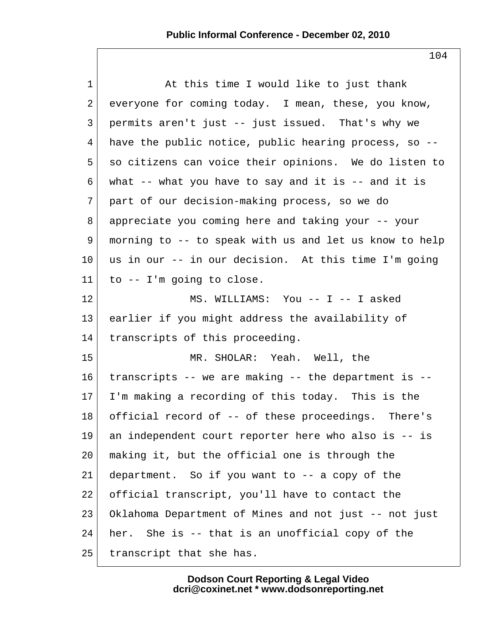| $\mathbf{1}$    | At this time I would like to just thank                   |
|-----------------|-----------------------------------------------------------|
| 2               | everyone for coming today. I mean, these, you know,       |
| 3               | permits aren't just -- just issued. That's why we         |
| 4               | have the public notice, public hearing process, so --     |
| 5               | so citizens can voice their opinions. We do listen to     |
| 6               | what $-$ - what you have to say and it is $-$ - and it is |
| 7               | part of our decision-making process, so we do             |
| 8               | appreciate you coming here and taking your -- your        |
| 9               | morning to -- to speak with us and let us know to help    |
| 10 <sup>°</sup> | us in our -- in our decision. At this time I'm going      |
| 11              | to $--$ I'm going to close.                               |
| 12              | MS. WILLIAMS: You -- I -- I asked                         |
| 13              | earlier if you might address the availability of          |
| 14              | transcripts of this proceeding.                           |
| 15              | MR. SHOLAR: Yeah. Well, the                               |
| 16              | transcripts -- we are making -- the department is --      |
| 17 <sub>2</sub> | I'm making a recording of this today. This is the         |
| 18              | official record of -- of these proceedings. There's       |
| 19              | an independent court reporter here who also is -- is      |
| 20              | making it, but the official one is through the            |
| 21              | department. So if you want to -- a copy of the            |
| 22              | official transcript, you'll have to contact the           |
| 23              | Oklahoma Department of Mines and not just -- not just     |
| 24              | her. She is -- that is an unofficial copy of the          |
| 25              | transcript that she has.                                  |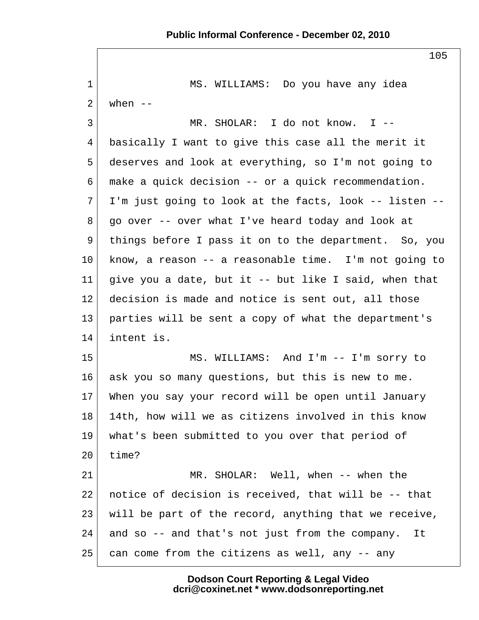1 MS. WILLIAMS: Do you have any idea  $2$  when  $-$  3 MR. SHOLAR: I do not know. I -- 4 basically I want to give this case all the merit it 5 deserves and look at everything, so I'm not going to 6 make a quick decision -- or a quick recommendation.  $7$  I'm just going to look at the facts, look -- listen -- $8$  go over  $-$ - over what I've heard today and look at 9 things before I pass it on to the department. So, you 10 know, a reason -- a reasonable time. I'm not going to 11 give you a date, but it  $-$  but like I said, when that 12 decision is made and notice is sent out, all those 13 parties will be sent a copy of what the department's 14 intent is. 15 MS. WILLIAMS: And I'm -- I'm sorry to 16 ask you so many questions, but this is new to me. 17 When you say your record will be open until January 18 14th, how will we as citizens involved in this know 19 what's been submitted to you over that period of  $20$  time? 21 MR. SHOLAR: Well, when -- when the 22 notice of decision is received, that will be -- that 23 will be part of the record, anything that we receive,  $24$  and so  $-$  and that's not just from the company. It  $25$  can come from the citizens as well, any  $-$  any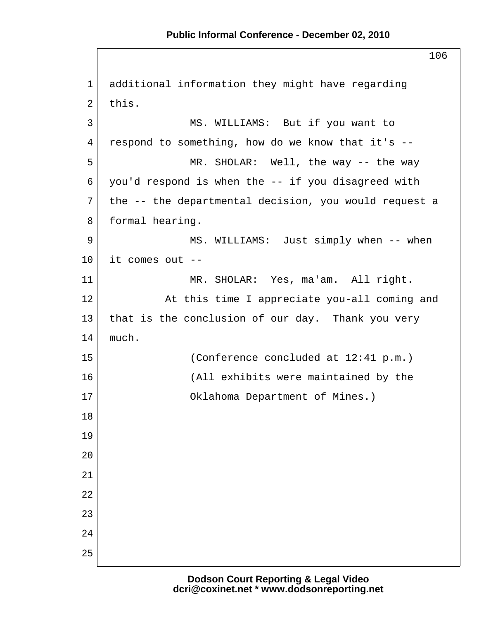1 additional information they might have regarding  $2$  this. 3 MS. WILLIAMS: But if you want to  $4$  respond to something, how do we know that it's  $-$ 5 MR. SHOLAR: Well, the way -- the way  $6$  you'd respond is when the  $-$  if you disagreed with  $7$  the  $-$ - the departmental decision, you would request a 8 formal hearing. 9 MS. WILLIAMS: Just simply when -- when  $10$  it comes out  $-$ 11 | MR. SHOLAR: Yes, ma'am. All right. 12 At this time I appreciate you-all coming and 13 that is the conclusion of our day. Thank you very  $14$  much. 15 (Conference concluded at 12:41 p.m.) 16 (All exhibits were maintained by the 17 Oklahoma Department of Mines.) 18 19 20 21 22 23  $2.4$ 25